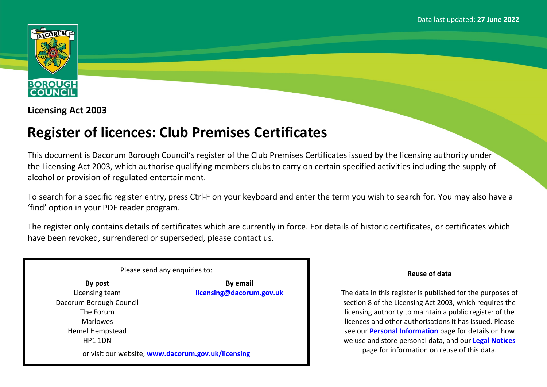

**Licensing Act 2003**

## **Register of licences: Club Premises Certificates**

This document is Dacorum Borough Council's register of the Club Premises Certificates issued by the licensing authority under the Licensing Act 2003, which authorise qualifying members clubs to carry on certain specified activities including the supply of alcohol or provision of regulated entertainment.

To search for a specific register entry, press Ctrl-F on your keyboard and enter the term you wish to search for. You may also have a 'find' option in your PDF reader program.

The register only contains details of certificates which are currently in force. For details of historic certificates, or certificates which have been revoked, surrendered or superseded, please contact us.

| Please send any enquiries to:                      |                          |
|----------------------------------------------------|--------------------------|
| By post                                            | <b>By email</b>          |
| Licensing team                                     | licensing@dacorum.gov.uk |
| Dacorum Borough Council                            |                          |
| The Forum                                          |                          |
| <b>Marlowes</b>                                    |                          |
| Hemel Hempstead                                    |                          |
| HP1 1DN                                            |                          |
| or visit our website, www.dacorum.gov.uk/licensing |                          |

## **Reuse of data**

The data in this register is published for the purposes of section 8 of the Licensing Act 2003, which requires the licensing authority to maintain a public register of the licences and other authorisations it has issued. Please see our **[Personal](http://www.dacorum.gov.uk/home/open-data/personal-information) [Information](http://www.dacorum.gov.uk/home/open-data/personal-information)** page for details on how we use and store personal data, and our **[Legal](http://www.dacorum.gov.uk/home/map-of-dacorum/legal-disclaimers) [Notices](http://www.dacorum.gov.uk/home/map-of-dacorum/legal-disclaimers)** page for information on reuse of this data.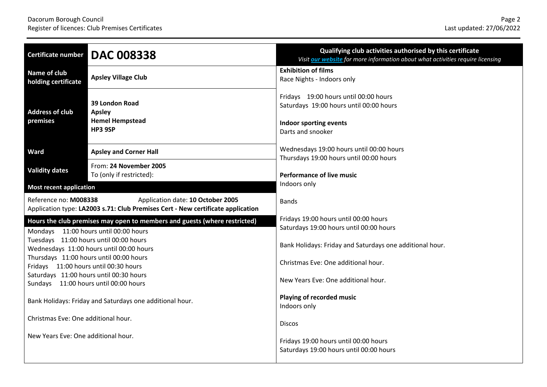| <b>Certificate number</b>              | <b>DAC 008338</b>                                                                                                    | Qualifying club activities authorised by this certificate<br>Visit our website for more information about what activities require licensing |
|----------------------------------------|----------------------------------------------------------------------------------------------------------------------|---------------------------------------------------------------------------------------------------------------------------------------------|
| Name of club<br>holding certificate    | <b>Apsley Village Club</b>                                                                                           | <b>Exhibition of films</b><br>Race Nights - Indoors only                                                                                    |
| <b>Address of club</b><br>premises     | 39 London Road<br><b>Apsley</b><br><b>Hemel Hempstead</b><br>HP3 9SP                                                 | Fridays 19:00 hours until 00:00 hours<br>Saturdays 19:00 hours until 00:00 hours<br>Indoor sporting events<br>Darts and snooker             |
| Ward                                   | <b>Apsley and Corner Hall</b>                                                                                        | Wednesdays 19:00 hours until 00:00 hours<br>Thursdays 19:00 hours until 00:00 hours                                                         |
| <b>Validity dates</b>                  | From: 24 November 2005<br>To (only if restricted):                                                                   | <b>Performance of live music</b>                                                                                                            |
| <b>Most recent application</b>         |                                                                                                                      | Indoors only                                                                                                                                |
| Reference no: M008338                  | Application date: 10 October 2005<br>Application type: LA2003 s.71: Club Premises Cert - New certificate application | <b>Bands</b>                                                                                                                                |
|                                        | Hours the club premises may open to members and guests (where restricted)<br>Mondays 11:00 hours until 00:00 hours   | Fridays 19:00 hours until 00:00 hours<br>Saturdays 19:00 hours until 00:00 hours                                                            |
| Tuesdays 11:00 hours until 00:00 hours | Wednesdays 11:00 hours until 00:00 hours                                                                             | Bank Holidays: Friday and Saturdays one additional hour.                                                                                    |
| Fridays 11:00 hours until 00:30 hours  | Thursdays 11:00 hours until 00:00 hours                                                                              | Christmas Eve: One additional hour.                                                                                                         |
| Sundays 11:00 hours until 00:00 hours  | Saturdays 11:00 hours until 00:30 hours                                                                              | New Years Eve: One additional hour.                                                                                                         |
|                                        | Bank Holidays: Friday and Saturdays one additional hour.                                                             | Playing of recorded music<br>Indoors only                                                                                                   |
| Christmas Eve: One additional hour.    |                                                                                                                      | <b>Discos</b>                                                                                                                               |
| New Years Eve: One additional hour.    |                                                                                                                      | Fridays 19:00 hours until 00:00 hours<br>Saturdays 19:00 hours until 00:00 hours                                                            |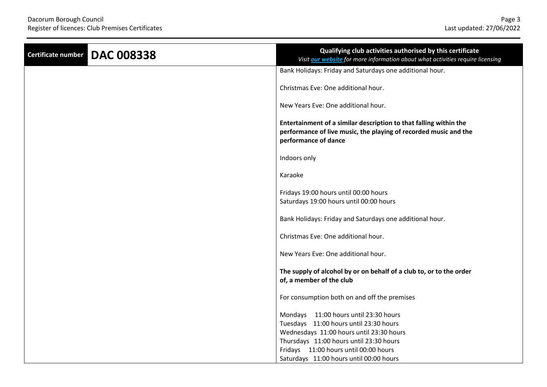| Certificate number | <b>DAC 008338</b> | Qualifying club activities authorised by this certificate<br>Visit our website for more information about what activities require licensing                   |
|--------------------|-------------------|---------------------------------------------------------------------------------------------------------------------------------------------------------------|
|                    |                   | Bank Holidays: Friday and Saturdays one additional hour.                                                                                                      |
|                    |                   | Christmas Eve: One additional hour.                                                                                                                           |
|                    |                   | New Years Eve: One additional hour.                                                                                                                           |
|                    |                   | Entertainment of a similar description to that falling within the<br>performance of live music, the playing of recorded music and the<br>performance of dance |
|                    |                   | Indoors only                                                                                                                                                  |
|                    |                   | Karaoke                                                                                                                                                       |
|                    |                   | Fridays 19:00 hours until 00:00 hours<br>Saturdays 19:00 hours until 00:00 hours                                                                              |
|                    |                   | Bank Holidays: Friday and Saturdays one additional hour.                                                                                                      |
|                    |                   | Christmas Eve: One additional hour.                                                                                                                           |
|                    |                   | New Years Eve: One additional hour.                                                                                                                           |
|                    |                   | The supply of alcohol by or on behalf of a club to, or to the order<br>of, a member of the club                                                               |
|                    |                   | For consumption both on and off the premises                                                                                                                  |
|                    |                   | Mondays 11:00 hours until 23:30 hours                                                                                                                         |
|                    |                   | Tuesdays 11:00 hours until 23:30 hours                                                                                                                        |
|                    |                   | Wednesdays 11:00 hours until 23:30 hours                                                                                                                      |
|                    |                   | Thursdays 11:00 hours until 23:30 hours                                                                                                                       |
|                    |                   | Fridays 11:00 hours until 00:00 hours                                                                                                                         |
|                    |                   | Saturdays 11:00 hours until 00:00 hours                                                                                                                       |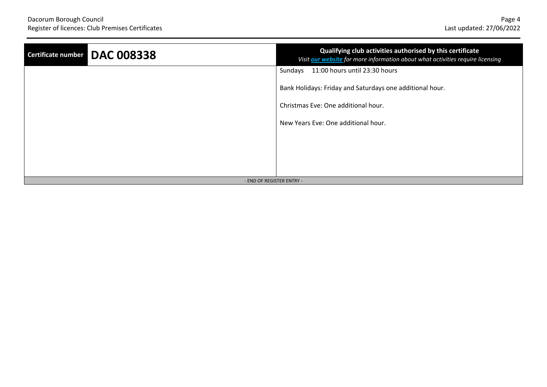| <b>DAC 008338</b><br>Certificate number | Qualifying club activities authorised by this certificate<br>Visit our website for more information about what activities require licensing |
|-----------------------------------------|---------------------------------------------------------------------------------------------------------------------------------------------|
|                                         | 11:00 hours until 23:30 hours<br>Sundays                                                                                                    |
|                                         | Bank Holidays: Friday and Saturdays one additional hour.                                                                                    |
|                                         | Christmas Eve: One additional hour.                                                                                                         |
|                                         | New Years Eve: One additional hour.                                                                                                         |
|                                         |                                                                                                                                             |
|                                         |                                                                                                                                             |
|                                         |                                                                                                                                             |
| - END OF REGISTER ENTRY -               |                                                                                                                                             |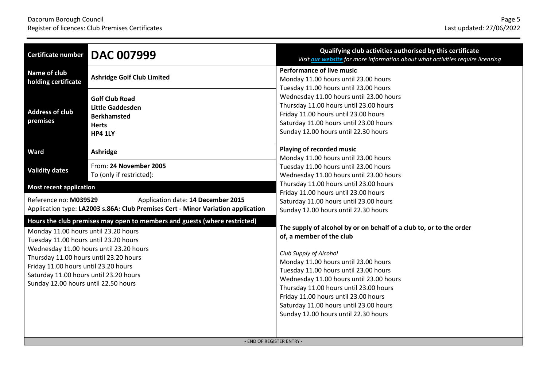| <b>Certificate number</b>                                                                                                                                                                                                                         | <b>DAC 007999</b>                                                                                                      | Qualifying club activities authorised by this certificate<br>Visit our website for more information about what activities require licensing                                                                                                                                                                                                                                                                               |
|---------------------------------------------------------------------------------------------------------------------------------------------------------------------------------------------------------------------------------------------------|------------------------------------------------------------------------------------------------------------------------|---------------------------------------------------------------------------------------------------------------------------------------------------------------------------------------------------------------------------------------------------------------------------------------------------------------------------------------------------------------------------------------------------------------------------|
| Name of club<br>holding certificate                                                                                                                                                                                                               | <b>Ashridge Golf Club Limited</b>                                                                                      | <b>Performance of live music</b><br>Monday 11.00 hours until 23.00 hours<br>Tuesday 11.00 hours until 23.00 hours                                                                                                                                                                                                                                                                                                         |
| <b>Address of club</b><br>premises                                                                                                                                                                                                                | <b>Golf Club Road</b><br><b>Little Gaddesden</b><br><b>Berkhamsted</b><br><b>Herts</b><br><b>HP4 1LY</b>               | Wednesday 11.00 hours until 23.00 hours<br>Thursday 11.00 hours until 23.00 hours<br>Friday 11.00 hours until 23.00 hours<br>Saturday 11.00 hours until 23.00 hours<br>Sunday 12.00 hours until 22.30 hours                                                                                                                                                                                                               |
| Ward                                                                                                                                                                                                                                              | Ashridge                                                                                                               | Playing of recorded music                                                                                                                                                                                                                                                                                                                                                                                                 |
| <b>Validity dates</b>                                                                                                                                                                                                                             | From: 24 November 2005<br>To (only if restricted):                                                                     | Monday 11.00 hours until 23.00 hours<br>Tuesday 11.00 hours until 23.00 hours<br>Wednesday 11.00 hours until 23.00 hours                                                                                                                                                                                                                                                                                                  |
| <b>Most recent application</b>                                                                                                                                                                                                                    |                                                                                                                        | Thursday 11.00 hours until 23.00 hours<br>Friday 11.00 hours until 23.00 hours                                                                                                                                                                                                                                                                                                                                            |
| Reference no: M039529                                                                                                                                                                                                                             | Application date: 14 December 2015<br>Application type: LA2003 s.86A: Club Premises Cert - Minor Variation application | Saturday 11.00 hours until 23.00 hours<br>Sunday 12.00 hours until 22.30 hours                                                                                                                                                                                                                                                                                                                                            |
| Monday 11.00 hours until 23.20 hours<br>Tuesday 11.00 hours until 23.20 hours<br>Thursday 11.00 hours until 23.20 hours<br>Friday 11.00 hours until 23.20 hours<br>Saturday 11.00 hours until 23.20 hours<br>Sunday 12.00 hours until 22.50 hours | Hours the club premises may open to members and guests (where restricted)<br>Wednesday 11.00 hours until 23.20 hours   | The supply of alcohol by or on behalf of a club to, or to the order<br>of, a member of the club<br>Club Supply of Alcohol<br>Monday 11.00 hours until 23.00 hours<br>Tuesday 11.00 hours until 23.00 hours<br>Wednesday 11.00 hours until 23.00 hours<br>Thursday 11.00 hours until 23.00 hours<br>Friday 11.00 hours until 23.00 hours<br>Saturday 11.00 hours until 23.00 hours<br>Sunday 12.00 hours until 22.30 hours |
| - END OF REGISTER ENTRY -                                                                                                                                                                                                                         |                                                                                                                        |                                                                                                                                                                                                                                                                                                                                                                                                                           |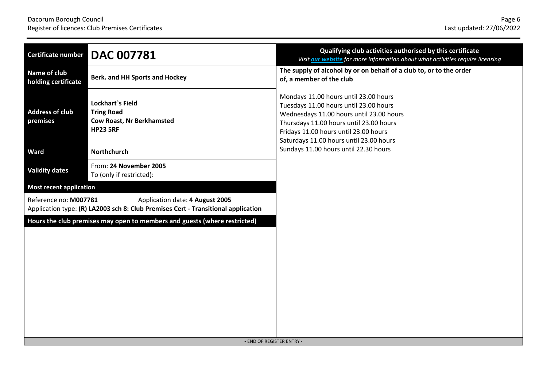| Certificate number                                                                                     | <b>DAC 007781</b>                                                                                                    | Qualifying club activities authorised by this certificate<br>Visit our website for more information about what activities require licensing                                                                                                                |
|--------------------------------------------------------------------------------------------------------|----------------------------------------------------------------------------------------------------------------------|------------------------------------------------------------------------------------------------------------------------------------------------------------------------------------------------------------------------------------------------------------|
| Name of club<br>holding certificate                                                                    | <b>Berk. and HH Sports and Hockey</b>                                                                                | The supply of alcohol by or on behalf of a club to, or to the order<br>of, a member of the club                                                                                                                                                            |
| <b>Address of club</b><br>premises                                                                     | <b>Lockhart</b> 's Field<br><b>Tring Road</b><br><b>Cow Roast, Nr Berkhamsted</b><br><b>HP23 5RF</b>                 | Mondays 11.00 hours until 23.00 hours<br>Tuesdays 11.00 hours until 23.00 hours<br>Wednesdays 11.00 hours until 23.00 hours<br>Thursdays 11.00 hours until 23.00 hours<br>Fridays 11.00 hours until 23.00 hours<br>Saturdays 11.00 hours until 23.00 hours |
| Ward                                                                                                   | <b>Northchurch</b>                                                                                                   | Sundays 11.00 hours until 22.30 hours                                                                                                                                                                                                                      |
| <b>Validity dates</b>                                                                                  | From: 24 November 2005<br>To (only if restricted):                                                                   |                                                                                                                                                                                                                                                            |
| <b>Most recent application</b>                                                                         |                                                                                                                      |                                                                                                                                                                                                                                                            |
| Reference no: M007781                                                                                  | Application date: 4 August 2005<br>Application type: (R) LA2003 sch 8: Club Premises Cert - Transitional application |                                                                                                                                                                                                                                                            |
| Hours the club premises may open to members and guests (where restricted)<br>- END OF REGISTER ENTRY - |                                                                                                                      |                                                                                                                                                                                                                                                            |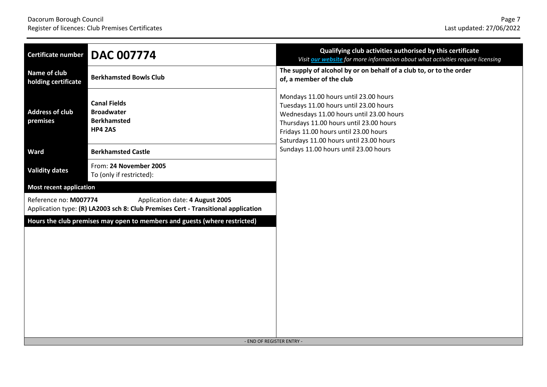| Certificate number                                                                                     | <b>DAC 007774</b>                                                                                                    | Qualifying club activities authorised by this certificate<br>Visit our website for more information about what activities require licensing                                                                                                                |
|--------------------------------------------------------------------------------------------------------|----------------------------------------------------------------------------------------------------------------------|------------------------------------------------------------------------------------------------------------------------------------------------------------------------------------------------------------------------------------------------------------|
| Name of club<br>holding certificate                                                                    | <b>Berkhamsted Bowls Club</b>                                                                                        | The supply of alcohol by or on behalf of a club to, or to the order<br>of, a member of the club                                                                                                                                                            |
| <b>Address of club</b><br>premises                                                                     | <b>Canal Fields</b><br><b>Broadwater</b><br><b>Berkhamsted</b><br><b>HP4 2AS</b>                                     | Mondays 11.00 hours until 23.00 hours<br>Tuesdays 11.00 hours until 23.00 hours<br>Wednesdays 11.00 hours until 23.00 hours<br>Thursdays 11.00 hours until 23.00 hours<br>Fridays 11.00 hours until 23.00 hours<br>Saturdays 11.00 hours until 23.00 hours |
| <b>Ward</b>                                                                                            | <b>Berkhamsted Castle</b>                                                                                            | Sundays 11.00 hours until 23.00 hours                                                                                                                                                                                                                      |
| <b>Validity dates</b>                                                                                  | From: 24 November 2005<br>To (only if restricted):                                                                   |                                                                                                                                                                                                                                                            |
| <b>Most recent application</b>                                                                         |                                                                                                                      |                                                                                                                                                                                                                                                            |
| Reference no: M007774                                                                                  | Application date: 4 August 2005<br>Application type: (R) LA2003 sch 8: Club Premises Cert - Transitional application |                                                                                                                                                                                                                                                            |
| Hours the club premises may open to members and guests (where restricted)<br>- END OF REGISTER ENTRY - |                                                                                                                      |                                                                                                                                                                                                                                                            |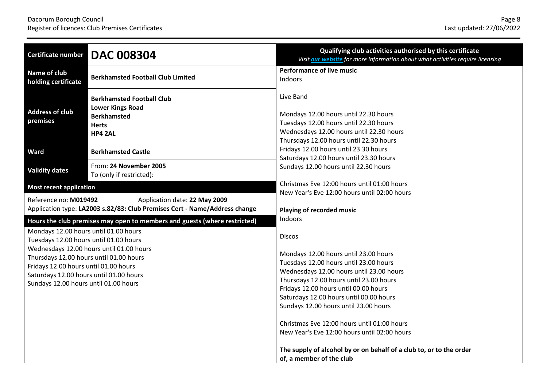| Certificate number                                                                                                                                                                                                                                                                                                                                                               | <b>DAC 008304</b>                                                                                            | Qualifying club activities authorised by this certificate<br>Visit our website for more information about what activities require licensing                                                                                                                                                                                                                                                                                                                                                                  |
|----------------------------------------------------------------------------------------------------------------------------------------------------------------------------------------------------------------------------------------------------------------------------------------------------------------------------------------------------------------------------------|--------------------------------------------------------------------------------------------------------------|--------------------------------------------------------------------------------------------------------------------------------------------------------------------------------------------------------------------------------------------------------------------------------------------------------------------------------------------------------------------------------------------------------------------------------------------------------------------------------------------------------------|
| Name of club<br>holding certificate                                                                                                                                                                                                                                                                                                                                              | <b>Berkhamsted Football Club Limited</b>                                                                     | <b>Performance of live music</b><br>Indoors                                                                                                                                                                                                                                                                                                                                                                                                                                                                  |
| <b>Address of club</b><br>premises                                                                                                                                                                                                                                                                                                                                               | <b>Berkhamsted Football Club</b><br><b>Lower Kings Road</b><br><b>Berkhamsted</b><br><b>Herts</b><br>HP4 2AL | Live Band<br>Mondays 12.00 hours until 22.30 hours<br>Tuesdays 12.00 hours until 22.30 hours<br>Wednesdays 12.00 hours until 22.30 hours<br>Thursdays 12.00 hours until 22.30 hours                                                                                                                                                                                                                                                                                                                          |
| <b>Ward</b>                                                                                                                                                                                                                                                                                                                                                                      | <b>Berkhamsted Castle</b>                                                                                    | Fridays 12.00 hours until 23.30 hours                                                                                                                                                                                                                                                                                                                                                                                                                                                                        |
| <b>Validity dates</b>                                                                                                                                                                                                                                                                                                                                                            | From: 24 November 2005<br>To (only if restricted):                                                           | Saturdays 12.00 hours until 23.30 hours<br>Sundays 12.00 hours until 22.30 hours                                                                                                                                                                                                                                                                                                                                                                                                                             |
| <b>Most recent application</b>                                                                                                                                                                                                                                                                                                                                                   |                                                                                                              | Christmas Eve 12:00 hours until 01:00 hours                                                                                                                                                                                                                                                                                                                                                                                                                                                                  |
| Reference no: M019492                                                                                                                                                                                                                                                                                                                                                            | Application date: 22 May 2009<br>Application type: LA2003 s.82/83: Club Premises Cert - Name/Address change  | New Year's Eve 12:00 hours until 02:00 hours<br>Playing of recorded music                                                                                                                                                                                                                                                                                                                                                                                                                                    |
| Hours the club premises may open to members and guests (where restricted)<br>Mondays 12.00 hours until 01.00 hours<br>Tuesdays 12.00 hours until 01.00 hours<br>Wednesdays 12.00 hours until 01.00 hours<br>Thursdays 12.00 hours until 01.00 hours<br>Fridays 12.00 hours until 01.00 hours<br>Saturdays 12.00 hours until 01.00 hours<br>Sundays 12.00 hours until 01.00 hours |                                                                                                              | <b>Indoors</b><br><b>Discos</b><br>Mondays 12.00 hours until 23.00 hours<br>Tuesdays 12.00 hours until 23.00 hours<br>Wednesdays 12.00 hours until 23.00 hours<br>Thursdays 12.00 hours until 23.00 hours<br>Fridays 12.00 hours until 00.00 hours<br>Saturdays 12.00 hours until 00.00 hours<br>Sundays 12.00 hours until 23.00 hours<br>Christmas Eve 12:00 hours until 01:00 hours<br>New Year's Eve 12:00 hours until 02:00 hours<br>The supply of alcohol by or on behalf of a club to, or to the order |
|                                                                                                                                                                                                                                                                                                                                                                                  |                                                                                                              | of, a member of the club                                                                                                                                                                                                                                                                                                                                                                                                                                                                                     |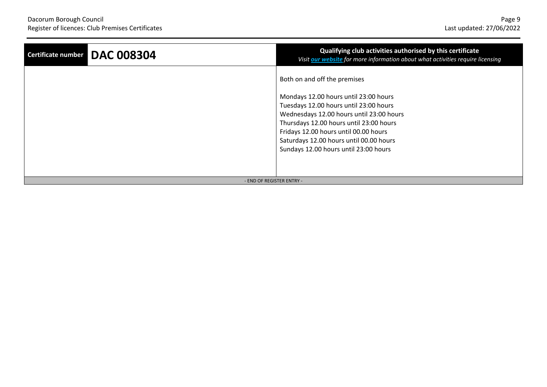| Certificate number DAC 008304 | Qualifying club activities authorised by this certificate<br>Visit our website for more information about what activities require licensing |
|-------------------------------|---------------------------------------------------------------------------------------------------------------------------------------------|
|                               | Both on and off the premises                                                                                                                |
|                               | Mondays 12.00 hours until 23:00 hours                                                                                                       |
|                               | Tuesdays 12.00 hours until 23:00 hours                                                                                                      |
|                               | Wednesdays 12.00 hours until 23:00 hours                                                                                                    |
|                               | Thursdays 12.00 hours until 23:00 hours                                                                                                     |
|                               | Fridays 12.00 hours until 00.00 hours                                                                                                       |
|                               | Saturdays 12.00 hours until 00.00 hours                                                                                                     |
|                               | Sundays 12.00 hours until 23:00 hours                                                                                                       |
|                               |                                                                                                                                             |
|                               |                                                                                                                                             |
| - END OF REGISTER ENTRY -     |                                                                                                                                             |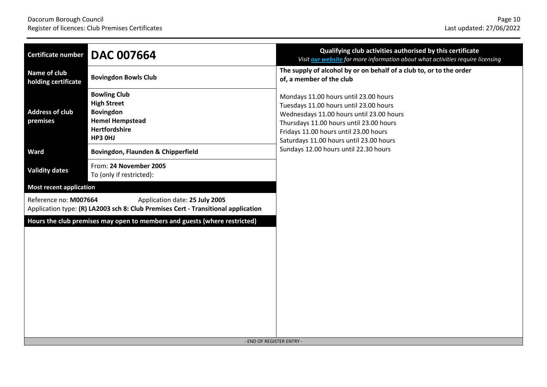| Certificate number                                                                                     | <b>DAC 007664</b>                                                                                                   | Qualifying club activities authorised by this certificate<br>Visit our website for more information about what activities require licensing                                                                                                                |
|--------------------------------------------------------------------------------------------------------|---------------------------------------------------------------------------------------------------------------------|------------------------------------------------------------------------------------------------------------------------------------------------------------------------------------------------------------------------------------------------------------|
| Name of club<br>holding certificate                                                                    | <b>Bovingdon Bowls Club</b>                                                                                         | The supply of alcohol by or on behalf of a club to, or to the order<br>of, a member of the club                                                                                                                                                            |
| <b>Address of club</b><br>premises                                                                     | <b>Bowling Club</b><br><b>High Street</b><br><b>Bovingdon</b><br><b>Hemel Hempstead</b><br>Hertfordshire<br>HP3 OHJ | Mondays 11.00 hours until 23.00 hours<br>Tuesdays 11.00 hours until 23.00 hours<br>Wednesdays 11.00 hours until 23.00 hours<br>Thursdays 11.00 hours until 23.00 hours<br>Fridays 11.00 hours until 23.00 hours<br>Saturdays 11.00 hours until 23.00 hours |
| <b>Ward</b>                                                                                            | Bovingdon, Flaunden & Chipperfield                                                                                  | Sundays 12.00 hours until 22.30 hours                                                                                                                                                                                                                      |
| <b>Validity dates</b>                                                                                  | From: 24 November 2005<br>To (only if restricted):                                                                  |                                                                                                                                                                                                                                                            |
| <b>Most recent application</b>                                                                         |                                                                                                                     |                                                                                                                                                                                                                                                            |
| Reference no: M007664                                                                                  | Application date: 25 July 2005<br>Application type: (R) LA2003 sch 8: Club Premises Cert - Transitional application |                                                                                                                                                                                                                                                            |
| Hours the club premises may open to members and guests (where restricted)<br>- END OF REGISTER ENTRY - |                                                                                                                     |                                                                                                                                                                                                                                                            |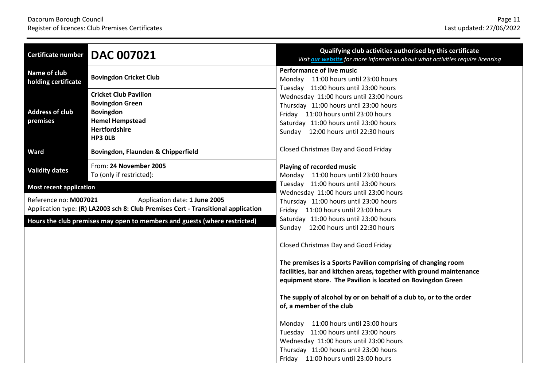| Certificate number                                                        | <b>DAC 007021</b>                                                                                                                | Qualifying club activities authorised by this certificate<br>Visit our website for more information about what activities require licensing                                                                 |
|---------------------------------------------------------------------------|----------------------------------------------------------------------------------------------------------------------------------|-------------------------------------------------------------------------------------------------------------------------------------------------------------------------------------------------------------|
| Name of club<br>holding certificate                                       | <b>Bovingdon Cricket Club</b>                                                                                                    | <b>Performance of live music</b><br>Monday 11:00 hours until 23:00 hours<br>Tuesday 11:00 hours until 23:00 hours                                                                                           |
| <b>Address of club</b><br>premises                                        | <b>Cricket Club Pavilion</b><br><b>Bovingdon Green</b><br><b>Bovingdon</b><br><b>Hemel Hempstead</b><br>Hertfordshire<br>HP3 OLB | Wednesday 11:00 hours until 23:00 hours<br>Thursday 11:00 hours until 23:00 hours<br>Friday 11:00 hours until 23:00 hours<br>Saturday 11:00 hours until 23:00 hours<br>Sunday 12:00 hours until 22:30 hours |
| Ward                                                                      | Bovingdon, Flaunden & Chipperfield                                                                                               | Closed Christmas Day and Good Friday                                                                                                                                                                        |
| <b>Validity dates</b>                                                     | From: 24 November 2005<br>To (only if restricted):                                                                               | Playing of recorded music<br>Monday 11:00 hours until 23:00 hours                                                                                                                                           |
| <b>Most recent application</b>                                            |                                                                                                                                  | Tuesday 11:00 hours until 23:00 hours                                                                                                                                                                       |
| Reference no: M007021                                                     | Application date: 1 June 2005<br>Application type: (R) LA2003 sch 8: Club Premises Cert - Transitional application               | Wednesday 11:00 hours until 23:00 hours<br>Thursday 11:00 hours until 23:00 hours<br>Friday 11:00 hours until 23:00 hours                                                                                   |
| Hours the club premises may open to members and guests (where restricted) |                                                                                                                                  | Saturday 11:00 hours until 23:00 hours<br>Sunday 12:00 hours until 22:30 hours                                                                                                                              |
|                                                                           |                                                                                                                                  | Closed Christmas Day and Good Friday                                                                                                                                                                        |
|                                                                           |                                                                                                                                  | The premises is a Sports Pavilion comprising of changing room<br>facilities, bar and kitchen areas, together with ground maintenance<br>equipment store. The Pavilion is located on Bovingdon Green         |
|                                                                           |                                                                                                                                  | The supply of alcohol by or on behalf of a club to, or to the order<br>of, a member of the club                                                                                                             |
|                                                                           |                                                                                                                                  | Monday 11:00 hours until 23:00 hours<br>Tuesday 11:00 hours until 23:00 hours<br>Wednesday 11:00 hours until 23:00 hours<br>Thursday 11:00 hours until 23:00 hours                                          |
|                                                                           |                                                                                                                                  | Friday 11:00 hours until 23:00 hours                                                                                                                                                                        |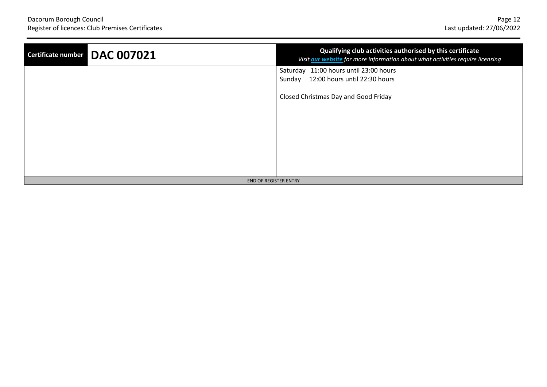| Certificate number DAC 007021 | Qualifying club activities authorised by this certificate<br>Visit our website for more information about what activities require licensing |
|-------------------------------|---------------------------------------------------------------------------------------------------------------------------------------------|
|                               | Saturday 11:00 hours until 23:00 hours                                                                                                      |
|                               | 12:00 hours until 22:30 hours<br>Sunday                                                                                                     |
|                               | Closed Christmas Day and Good Friday                                                                                                        |
|                               |                                                                                                                                             |
|                               |                                                                                                                                             |
|                               |                                                                                                                                             |
|                               |                                                                                                                                             |
|                               |                                                                                                                                             |
|                               |                                                                                                                                             |
| - END OF REGISTER ENTRY -     |                                                                                                                                             |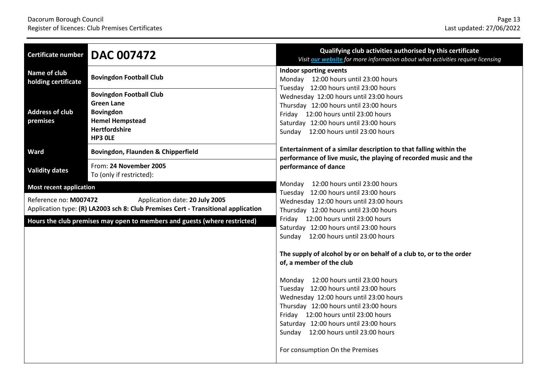| <b>Certificate number</b>                                                                                                                    | <b>DAC 007472</b>                                                                                                                    | Qualifying club activities authorised by this certificate<br>Visit our website for more information about what activities require licensing                                                                                                                                                                                     |
|----------------------------------------------------------------------------------------------------------------------------------------------|--------------------------------------------------------------------------------------------------------------------------------------|---------------------------------------------------------------------------------------------------------------------------------------------------------------------------------------------------------------------------------------------------------------------------------------------------------------------------------|
| Name of club<br>holding certificate                                                                                                          | <b>Bovingdon Football Club</b>                                                                                                       | Indoor sporting events<br>Monday 12:00 hours until 23:00 hours<br>Tuesday 12:00 hours until 23:00 hours                                                                                                                                                                                                                         |
| <b>Address of club</b><br>premises                                                                                                           | <b>Bovingdon Football Club</b><br><b>Green Lane</b><br><b>Bovingdon</b><br><b>Hemel Hempstead</b><br><b>Hertfordshire</b><br>HP3 OLE | Wednesday 12:00 hours until 23:00 hours<br>Thursday 12:00 hours until 23:00 hours<br>Friday 12:00 hours until 23:00 hours<br>Saturday 12:00 hours until 23:00 hours<br>Sunday 12:00 hours until 23:00 hours                                                                                                                     |
| Ward                                                                                                                                         | Bovingdon, Flaunden & Chipperfield                                                                                                   | Entertainment of a similar description to that falling within the<br>performance of live music, the playing of recorded music and the                                                                                                                                                                                           |
| <b>Validity dates</b>                                                                                                                        | From: 24 November 2005<br>To (only if restricted):                                                                                   | performance of dance                                                                                                                                                                                                                                                                                                            |
| <b>Most recent application</b>                                                                                                               |                                                                                                                                      | Monday 12:00 hours until 23:00 hours                                                                                                                                                                                                                                                                                            |
| Reference no: M007472<br>Application date: 20 July 2005<br>Application type: (R) LA2003 sch 8: Club Premises Cert - Transitional application |                                                                                                                                      | Tuesday 12:00 hours until 23:00 hours<br>Wednesday 12:00 hours until 23:00 hours<br>Thursday 12:00 hours until 23:00 hours                                                                                                                                                                                                      |
| Hours the club premises may open to members and guests (where restricted)                                                                    |                                                                                                                                      | Friday 12:00 hours until 23:00 hours<br>Saturday 12:00 hours until 23:00 hours<br>Sunday 12:00 hours until 23:00 hours                                                                                                                                                                                                          |
|                                                                                                                                              |                                                                                                                                      | The supply of alcohol by or on behalf of a club to, or to the order<br>of, a member of the club                                                                                                                                                                                                                                 |
|                                                                                                                                              |                                                                                                                                      | Monday 12:00 hours until 23:00 hours<br>Tuesday 12:00 hours until 23:00 hours<br>Wednesday 12:00 hours until 23:00 hours<br>Thursday 12:00 hours until 23:00 hours<br>Friday 12:00 hours until 23:00 hours<br>Saturday 12:00 hours until 23:00 hours<br>Sunday 12:00 hours until 23:00 hours<br>For consumption On the Premises |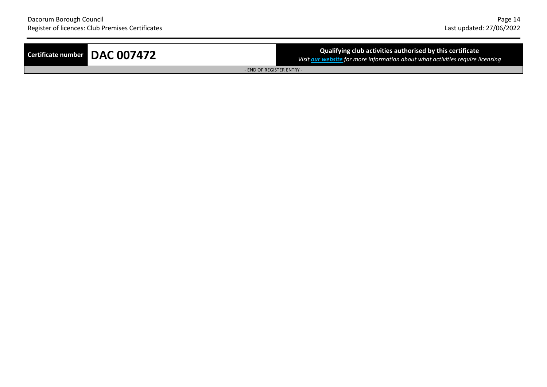## **Certificate number DAC 007472 Certificate Qualifying club** activities authorised by this certificate

*Visit [our](http://www.dacorum.gov.uk/home/environment-street-care/licensing/alcohol-entertainment-licensing/licensable-activities) [website](http://www.dacorum.gov.uk/home/environment-street-care/licensing/alcohol-entertainment-licensing/licensable-activities) for more information about what activities require licensing*

- END OF REGISTER ENTRY -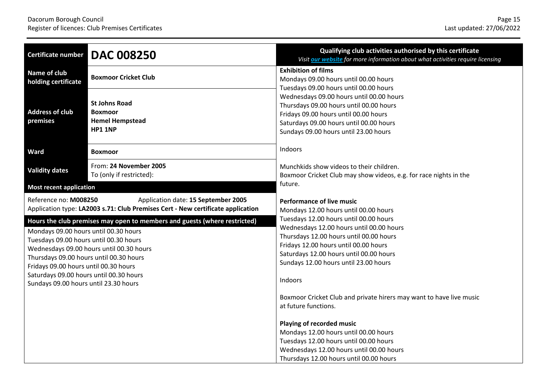| <b>Certificate number</b>                                                                                                                                                                                                                                             | <b>DAC 008250</b>                                                                  | Qualifying club activities authorised by this certificate<br>Visit our website for more information about what activities require licensing                                                                                                                |
|-----------------------------------------------------------------------------------------------------------------------------------------------------------------------------------------------------------------------------------------------------------------------|------------------------------------------------------------------------------------|------------------------------------------------------------------------------------------------------------------------------------------------------------------------------------------------------------------------------------------------------------|
| Name of club<br>holding certificate                                                                                                                                                                                                                                   | <b>Boxmoor Cricket Club</b>                                                        | <b>Exhibition of films</b><br>Mondays 09.00 hours until 00.00 hours                                                                                                                                                                                        |
| <b>Address of club</b><br>premises                                                                                                                                                                                                                                    | <b>St Johns Road</b><br><b>Boxmoor</b><br><b>Hemel Hempstead</b><br><b>HP1 1NP</b> | Tuesdays 09.00 hours until 00.00 hours<br>Wednesdays 09.00 hours until 00.00 hours<br>Thursdays 09.00 hours until 00.00 hours<br>Fridays 09.00 hours until 00.00 hours<br>Saturdays 09.00 hours until 00.00 hours<br>Sundays 09.00 hours until 23.00 hours |
| <b>Ward</b>                                                                                                                                                                                                                                                           | Boxmoor                                                                            | Indoors                                                                                                                                                                                                                                                    |
| <b>Validity dates</b>                                                                                                                                                                                                                                                 | From: 24 November 2005<br>To (only if restricted):                                 | Munchkids show videos to their children.<br>Boxmoor Cricket Club may show videos, e.g. for race nights in the                                                                                                                                              |
| <b>Most recent application</b>                                                                                                                                                                                                                                        |                                                                                    | future.                                                                                                                                                                                                                                                    |
| Reference no: M008250<br>Application date: 15 September 2005<br>Application type: LA2003 s.71: Club Premises Cert - New certificate application<br>Hours the club premises may open to members and guests (where restricted)<br>Mondays 09.00 hours until 00.30 hours |                                                                                    | <b>Performance of live music</b><br>Mondays 12.00 hours until 00.00 hours<br>Tuesdays 12.00 hours until 00.00 hours<br>Wednesdays 12.00 hours until 00.00 hours<br>Thursdays 12.00 hours until 00.00 hours                                                 |
| Tuesdays 09.00 hours until 00.30 hours<br>Wednesdays 09.00 hours until 00.30 hours<br>Thursdays 09.00 hours until 00.30 hours<br>Fridays 09.00 hours until 00.30 hours<br>Saturdays 09.00 hours until 00.30 hours                                                     |                                                                                    | Fridays 12.00 hours until 00.00 hours<br>Saturdays 12.00 hours until 00.00 hours<br>Sundays 12.00 hours until 23.00 hours<br>Indoors                                                                                                                       |
| Sundays 09.00 hours until 23.30 hours                                                                                                                                                                                                                                 |                                                                                    | Boxmoor Cricket Club and private hirers may want to have live music<br>at future functions.                                                                                                                                                                |
|                                                                                                                                                                                                                                                                       |                                                                                    | Playing of recorded music<br>Mondays 12.00 hours until 00.00 hours<br>Tuesdays 12.00 hours until 00.00 hours<br>Wednesdays 12.00 hours until 00.00 hours<br>Thursdays 12.00 hours until 00.00 hours                                                        |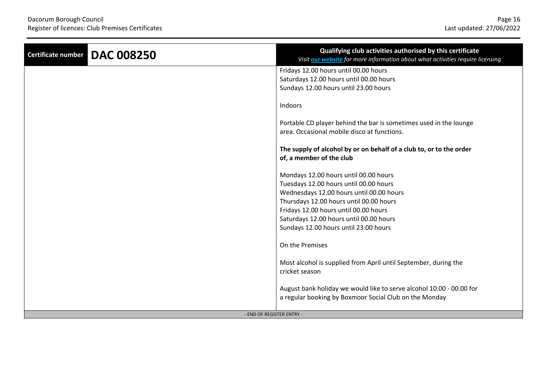| <b>DAC 008250</b><br>Certificate number | Qualifying club activities authorised by this certificate<br>Visit our website for more information about what activities require licensing |
|-----------------------------------------|---------------------------------------------------------------------------------------------------------------------------------------------|
|                                         | Fridays 12.00 hours until 00.00 hours                                                                                                       |
|                                         | Saturdays 12.00 hours until 00.00 hours                                                                                                     |
|                                         | Sundays 12.00 hours until 23.00 hours                                                                                                       |
|                                         | Indoors                                                                                                                                     |
|                                         | Portable CD player behind the bar is sometimes used in the lounge                                                                           |
|                                         | area. Occasional mobile disco at functions.                                                                                                 |
|                                         |                                                                                                                                             |
|                                         | The supply of alcohol by or on behalf of a club to, or to the order                                                                         |
|                                         | of, a member of the club                                                                                                                    |
|                                         |                                                                                                                                             |
|                                         | Mondays 12.00 hours until 00.00 hours                                                                                                       |
|                                         | Tuesdays 12.00 hours until 00.00 hours                                                                                                      |
|                                         | Wednesdays 12.00 hours until 00.00 hours                                                                                                    |
|                                         | Thursdays 12.00 hours until 00.00 hours                                                                                                     |
|                                         | Fridays 12.00 hours until 00.00 hours                                                                                                       |
|                                         | Saturdays 12.00 hours until 00.00 hours                                                                                                     |
|                                         | Sundays 12.00 hours until 23:00 hours                                                                                                       |
|                                         | On the Premises                                                                                                                             |
|                                         | Most alcohol is supplied from April until September, during the                                                                             |
|                                         | cricket season                                                                                                                              |
|                                         |                                                                                                                                             |
|                                         | August bank holiday we would like to serve alcohol 10.00 - 00.00 for                                                                        |
|                                         | a regular booking by Boxmoor Social Club on the Monday                                                                                      |
|                                         |                                                                                                                                             |
| - END OF REGISTER ENTRY -               |                                                                                                                                             |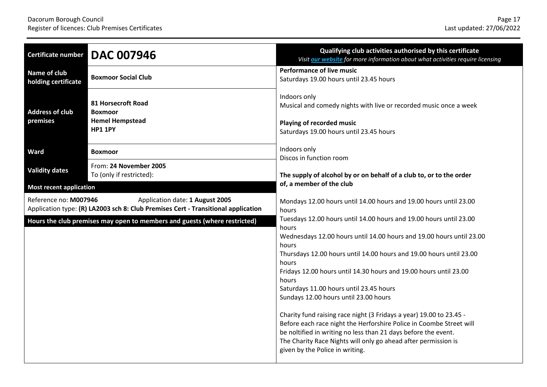| <b>Certificate number</b>                                                 | <b>DAC 007946</b>                                                                                                    | Qualifying club activities authorised by this certificate<br>Visit <b>our website</b> for more information about what activities require licensing                                                                                                                                                                                                                                                                                                                                                                                                                                                                                                                                                                                  |
|---------------------------------------------------------------------------|----------------------------------------------------------------------------------------------------------------------|-------------------------------------------------------------------------------------------------------------------------------------------------------------------------------------------------------------------------------------------------------------------------------------------------------------------------------------------------------------------------------------------------------------------------------------------------------------------------------------------------------------------------------------------------------------------------------------------------------------------------------------------------------------------------------------------------------------------------------------|
| <b>Name of club</b><br>holding certificate                                | <b>Boxmoor Social Club</b>                                                                                           | <b>Performance of live music</b><br>Saturdays 19.00 hours until 23.45 hours                                                                                                                                                                                                                                                                                                                                                                                                                                                                                                                                                                                                                                                         |
| <b>Address of club</b><br>premises                                        | 81 Horsecroft Road<br><b>Boxmoor</b><br><b>Hemel Hempstead</b><br><b>HP1 1PY</b>                                     | Indoors only<br>Musical and comedy nights with live or recorded music once a week<br>Playing of recorded music<br>Saturdays 19.00 hours until 23.45 hours                                                                                                                                                                                                                                                                                                                                                                                                                                                                                                                                                                           |
| <b>Ward</b>                                                               | <b>Boxmoor</b>                                                                                                       | Indoors only<br>Discos in function room                                                                                                                                                                                                                                                                                                                                                                                                                                                                                                                                                                                                                                                                                             |
| <b>Validity dates</b>                                                     | From: 24 November 2005<br>To (only if restricted):                                                                   | The supply of alcohol by or on behalf of a club to, or to the order                                                                                                                                                                                                                                                                                                                                                                                                                                                                                                                                                                                                                                                                 |
| <b>Most recent application</b>                                            |                                                                                                                      | of, a member of the club                                                                                                                                                                                                                                                                                                                                                                                                                                                                                                                                                                                                                                                                                                            |
| Reference no: M007946                                                     | Application date: 1 August 2005<br>Application type: (R) LA2003 sch 8: Club Premises Cert - Transitional application | Mondays 12.00 hours until 14.00 hours and 19.00 hours until 23.00<br>hours                                                                                                                                                                                                                                                                                                                                                                                                                                                                                                                                                                                                                                                          |
| Hours the club premises may open to members and guests (where restricted) |                                                                                                                      | Tuesdays 12.00 hours until 14.00 hours and 19.00 hours until 23.00<br>hours<br>Wednesdays 12.00 hours until 14.00 hours and 19.00 hours until 23.00<br>hours<br>Thursdays 12.00 hours until 14.00 hours and 19.00 hours until 23.00<br>hours<br>Fridays 12.00 hours until 14.30 hours and 19.00 hours until 23.00<br>hours<br>Saturdays 11.00 hours until 23.45 hours<br>Sundays 12.00 hours until 23.00 hours<br>Charity fund raising race night (3 Fridays a year) 19.00 to 23.45 -<br>Before each race night the Herforshire Police in Coombe Street will<br>be noltified in writing no less than 21 days before the event.<br>The Charity Race Nights will only go ahead after permission is<br>given by the Police in writing. |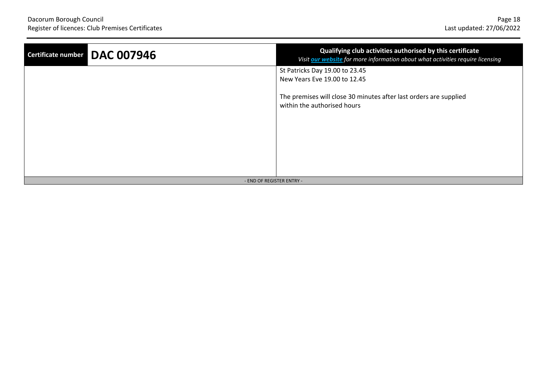| Certificate number DAC 007946 | Qualifying club activities authorised by this certificate<br>Visit our website for more information about what activities require licensing |  |
|-------------------------------|---------------------------------------------------------------------------------------------------------------------------------------------|--|
|                               | St Patricks Day 19.00 to 23.45<br>New Years Eve 19.00 to 12.45                                                                              |  |
|                               | The premises will close 30 minutes after last orders are supplied<br>within the authorised hours                                            |  |
|                               |                                                                                                                                             |  |
|                               |                                                                                                                                             |  |
| - END OF REGISTER ENTRY -     |                                                                                                                                             |  |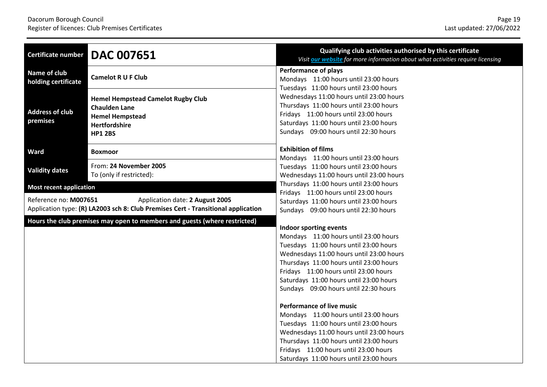| <b>Certificate number</b>                                                                                                                     | <b>DAC 007651</b>                                                                                                                     | Qualifying club activities authorised by this certificate<br>Visit our website for more information about what activities require licensing                                                                                                                                                                                                                                                                                                                                                                                                                                                                                     |
|-----------------------------------------------------------------------------------------------------------------------------------------------|---------------------------------------------------------------------------------------------------------------------------------------|---------------------------------------------------------------------------------------------------------------------------------------------------------------------------------------------------------------------------------------------------------------------------------------------------------------------------------------------------------------------------------------------------------------------------------------------------------------------------------------------------------------------------------------------------------------------------------------------------------------------------------|
| Name of club<br>holding certificate                                                                                                           | <b>Camelot R U F Club</b>                                                                                                             | <b>Performance of plays</b><br>Mondays 11:00 hours until 23:00 hours<br>Tuesdays 11:00 hours until 23:00 hours                                                                                                                                                                                                                                                                                                                                                                                                                                                                                                                  |
| <b>Address of club</b><br>premises                                                                                                            | <b>Hemel Hempstead Camelot Rugby Club</b><br><b>Chaulden Lane</b><br><b>Hemel Hempstead</b><br><b>Hertfordshire</b><br><b>HP1 2BS</b> | Wednesdays 11:00 hours until 23:00 hours<br>Thursdays 11:00 hours until 23:00 hours<br>Fridays 11:00 hours until 23:00 hours<br>Saturdays 11:00 hours until 23:00 hours<br>Sundays 09:00 hours until 22:30 hours                                                                                                                                                                                                                                                                                                                                                                                                                |
| Ward                                                                                                                                          | <b>Boxmoor</b>                                                                                                                        | <b>Exhibition of films</b>                                                                                                                                                                                                                                                                                                                                                                                                                                                                                                                                                                                                      |
| <b>Validity dates</b>                                                                                                                         | From: 24 November 2005<br>To (only if restricted):                                                                                    | Mondays 11:00 hours until 23:00 hours<br>Tuesdays 11:00 hours until 23:00 hours<br>Wednesdays 11:00 hours until 23:00 hours                                                                                                                                                                                                                                                                                                                                                                                                                                                                                                     |
| <b>Most recent application</b>                                                                                                                |                                                                                                                                       | Thursdays 11:00 hours until 23:00 hours<br>Fridays 11:00 hours until 23:00 hours                                                                                                                                                                                                                                                                                                                                                                                                                                                                                                                                                |
| Reference no: M007651<br>Application date: 2 August 2005<br>Application type: (R) LA2003 sch 8: Club Premises Cert - Transitional application |                                                                                                                                       | Saturdays 11:00 hours until 23:00 hours<br>Sundays 09:00 hours until 22:30 hours                                                                                                                                                                                                                                                                                                                                                                                                                                                                                                                                                |
| Hours the club premises may open to members and guests (where restricted)                                                                     |                                                                                                                                       | Indoor sporting events<br>Mondays 11:00 hours until 23:00 hours<br>Tuesdays 11:00 hours until 23:00 hours<br>Wednesdays 11:00 hours until 23:00 hours<br>Thursdays 11:00 hours until 23:00 hours<br>Fridays 11:00 hours until 23:00 hours<br>Saturdays 11:00 hours until 23:00 hours<br>Sundays 09:00 hours until 22:30 hours<br><b>Performance of live music</b><br>Mondays 11:00 hours until 23:00 hours<br>Tuesdays 11:00 hours until 23:00 hours<br>Wednesdays 11:00 hours until 23:00 hours<br>Thursdays 11:00 hours until 23:00 hours<br>Fridays 11:00 hours until 23:00 hours<br>Saturdays 11:00 hours until 23:00 hours |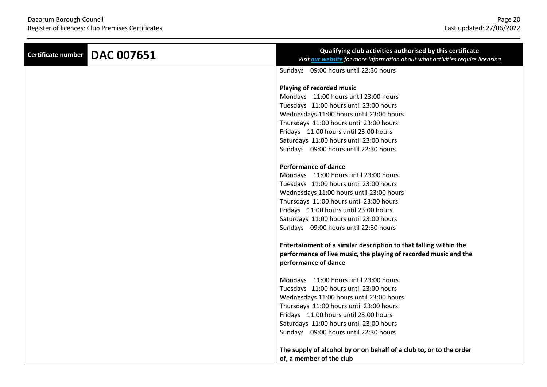| <b>DAC 007651</b><br>Certificate number | Qualifying club activities authorised by this certificate<br>Visit our website for more information about what activities require licensing                                                                                                                                                                                                                                                                                                                                                                                                  |
|-----------------------------------------|----------------------------------------------------------------------------------------------------------------------------------------------------------------------------------------------------------------------------------------------------------------------------------------------------------------------------------------------------------------------------------------------------------------------------------------------------------------------------------------------------------------------------------------------|
|                                         | Sundays 09:00 hours until 22:30 hours                                                                                                                                                                                                                                                                                                                                                                                                                                                                                                        |
|                                         | Playing of recorded music<br>Mondays 11:00 hours until 23:00 hours<br>Tuesdays 11:00 hours until 23:00 hours<br>Wednesdays 11:00 hours until 23:00 hours<br>Thursdays 11:00 hours until 23:00 hours<br>Fridays 11:00 hours until 23:00 hours<br>Saturdays 11:00 hours until 23:00 hours                                                                                                                                                                                                                                                      |
|                                         | Sundays 09:00 hours until 22:30 hours<br><b>Performance of dance</b><br>Mondays 11:00 hours until 23:00 hours<br>Tuesdays 11:00 hours until 23:00 hours<br>Wednesdays 11:00 hours until 23:00 hours<br>Thursdays 11:00 hours until 23:00 hours<br>Fridays 11:00 hours until 23:00 hours<br>Saturdays 11:00 hours until 23:00 hours<br>Sundays 09:00 hours until 22:30 hours<br>Entertainment of a similar description to that falling within the<br>performance of live music, the playing of recorded music and the<br>performance of dance |
|                                         | Mondays 11:00 hours until 23:00 hours<br>Tuesdays 11:00 hours until 23:00 hours<br>Wednesdays 11:00 hours until 23:00 hours<br>Thursdays 11:00 hours until 23:00 hours<br>Fridays 11:00 hours until 23:00 hours<br>Saturdays 11:00 hours until 23:00 hours<br>Sundays 09:00 hours until 22:30 hours<br>The supply of alcohol by or on behalf of a club to, or to the order<br>of, a member of the club                                                                                                                                       |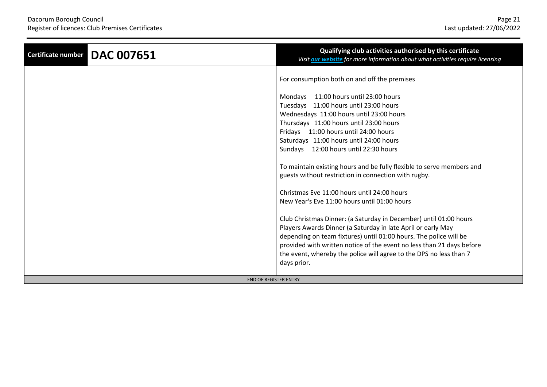| <b>DAC 007651</b><br><b>Certificate number</b> | Qualifying club activities authorised by this certificate<br>Visit our website for more information about what activities require licensing                                                                                                                                                                                                                          |
|------------------------------------------------|----------------------------------------------------------------------------------------------------------------------------------------------------------------------------------------------------------------------------------------------------------------------------------------------------------------------------------------------------------------------|
|                                                | For consumption both on and off the premises                                                                                                                                                                                                                                                                                                                         |
|                                                | Mondays 11:00 hours until 23:00 hours                                                                                                                                                                                                                                                                                                                                |
|                                                | Tuesdays 11:00 hours until 23:00 hours                                                                                                                                                                                                                                                                                                                               |
|                                                | Wednesdays 11:00 hours until 23:00 hours                                                                                                                                                                                                                                                                                                                             |
|                                                | Thursdays 11:00 hours until 23:00 hours                                                                                                                                                                                                                                                                                                                              |
|                                                | Fridays 11:00 hours until 24:00 hours                                                                                                                                                                                                                                                                                                                                |
|                                                | Saturdays 11:00 hours until 24:00 hours                                                                                                                                                                                                                                                                                                                              |
|                                                | Sundays 12:00 hours until 22:30 hours                                                                                                                                                                                                                                                                                                                                |
|                                                | To maintain existing hours and be fully flexible to serve members and<br>guests without restriction in connection with rugby.                                                                                                                                                                                                                                        |
|                                                | Christmas Eve 11:00 hours until 24:00 hours                                                                                                                                                                                                                                                                                                                          |
|                                                | New Year's Eve 11:00 hours until 01:00 hours                                                                                                                                                                                                                                                                                                                         |
|                                                | Club Christmas Dinner: (a Saturday in December) until 01:00 hours<br>Players Awards Dinner (a Saturday in late April or early May<br>depending on team fixtures) until 01:00 hours. The police will be<br>provided with written notice of the event no less than 21 days before<br>the event, whereby the police will agree to the DPS no less than 7<br>days prior. |
| - END OF REGISTER ENTRY -                      |                                                                                                                                                                                                                                                                                                                                                                      |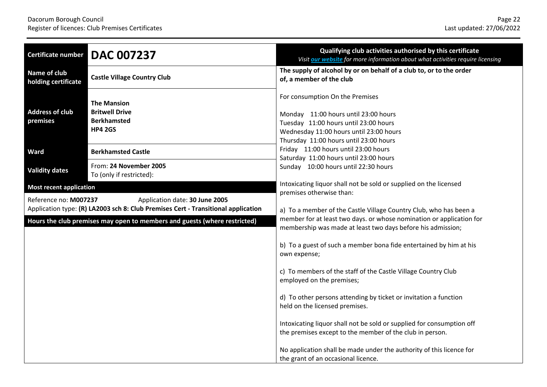| <b>Certificate number</b>                                                                                                                    | <b>DAC 007237</b>                                                                   | Qualifying club activities authorised by this certificate<br>Visit our website for more information about what activities require licensing                                                                                          |
|----------------------------------------------------------------------------------------------------------------------------------------------|-------------------------------------------------------------------------------------|--------------------------------------------------------------------------------------------------------------------------------------------------------------------------------------------------------------------------------------|
| Name of club<br>holding certificate                                                                                                          | <b>Castle Village Country Club</b>                                                  | The supply of alcohol by or on behalf of a club to, or to the order<br>of, a member of the club                                                                                                                                      |
| <b>Address of club</b><br>premises                                                                                                           | <b>The Mansion</b><br><b>Britwell Drive</b><br><b>Berkhamsted</b><br><b>HP4 2GS</b> | For consumption On the Premises<br>Monday 11:00 hours until 23:00 hours<br>Tuesday 11:00 hours until 23:00 hours<br>Wednesday 11:00 hours until 23:00 hours<br>Thursday 11:00 hours until 23:00 hours                                |
| <b>Ward</b>                                                                                                                                  | <b>Berkhamsted Castle</b>                                                           | Friday 11:00 hours until 23:00 hours                                                                                                                                                                                                 |
| <b>Validity dates</b>                                                                                                                        | From: 24 November 2005<br>To (only if restricted):                                  | Saturday 11:00 hours until 23:00 hours<br>Sunday 10:00 hours until 22:30 hours                                                                                                                                                       |
| <b>Most recent application</b>                                                                                                               |                                                                                     | Intoxicating liquor shall not be sold or supplied on the licensed                                                                                                                                                                    |
| Reference no: M007237<br>Application date: 30 June 2005<br>Application type: (R) LA2003 sch 8: Club Premises Cert - Transitional application |                                                                                     | premises otherwise than:<br>a) To a member of the Castle Village Country Club, who has been a<br>member for at least two days. or whose nomination or application for<br>membership was made at least two days before his admission; |
| Hours the club premises may open to members and guests (where restricted)                                                                    |                                                                                     |                                                                                                                                                                                                                                      |
|                                                                                                                                              |                                                                                     | b) To a guest of such a member bona fide entertained by him at his<br>own expense;                                                                                                                                                   |
|                                                                                                                                              |                                                                                     | c) To members of the staff of the Castle Village Country Club<br>employed on the premises;                                                                                                                                           |
|                                                                                                                                              |                                                                                     | d) To other persons attending by ticket or invitation a function<br>held on the licensed premises.                                                                                                                                   |
|                                                                                                                                              |                                                                                     | Intoxicating liquor shall not be sold or supplied for consumption off<br>the premises except to the member of the club in person.                                                                                                    |
|                                                                                                                                              |                                                                                     | No application shall be made under the authority of this licence for<br>the grant of an occasional licence.                                                                                                                          |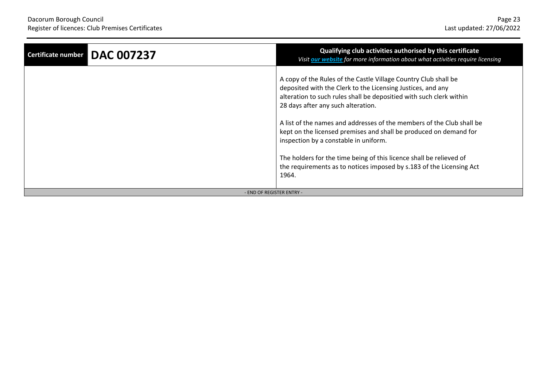| <b>DAC 007237</b><br>Certificate number | Qualifying club activities authorised by this certificate<br>Visit our website for more information about what activities require licensing                                                                                                                                                                                                                                                                                                                                                                                                                                                |  |
|-----------------------------------------|--------------------------------------------------------------------------------------------------------------------------------------------------------------------------------------------------------------------------------------------------------------------------------------------------------------------------------------------------------------------------------------------------------------------------------------------------------------------------------------------------------------------------------------------------------------------------------------------|--|
|                                         | A copy of the Rules of the Castle Village Country Club shall be<br>deposited with the Clerk to the Licensing Justices, and any<br>alteration to such rules shall be depositied with such clerk within<br>28 days after any such alteration.<br>A list of the names and addresses of the members of the Club shall be<br>kept on the licensed premises and shall be produced on demand for<br>inspection by a constable in uniform.<br>The holders for the time being of this licence shall be relieved of<br>the requirements as to notices imposed by s.183 of the Licensing Act<br>1964. |  |
| - END OF REGISTER ENTRY -               |                                                                                                                                                                                                                                                                                                                                                                                                                                                                                                                                                                                            |  |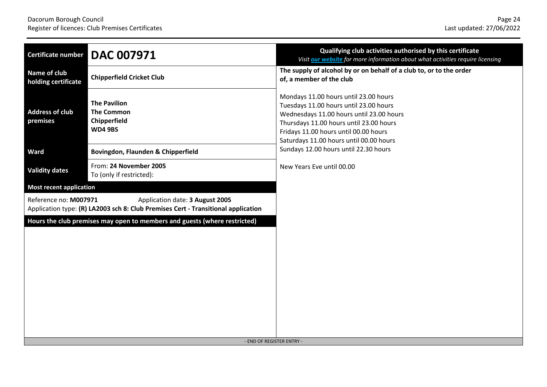| <b>DAC 007971</b><br>Certificate number                                                                                                       | Qualifying club activities authorised by this certificate<br>Visit our website for more information about what activities require licensing                                                                                                                |
|-----------------------------------------------------------------------------------------------------------------------------------------------|------------------------------------------------------------------------------------------------------------------------------------------------------------------------------------------------------------------------------------------------------------|
| Name of club<br><b>Chipperfield Cricket Club</b><br>holding certificate                                                                       | The supply of alcohol by or on behalf of a club to, or to the order<br>of, a member of the club                                                                                                                                                            |
| <b>The Pavilion</b><br><b>Address of club</b><br><b>The Common</b><br>Chipperfield<br>premises<br><b>WD4 9BS</b>                              | Mondays 11.00 hours until 23.00 hours<br>Tuesdays 11.00 hours until 23.00 hours<br>Wednesdays 11.00 hours until 23.00 hours<br>Thursdays 11.00 hours until 23.00 hours<br>Fridays 11.00 hours until 00.00 hours<br>Saturdays 11.00 hours until 00.00 hours |
| Ward<br>Bovingdon, Flaunden & Chipperfield                                                                                                    | Sundays 12.00 hours until 22.30 hours                                                                                                                                                                                                                      |
| From: 24 November 2005<br><b>Validity dates</b><br>To (only if restricted):                                                                   | New Years Eve until 00.00                                                                                                                                                                                                                                  |
| <b>Most recent application</b>                                                                                                                |                                                                                                                                                                                                                                                            |
| Reference no: M007971<br>Application date: 3 August 2005<br>Application type: (R) LA2003 sch 8: Club Premises Cert - Transitional application |                                                                                                                                                                                                                                                            |
| Hours the club premises may open to members and guests (where restricted)                                                                     | - END OF REGISTER ENTRY -                                                                                                                                                                                                                                  |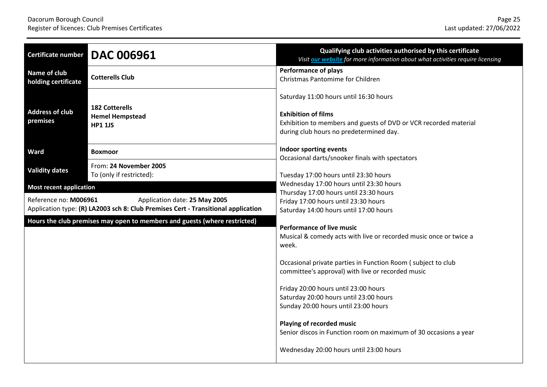| <b>Certificate number</b>                                                                                                                   | <b>DAC 006961</b>                                                 | Qualifying club activities authorised by this certificate<br>Visit our website for more information about what activities require licensing                                                                                                                                 |
|---------------------------------------------------------------------------------------------------------------------------------------------|-------------------------------------------------------------------|-----------------------------------------------------------------------------------------------------------------------------------------------------------------------------------------------------------------------------------------------------------------------------|
| Name of club<br>holding certificate                                                                                                         | <b>Cotterells Club</b>                                            | <b>Performance of plays</b><br>Christmas Pantomime for Children                                                                                                                                                                                                             |
| <b>Address of club</b><br>premises                                                                                                          | <b>182 Cotterells</b><br><b>Hemel Hempstead</b><br><b>HP1 1JS</b> | Saturday 11:00 hours until 16:30 hours<br><b>Exhibition of films</b><br>Exhibition to members and guests of DVD or VCR recorded material<br>during club hours no predetermined day.                                                                                         |
| Ward                                                                                                                                        | <b>Boxmoor</b>                                                    | Indoor sporting events                                                                                                                                                                                                                                                      |
| <b>Validity dates</b>                                                                                                                       | From: 24 November 2005<br>To (only if restricted):                | Occasional darts/snooker finals with spectators<br>Tuesday 17:00 hours until 23:30 hours                                                                                                                                                                                    |
| <b>Most recent application</b>                                                                                                              |                                                                   | Wednesday 17:00 hours until 23:30 hours<br>Thursday 17:00 hours until 23:30 hours                                                                                                                                                                                           |
| Reference no: M006961<br>Application date: 25 May 2005<br>Application type: (R) LA2003 sch 8: Club Premises Cert - Transitional application |                                                                   | Friday 17:00 hours until 23:30 hours<br>Saturday 14:00 hours until 17:00 hours                                                                                                                                                                                              |
| Hours the club premises may open to members and guests (where restricted)                                                                   |                                                                   | <b>Performance of live music</b><br>Musical & comedy acts with live or recorded music once or twice a<br>week.<br>Occasional private parties in Function Room (subject to club<br>committee's approval) with live or recorded music<br>Friday 20:00 hours until 23:00 hours |
|                                                                                                                                             |                                                                   | Saturday 20:00 hours until 23:00 hours<br>Sunday 20:00 hours until 23:00 hours<br>Playing of recorded music<br>Senior discos in Function room on maximum of 30 occasions a year<br>Wednesday 20:00 hours until 23:00 hours                                                  |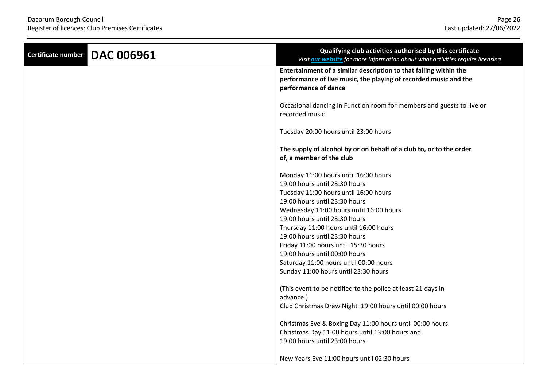| <b>DAC 006961</b><br><b>Certificate number</b> | Qualifying club activities authorised by this certificate<br>Visit our website for more information about what activities require licensing                                                                                                                                                                                                                                                                                                                                                                                       |
|------------------------------------------------|-----------------------------------------------------------------------------------------------------------------------------------------------------------------------------------------------------------------------------------------------------------------------------------------------------------------------------------------------------------------------------------------------------------------------------------------------------------------------------------------------------------------------------------|
|                                                | Entertainment of a similar description to that falling within the<br>performance of live music, the playing of recorded music and the<br>performance of dance                                                                                                                                                                                                                                                                                                                                                                     |
|                                                | Occasional dancing in Function room for members and guests to live or<br>recorded music                                                                                                                                                                                                                                                                                                                                                                                                                                           |
|                                                | Tuesday 20:00 hours until 23:00 hours                                                                                                                                                                                                                                                                                                                                                                                                                                                                                             |
|                                                | The supply of alcohol by or on behalf of a club to, or to the order<br>of, a member of the club                                                                                                                                                                                                                                                                                                                                                                                                                                   |
|                                                | Monday 11:00 hours until 16:00 hours<br>19:00 hours until 23:30 hours<br>Tuesday 11:00 hours until 16:00 hours<br>19:00 hours until 23:30 hours<br>Wednesday 11:00 hours until 16:00 hours<br>19:00 hours until 23:30 hours<br>Thursday 11:00 hours until 16:00 hours<br>19:00 hours until 23:30 hours<br>Friday 11:00 hours until 15:30 hours<br>19:00 hours until 00:00 hours<br>Saturday 11:00 hours until 00:00 hours<br>Sunday 11:00 hours until 23:30 hours<br>(This event to be notified to the police at least 21 days in |
|                                                | advance.)                                                                                                                                                                                                                                                                                                                                                                                                                                                                                                                         |
|                                                | Club Christmas Draw Night 19:00 hours until 00:00 hours                                                                                                                                                                                                                                                                                                                                                                                                                                                                           |
|                                                | Christmas Eve & Boxing Day 11:00 hours until 00:00 hours<br>Christmas Day 11:00 hours until 13:00 hours and                                                                                                                                                                                                                                                                                                                                                                                                                       |
|                                                | 19:00 hours until 23:00 hours                                                                                                                                                                                                                                                                                                                                                                                                                                                                                                     |
|                                                | New Years Eve 11:00 hours until 02:30 hours                                                                                                                                                                                                                                                                                                                                                                                                                                                                                       |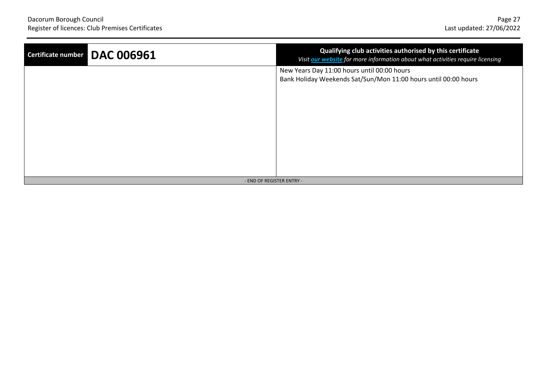| <b>DAC 006961</b><br>Certificate number | Qualifying club activities authorised by this certificate<br>Visit our website for more information about what activities require licensing |
|-----------------------------------------|---------------------------------------------------------------------------------------------------------------------------------------------|
|                                         | New Years Day 11:00 hours until 00:00 hours<br>Bank Holiday Weekends Sat/Sun/Mon 11:00 hours until 00:00 hours                              |
|                                         |                                                                                                                                             |
|                                         |                                                                                                                                             |
|                                         |                                                                                                                                             |
| - END OF REGISTER ENTRY -               |                                                                                                                                             |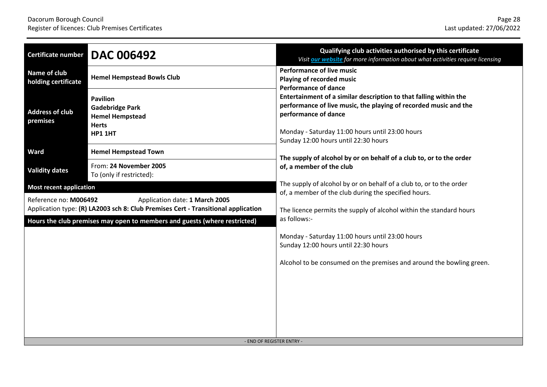| Certificate number                                                                                                                           | <b>DAC 006492</b>                                                                              | Qualifying club activities authorised by this certificate<br>Visit our website for more information about what activities require licensing                                                                                                              |
|----------------------------------------------------------------------------------------------------------------------------------------------|------------------------------------------------------------------------------------------------|----------------------------------------------------------------------------------------------------------------------------------------------------------------------------------------------------------------------------------------------------------|
| Name of club<br>holding certificate                                                                                                          | <b>Hemel Hempstead Bowls Club</b>                                                              | <b>Performance of live music</b><br>Playing of recorded music<br><b>Performance of dance</b>                                                                                                                                                             |
| <b>Address of club</b><br>premises                                                                                                           | <b>Pavilion</b><br><b>Gadebridge Park</b><br><b>Hemel Hempstead</b><br><b>Herts</b><br>HP1 1HT | Entertainment of a similar description to that falling within the<br>performance of live music, the playing of recorded music and the<br>performance of dance<br>Monday - Saturday 11:00 hours until 23:00 hours<br>Sunday 12:00 hours until 22:30 hours |
| Ward                                                                                                                                         | <b>Hemel Hempstead Town</b>                                                                    | The supply of alcohol by or on behalf of a club to, or to the order                                                                                                                                                                                      |
| <b>Validity dates</b>                                                                                                                        | From: 24 November 2005<br>To (only if restricted):                                             | of, a member of the club                                                                                                                                                                                                                                 |
| <b>Most recent application</b>                                                                                                               |                                                                                                | The supply of alcohol by or on behalf of a club to, or to the order                                                                                                                                                                                      |
| Reference no: M006492<br>Application date: 1 March 2005<br>Application type: (R) LA2003 sch 8: Club Premises Cert - Transitional application |                                                                                                | of, a member of the club during the specified hours.<br>The licence permits the supply of alcohol within the standard hours                                                                                                                              |
|                                                                                                                                              | Hours the club premises may open to members and guests (where restricted)                      | as follows:-                                                                                                                                                                                                                                             |
|                                                                                                                                              |                                                                                                | Monday - Saturday 11:00 hours until 23:00 hours<br>Sunday 12:00 hours until 22:30 hours                                                                                                                                                                  |
|                                                                                                                                              |                                                                                                | Alcohol to be consumed on the premises and around the bowling green.                                                                                                                                                                                     |
|                                                                                                                                              |                                                                                                |                                                                                                                                                                                                                                                          |
|                                                                                                                                              |                                                                                                |                                                                                                                                                                                                                                                          |
|                                                                                                                                              | - END OF REGISTER ENTRY -                                                                      |                                                                                                                                                                                                                                                          |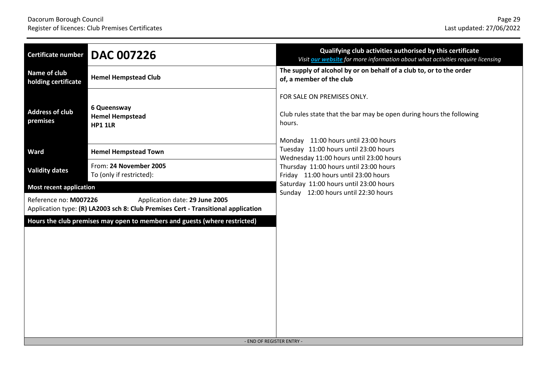| <b>DAC 007226</b><br>Certificate number                                                                                                      | Qualifying club activities authorised by this certificate<br>Visit our website for more information about what activities require licensing          |
|----------------------------------------------------------------------------------------------------------------------------------------------|------------------------------------------------------------------------------------------------------------------------------------------------------|
| Name of club<br><b>Hemel Hempstead Club</b><br>holding certificate                                                                           | The supply of alcohol by or on behalf of a club to, or to the order<br>of, a member of the club                                                      |
| 6 Queensway<br><b>Address of club</b><br><b>Hemel Hempstead</b><br>premises<br><b>HP1 1LR</b>                                                | FOR SALE ON PREMISES ONLY.<br>Club rules state that the bar may be open during hours the following<br>hours.<br>Monday 11:00 hours until 23:00 hours |
| Ward<br><b>Hemel Hempstead Town</b>                                                                                                          | Tuesday 11:00 hours until 23:00 hours<br>Wednesday 11:00 hours until 23:00 hours                                                                     |
| From: 24 November 2005<br><b>Validity dates</b><br>To (only if restricted):                                                                  | Thursday 11:00 hours until 23:00 hours<br>Friday 11:00 hours until 23:00 hours                                                                       |
| <b>Most recent application</b>                                                                                                               | Saturday 11:00 hours until 23:00 hours<br>Sunday 12:00 hours until 22:30 hours                                                                       |
| Reference no: M007226<br>Application date: 29 June 2005<br>Application type: (R) LA2003 sch 8: Club Premises Cert - Transitional application |                                                                                                                                                      |
| Hours the club premises may open to members and guests (where restricted)                                                                    | - END OF REGISTER ENTRY -                                                                                                                            |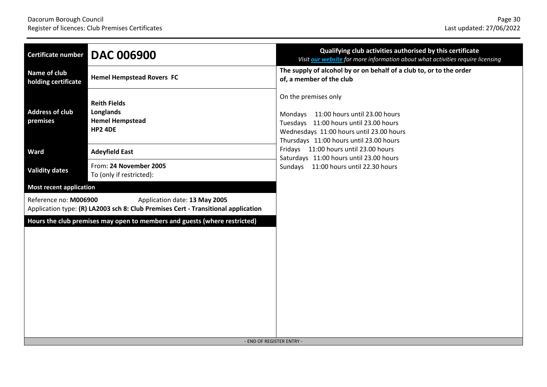| <b>DAC 006900</b><br>Certificate number                                                                                                     | Qualifying club activities authorised by this certificate<br>Visit our website for more information about what activities require licensing                                                    |
|---------------------------------------------------------------------------------------------------------------------------------------------|------------------------------------------------------------------------------------------------------------------------------------------------------------------------------------------------|
| Name of club<br><b>Hemel Hempstead Rovers FC</b><br>holding certificate                                                                     | The supply of alcohol by or on behalf of a club to, or to the order<br>of, a member of the club                                                                                                |
| <b>Reith Fields</b><br><b>Address of club</b><br>Longlands<br>premises<br><b>Hemel Hempstead</b><br><b>HP2 4DE</b>                          | On the premises only<br>Mondays 11:00 hours until 23.00 hours<br>Tuesdays 11:00 hours until 23.00 hours<br>Wednesdays 11:00 hours until 23.00 hours<br>Thursdays 11:00 hours until 23.00 hours |
| Ward<br><b>Adeyfield East</b>                                                                                                               | Fridays 11:00 hours until 23.00 hours<br>Saturdays 11:00 hours until 23.00 hours                                                                                                               |
| From: 24 November 2005<br><b>Validity dates</b><br>To (only if restricted):                                                                 | Sundays 11:00 hours until 22.30 hours                                                                                                                                                          |
| <b>Most recent application</b>                                                                                                              |                                                                                                                                                                                                |
| Reference no: M006900<br>Application date: 13 May 2005<br>Application type: (R) LA2003 sch 8: Club Premises Cert - Transitional application |                                                                                                                                                                                                |
| Hours the club premises may open to members and guests (where restricted)                                                                   | - END OF REGISTER ENTRY -                                                                                                                                                                      |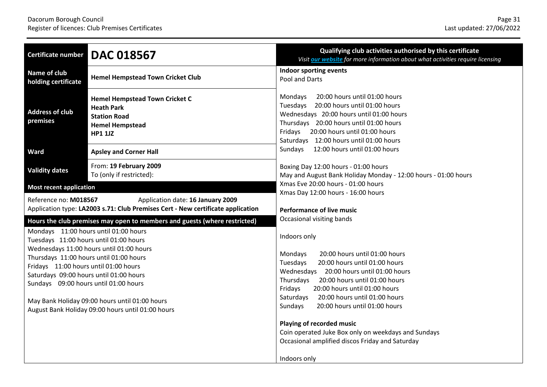| <b>Certificate number</b>                                                                                                                                           | <b>DAC 018567</b>                                                                                                                                                                                                                                                                                                | Qualifying club activities authorised by this certificate<br>Visit our website for more information about what activities require licensing                                                                                                                                                                                                                                                                                                                                                                                      |
|---------------------------------------------------------------------------------------------------------------------------------------------------------------------|------------------------------------------------------------------------------------------------------------------------------------------------------------------------------------------------------------------------------------------------------------------------------------------------------------------|----------------------------------------------------------------------------------------------------------------------------------------------------------------------------------------------------------------------------------------------------------------------------------------------------------------------------------------------------------------------------------------------------------------------------------------------------------------------------------------------------------------------------------|
| Name of club<br>holding certificate                                                                                                                                 | <b>Hemel Hempstead Town Cricket Club</b>                                                                                                                                                                                                                                                                         | <b>Indoor sporting events</b><br>Pool and Darts                                                                                                                                                                                                                                                                                                                                                                                                                                                                                  |
| <b>Address of club</b><br>premises                                                                                                                                  | <b>Hemel Hempstead Town Cricket C</b><br><b>Heath Park</b><br><b>Station Road</b><br><b>Hemel Hempstead</b><br><b>HP1 1JZ</b>                                                                                                                                                                                    | Mondays<br>20:00 hours until 01:00 hours<br>Tuesdays 20:00 hours until 01:00 hours<br>Wednesdays 20:00 hours until 01:00 hours<br>Thursdays 20:00 hours until 01:00 hours<br>Fridays 20:00 hours until 01:00 hours<br>Saturdays 12:00 hours until 01:00 hours                                                                                                                                                                                                                                                                    |
| Ward                                                                                                                                                                | <b>Apsley and Corner Hall</b>                                                                                                                                                                                                                                                                                    | 12:00 hours until 01:00 hours<br>Sundays                                                                                                                                                                                                                                                                                                                                                                                                                                                                                         |
| <b>Validity dates</b>                                                                                                                                               | From: 19 February 2009<br>To (only if restricted):                                                                                                                                                                                                                                                               | Boxing Day 12:00 hours - 01:00 hours<br>May and August Bank Holiday Monday - 12:00 hours - 01:00 hours                                                                                                                                                                                                                                                                                                                                                                                                                           |
| <b>Most recent application</b>                                                                                                                                      |                                                                                                                                                                                                                                                                                                                  | Xmas Eve 20:00 hours - 01:00 hours<br>Xmas Day 12:00 hours - 16:00 hours                                                                                                                                                                                                                                                                                                                                                                                                                                                         |
| Reference no: M018567                                                                                                                                               | Application date: 16 January 2009<br>Application type: LA2003 s.71: Club Premises Cert - New certificate application                                                                                                                                                                                             | <b>Performance of live music</b>                                                                                                                                                                                                                                                                                                                                                                                                                                                                                                 |
| Tuesdays 11:00 hours until 01:00 hours<br>Fridays 11:00 hours until 01:00 hours<br>Saturdays 09:00 hours until 01:00 hours<br>Sundays 09:00 hours until 01:00 hours | Hours the club premises may open to members and guests (where restricted)<br>Mondays 11:00 hours until 01:00 hours<br>Wednesdays 11:00 hours until 01:00 hours<br>Thursdays 11:00 hours until 01:00 hours<br>May Bank Holiday 09:00 hours until 01:00 hours<br>August Bank Holiday 09:00 hours until 01:00 hours | Occasional visiting bands<br>Indoors only<br>20:00 hours until 01:00 hours<br>Mondays<br>Tuesdays<br>20:00 hours until 01:00 hours<br>Wednesdays 20:00 hours until 01:00 hours<br>20:00 hours until 01:00 hours<br>Thursdays<br>Fridays<br>20:00 hours until 01:00 hours<br>20:00 hours until 01:00 hours<br>Saturdays<br>Sundays<br>20:00 hours until 01:00 hours<br><b>Playing of recorded music</b><br>Coin operated Juke Box only on weekdays and Sundays<br>Occasional amplified discos Friday and Saturday<br>Indoors only |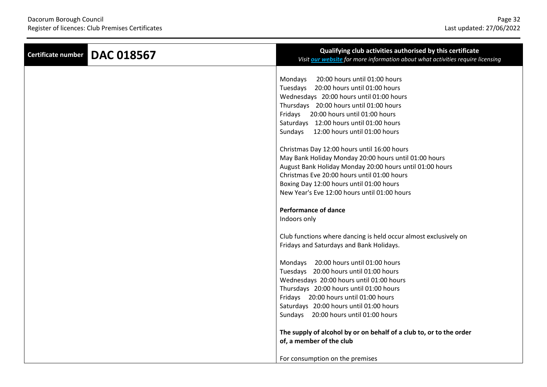| <b>DAC 018567</b><br><b>Certificate number</b> | Qualifying club activities authorised by this certificate<br>Visit <b>our website</b> for more information about what activities require licensing                                                                                                                                                          |
|------------------------------------------------|-------------------------------------------------------------------------------------------------------------------------------------------------------------------------------------------------------------------------------------------------------------------------------------------------------------|
|                                                | 20:00 hours until 01:00 hours<br>Mondays<br>Tuesdays 20:00 hours until 01:00 hours<br>Wednesdays 20:00 hours until 01:00 hours<br>Thursdays 20:00 hours until 01:00 hours<br>Fridays 20:00 hours until 01:00 hours<br>Saturdays 12:00 hours until 01:00 hours<br>Sundays 12:00 hours until 01:00 hours      |
|                                                | Christmas Day 12:00 hours until 16:00 hours<br>May Bank Holiday Monday 20:00 hours until 01:00 hours<br>August Bank Holiday Monday 20:00 hours until 01:00 hours<br>Christmas Eve 20:00 hours until 01:00 hours<br>Boxing Day 12:00 hours until 01:00 hours<br>New Year's Eve 12:00 hours until 01:00 hours |
|                                                | <b>Performance of dance</b><br>Indoors only                                                                                                                                                                                                                                                                 |
|                                                | Club functions where dancing is held occur almost exclusively on<br>Fridays and Saturdays and Bank Holidays.                                                                                                                                                                                                |
|                                                | Mondays 20:00 hours until 01:00 hours<br>Tuesdays 20:00 hours until 01:00 hours<br>Wednesdays 20:00 hours until 01:00 hours<br>Thursdays 20:00 hours until 01:00 hours<br>Fridays 20:00 hours until 01:00 hours<br>Saturdays 20:00 hours until 01:00 hours<br>Sundays 20:00 hours until 01:00 hours         |
|                                                | The supply of alcohol by or on behalf of a club to, or to the order<br>of, a member of the club<br>For consumption on the premises                                                                                                                                                                          |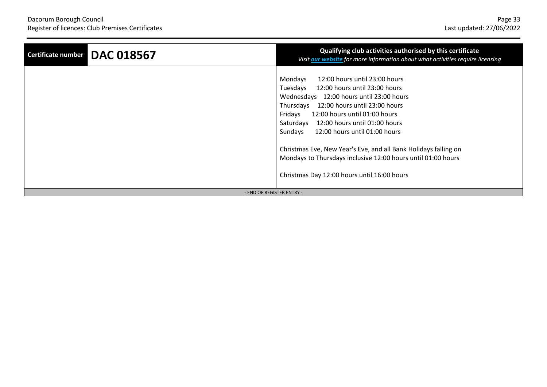| <b>DAC 018567</b><br>Certificate number | Qualifying club activities authorised by this certificate<br>Visit our website for more information about what activities require licensing                                                                                                                                                                                                                                                                                                                                                          |
|-----------------------------------------|------------------------------------------------------------------------------------------------------------------------------------------------------------------------------------------------------------------------------------------------------------------------------------------------------------------------------------------------------------------------------------------------------------------------------------------------------------------------------------------------------|
|                                         | 12:00 hours until 23:00 hours<br>Mondays<br>Tuesdays<br>12:00 hours until 23:00 hours<br>Wednesdays 12:00 hours until 23:00 hours<br>12:00 hours until 23:00 hours<br>Thursdays<br>Fridays<br>12:00 hours until 01:00 hours<br>Saturdays 12:00 hours until 01:00 hours<br>Sundays<br>12:00 hours until 01:00 hours<br>Christmas Eve, New Year's Eve, and all Bank Holidays falling on<br>Mondays to Thursdays inclusive 12:00 hours until 01:00 hours<br>Christmas Day 12:00 hours until 16:00 hours |
| - END OF REGISTER ENTRY -               |                                                                                                                                                                                                                                                                                                                                                                                                                                                                                                      |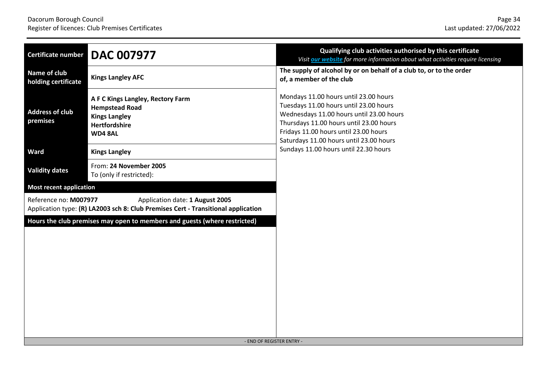| Certificate number                  | <b>DAC 007977</b>                                                                                                    | Qualifying club activities authorised by this certificate<br>Visit our website for more information about what activities require licensing                                                                                                                |
|-------------------------------------|----------------------------------------------------------------------------------------------------------------------|------------------------------------------------------------------------------------------------------------------------------------------------------------------------------------------------------------------------------------------------------------|
| Name of club<br>holding certificate | <b>Kings Langley AFC</b>                                                                                             | The supply of alcohol by or on behalf of a club to, or to the order<br>of, a member of the club                                                                                                                                                            |
| <b>Address of club</b><br>premises  | A F C Kings Langley, Rectory Farm<br><b>Hempstead Road</b><br><b>Kings Langley</b><br>Hertfordshire<br>WD48AL        | Mondays 11.00 hours until 23.00 hours<br>Tuesdays 11.00 hours until 23.00 hours<br>Wednesdays 11.00 hours until 23.00 hours<br>Thursdays 11.00 hours until 23.00 hours<br>Fridays 11.00 hours until 23.00 hours<br>Saturdays 11.00 hours until 23.00 hours |
| <b>Ward</b>                         | <b>Kings Langley</b>                                                                                                 | Sundays 11.00 hours until 22.30 hours                                                                                                                                                                                                                      |
| <b>Validity dates</b>               | From: 24 November 2005<br>To (only if restricted):                                                                   |                                                                                                                                                                                                                                                            |
| <b>Most recent application</b>      |                                                                                                                      |                                                                                                                                                                                                                                                            |
| Reference no: M007977               | Application date: 1 August 2005<br>Application type: (R) LA2003 sch 8: Club Premises Cert - Transitional application |                                                                                                                                                                                                                                                            |
|                                     | Hours the club premises may open to members and guests (where restricted)<br>- END OF REGISTER ENTRY -               |                                                                                                                                                                                                                                                            |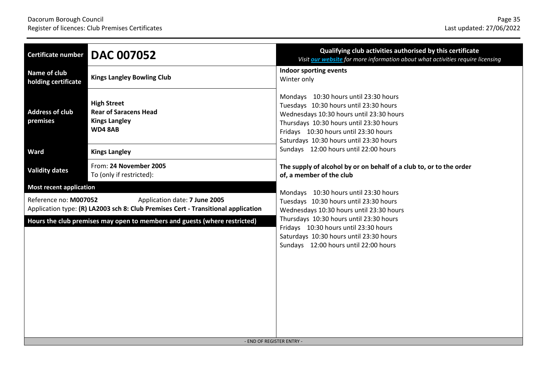| <b>Certificate number</b>           | <b>DAC 007052</b>                                                                                                  | Qualifying club activities authorised by this certificate<br>Visit our website for more information about what activities require licensing                                                                                                                |
|-------------------------------------|--------------------------------------------------------------------------------------------------------------------|------------------------------------------------------------------------------------------------------------------------------------------------------------------------------------------------------------------------------------------------------------|
| Name of club<br>holding certificate | <b>Kings Langley Bowling Club</b>                                                                                  | Indoor sporting events<br>Winter only                                                                                                                                                                                                                      |
| <b>Address of club</b><br>premises  | <b>High Street</b><br><b>Rear of Saracens Head</b><br><b>Kings Langley</b><br><b>WD4 8AB</b>                       | Mondays 10:30 hours until 23:30 hours<br>Tuesdays 10:30 hours until 23:30 hours<br>Wednesdays 10:30 hours until 23:30 hours<br>Thursdays 10:30 hours until 23:30 hours<br>Fridays 10:30 hours until 23:30 hours<br>Saturdays 10:30 hours until 23:30 hours |
| <b>Ward</b>                         | <b>Kings Langley</b>                                                                                               | Sundays 12:00 hours until 22:00 hours                                                                                                                                                                                                                      |
| <b>Validity dates</b>               | From: 24 November 2005<br>To (only if restricted):                                                                 | The supply of alcohol by or on behalf of a club to, or to the order<br>of, a member of the club                                                                                                                                                            |
| <b>Most recent application</b>      |                                                                                                                    | Mondays 10:30 hours until 23:30 hours                                                                                                                                                                                                                      |
| Reference no: M007052               | Application date: 7 June 2005<br>Application type: (R) LA2003 sch 8: Club Premises Cert - Transitional application | Tuesdays 10:30 hours until 23:30 hours<br>Wednesdays 10:30 hours until 23:30 hours                                                                                                                                                                         |
|                                     | Hours the club premises may open to members and guests (where restricted)                                          | Thursdays 10:30 hours until 23:30 hours<br>Fridays 10:30 hours until 23:30 hours<br>Saturdays 10:30 hours until 23:30 hours<br>Sundays 12:00 hours until 22:00 hours                                                                                       |
|                                     | - END OF REGISTER ENTRY -                                                                                          |                                                                                                                                                                                                                                                            |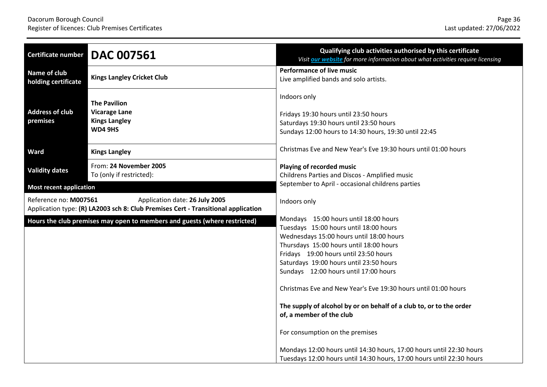| Qualifying club activities authorised by this certificate<br>Visit our website for more information about what activities require licensing                                                                                                                                                                                                                                                                                                                                                                                                                                                                                                                  |
|--------------------------------------------------------------------------------------------------------------------------------------------------------------------------------------------------------------------------------------------------------------------------------------------------------------------------------------------------------------------------------------------------------------------------------------------------------------------------------------------------------------------------------------------------------------------------------------------------------------------------------------------------------------|
| <b>Performance of live music</b><br>Live amplified bands and solo artists.                                                                                                                                                                                                                                                                                                                                                                                                                                                                                                                                                                                   |
| Indoors only<br>Fridays 19:30 hours until 23:50 hours<br>Saturdays 19:30 hours until 23:50 hours<br>Sundays 12:00 hours to 14:30 hours, 19:30 until 22:45                                                                                                                                                                                                                                                                                                                                                                                                                                                                                                    |
| Christmas Eve and New Year's Eve 19:30 hours until 01:00 hours                                                                                                                                                                                                                                                                                                                                                                                                                                                                                                                                                                                               |
| <b>Playing of recorded music</b><br>Childrens Parties and Discos - Amplified music                                                                                                                                                                                                                                                                                                                                                                                                                                                                                                                                                                           |
| September to April - occasional childrens parties                                                                                                                                                                                                                                                                                                                                                                                                                                                                                                                                                                                                            |
| Indoors only                                                                                                                                                                                                                                                                                                                                                                                                                                                                                                                                                                                                                                                 |
| Mondays 15:00 hours until 18:00 hours<br>Tuesdays 15:00 hours until 18:00 hours<br>Wednesdays 15:00 hours until 18:00 hours<br>Thursdays 15:00 hours until 18:00 hours<br>Fridays 19:00 hours until 23:50 hours<br>Saturdays 19:00 hours until 23:50 hours<br>Sundays 12:00 hours until 17:00 hours<br>Christmas Eve and New Year's Eve 19:30 hours until 01:00 hours<br>The supply of alcohol by or on behalf of a club to, or to the order<br>of, a member of the club<br>For consumption on the premises<br>Mondays 12:00 hours until 14:30 hours, 17:00 hours until 22:30 hours<br>Tuesdays 12:00 hours until 14:30 hours, 17:00 hours until 22:30 hours |
|                                                                                                                                                                                                                                                                                                                                                                                                                                                                                                                                                                                                                                                              |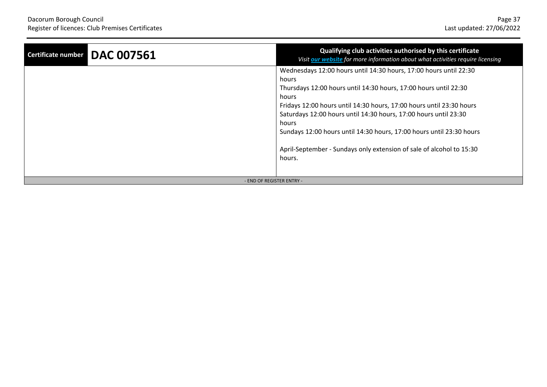| <b>DAC 007561</b><br>Certificate number | Qualifying club activities authorised by this certificate<br>Visit our website for more information about what activities require licensing                                                                                                                                                                                                                                                                                                                            |
|-----------------------------------------|------------------------------------------------------------------------------------------------------------------------------------------------------------------------------------------------------------------------------------------------------------------------------------------------------------------------------------------------------------------------------------------------------------------------------------------------------------------------|
|                                         | Wednesdays 12:00 hours until 14:30 hours, 17:00 hours until 22:30<br>hours<br>Thursdays 12:00 hours until 14:30 hours, 17:00 hours until 22:30<br>hours<br>Fridays 12:00 hours until 14:30 hours, 17:00 hours until 23:30 hours<br>Saturdays 12:00 hours until 14:30 hours, 17:00 hours until 23:30<br>hours<br>Sundays 12:00 hours until 14:30 hours, 17:00 hours until 23:30 hours<br>April-September - Sundays only extension of sale of alcohol to 15:30<br>hours. |
| - END OF REGISTER ENTRY -               |                                                                                                                                                                                                                                                                                                                                                                                                                                                                        |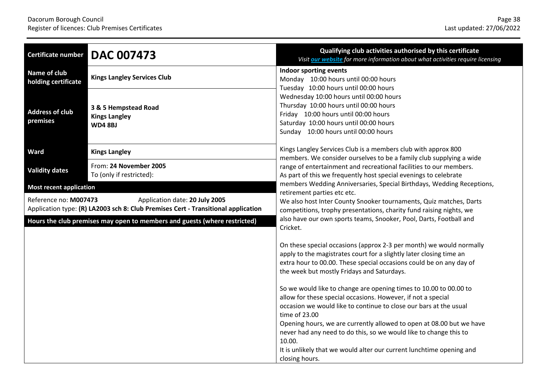| <b>Certificate number</b>                                                                                                                    | <b>DAC 007473</b>                                             | Qualifying club activities authorised by this certificate<br>Visit our website for more information about what activities require licensing                                                                                                                     |
|----------------------------------------------------------------------------------------------------------------------------------------------|---------------------------------------------------------------|-----------------------------------------------------------------------------------------------------------------------------------------------------------------------------------------------------------------------------------------------------------------|
| Name of club<br>holding certificate                                                                                                          | <b>Kings Langley Services Club</b>                            | Indoor sporting events<br>Monday 10:00 hours until 00:00 hours                                                                                                                                                                                                  |
| <b>Address of club</b><br>premises                                                                                                           | 3 & 5 Hempstead Road<br><b>Kings Langley</b><br><b>WD48BJ</b> | Tuesday 10:00 hours until 00:00 hours<br>Wednesday 10:00 hours until 00:00 hours<br>Thursday 10:00 hours until 00:00 hours<br>Friday 10:00 hours until 00:00 hours<br>Saturday 10:00 hours until 00:00 hours<br>Sunday 10:00 hours until 00:00 hours            |
| Ward                                                                                                                                         | <b>Kings Langley</b>                                          | Kings Langley Services Club is a members club with approx 800<br>members. We consider ourselves to be a family club supplying a wide                                                                                                                            |
| <b>Validity dates</b>                                                                                                                        | From: 24 November 2005<br>To (only if restricted):            | range of entertainment and recreational facilities to our members.<br>As part of this we frequently host special evenings to celebrate                                                                                                                          |
| <b>Most recent application</b>                                                                                                               |                                                               | members Wedding Anniversaries, Special Birthdays, Wedding Receptions,<br>retirement parties etc etc.                                                                                                                                                            |
| Reference no: M007473<br>Application date: 20 July 2005<br>Application type: (R) LA2003 sch 8: Club Premises Cert - Transitional application |                                                               | We also host Inter County Snooker tournaments, Quiz matches, Darts<br>competitions, trophy presentations, charity fund raising nights, we<br>also have our own sports teams, Snooker, Pool, Darts, Football and<br>Cricket.                                     |
| Hours the club premises may open to members and guests (where restricted)                                                                    |                                                               |                                                                                                                                                                                                                                                                 |
|                                                                                                                                              |                                                               | On these special occasions (approx 2-3 per month) we would normally<br>apply to the magistrates court for a slightly later closing time an<br>extra hour to 00.00. These special occasions could be on any day of<br>the week but mostly Fridays and Saturdays. |
|                                                                                                                                              |                                                               | So we would like to change are opening times to 10.00 to 00.00 to<br>allow for these special occasions. However, if not a special<br>occasion we would like to continue to close our bars at the usual<br>time of 23.00                                         |
|                                                                                                                                              |                                                               | Opening hours, we are currently allowed to open at 08.00 but we have<br>never had any need to do this, so we would like to change this to<br>10.00.<br>It is unlikely that we would alter our current lunchtime opening and<br>closing hours.                   |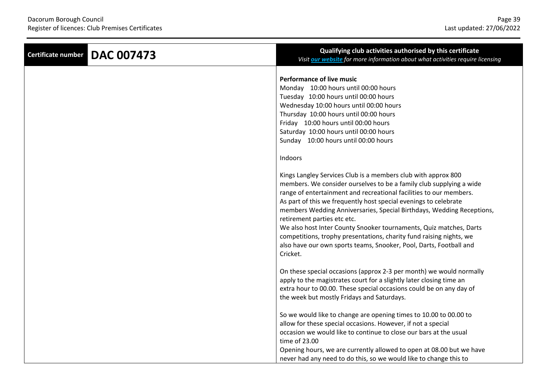| <b>DAC 007473</b><br><b>Certificate number</b> | Qualifying club activities authorised by this certificate<br>Visit <b>our website</b> for more information about what activities require licensing                                                                                                                                                                                                                                                                                                                                                                                                                                                                    |
|------------------------------------------------|-----------------------------------------------------------------------------------------------------------------------------------------------------------------------------------------------------------------------------------------------------------------------------------------------------------------------------------------------------------------------------------------------------------------------------------------------------------------------------------------------------------------------------------------------------------------------------------------------------------------------|
|                                                | <b>Performance of live music</b><br>Monday 10:00 hours until 00:00 hours<br>Tuesday 10:00 hours until 00:00 hours<br>Wednesday 10:00 hours until 00:00 hours<br>Thursday 10:00 hours until 00:00 hours<br>Friday 10:00 hours until 00:00 hours<br>Saturday 10:00 hours until 00:00 hours<br>Sunday 10:00 hours until 00:00 hours<br>Indoors                                                                                                                                                                                                                                                                           |
|                                                | Kings Langley Services Club is a members club with approx 800<br>members. We consider ourselves to be a family club supplying a wide<br>range of entertainment and recreational facilities to our members.<br>As part of this we frequently host special evenings to celebrate<br>members Wedding Anniversaries, Special Birthdays, Wedding Receptions,<br>retirement parties etc etc.<br>We also host Inter County Snooker tournaments, Quiz matches, Darts<br>competitions, trophy presentations, charity fund raising nights, we<br>also have our own sports teams, Snooker, Pool, Darts, Football and<br>Cricket. |
|                                                | On these special occasions (approx 2-3 per month) we would normally<br>apply to the magistrates court for a slightly later closing time an<br>extra hour to 00.00. These special occasions could be on any day of<br>the week but mostly Fridays and Saturdays.                                                                                                                                                                                                                                                                                                                                                       |
|                                                | So we would like to change are opening times to 10.00 to 00.00 to<br>allow for these special occasions. However, if not a special<br>occasion we would like to continue to close our bars at the usual<br>time of 23.00<br>Opening hours, we are currently allowed to open at 08.00 but we have<br>never had any need to do this, so we would like to change this to                                                                                                                                                                                                                                                  |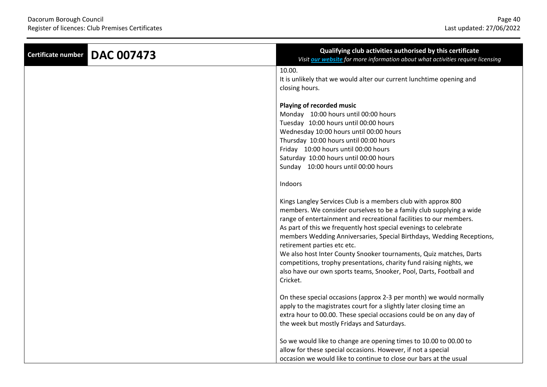| <b>DAC 007473</b><br>Certificate number | Qualifying club activities authorised by this certificate<br>Visit <b>our website</b> for more information about what activities require licensing                                                                                                                                                                                                                                                                                                                                                                                                                                                                               |
|-----------------------------------------|----------------------------------------------------------------------------------------------------------------------------------------------------------------------------------------------------------------------------------------------------------------------------------------------------------------------------------------------------------------------------------------------------------------------------------------------------------------------------------------------------------------------------------------------------------------------------------------------------------------------------------|
|                                         | 10.00.<br>It is unlikely that we would alter our current lunchtime opening and<br>closing hours.                                                                                                                                                                                                                                                                                                                                                                                                                                                                                                                                 |
|                                         | Playing of recorded music<br>Monday 10:00 hours until 00:00 hours<br>Tuesday 10:00 hours until 00:00 hours<br>Wednesday 10:00 hours until 00:00 hours<br>Thursday 10:00 hours until 00:00 hours<br>Friday 10:00 hours until 00:00 hours<br>Saturday 10:00 hours until 00:00 hours<br>Sunday 10:00 hours until 00:00 hours                                                                                                                                                                                                                                                                                                        |
|                                         | Indoors<br>Kings Langley Services Club is a members club with approx 800<br>members. We consider ourselves to be a family club supplying a wide<br>range of entertainment and recreational facilities to our members.<br>As part of this we frequently host special evenings to celebrate<br>members Wedding Anniversaries, Special Birthdays, Wedding Receptions,<br>retirement parties etc etc.<br>We also host Inter County Snooker tournaments, Quiz matches, Darts<br>competitions, trophy presentations, charity fund raising nights, we<br>also have our own sports teams, Snooker, Pool, Darts, Football and<br>Cricket. |
|                                         | On these special occasions (approx 2-3 per month) we would normally<br>apply to the magistrates court for a slightly later closing time an<br>extra hour to 00.00. These special occasions could be on any day of<br>the week but mostly Fridays and Saturdays.<br>So we would like to change are opening times to 10.00 to 00.00 to<br>allow for these special occasions. However, if not a special                                                                                                                                                                                                                             |
|                                         | occasion we would like to continue to close our bars at the usual                                                                                                                                                                                                                                                                                                                                                                                                                                                                                                                                                                |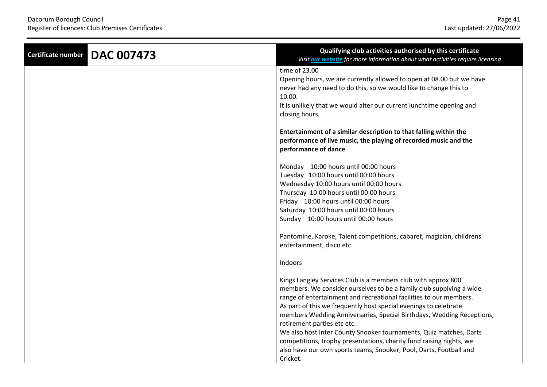| <b>DAC 007473</b><br>Certificate number | Qualifying club activities authorised by this certificate<br>Visit our website for more information about what activities require licensing                                                                                                                                                                                                                                                                                                                                                                                         |
|-----------------------------------------|-------------------------------------------------------------------------------------------------------------------------------------------------------------------------------------------------------------------------------------------------------------------------------------------------------------------------------------------------------------------------------------------------------------------------------------------------------------------------------------------------------------------------------------|
|                                         | time of 23.00<br>Opening hours, we are currently allowed to open at 08.00 but we have<br>never had any need to do this, so we would like to change this to<br>10.00.<br>It is unlikely that we would alter our current lunchtime opening and<br>closing hours.                                                                                                                                                                                                                                                                      |
|                                         | Entertainment of a similar description to that falling within the<br>performance of live music, the playing of recorded music and the<br>performance of dance                                                                                                                                                                                                                                                                                                                                                                       |
|                                         | Monday 10:00 hours until 00:00 hours<br>Tuesday 10:00 hours until 00:00 hours<br>Wednesday 10:00 hours until 00:00 hours<br>Thursday 10:00 hours until 00:00 hours<br>Friday 10:00 hours until 00:00 hours<br>Saturday 10:00 hours until 00:00 hours<br>Sunday 10:00 hours until 00:00 hours                                                                                                                                                                                                                                        |
|                                         | Pantomine, Karoke, Talent competitions, cabaret, magician, childrens<br>entertainment, disco etc                                                                                                                                                                                                                                                                                                                                                                                                                                    |
|                                         | Indoors                                                                                                                                                                                                                                                                                                                                                                                                                                                                                                                             |
|                                         | Kings Langley Services Club is a members club with approx 800<br>members. We consider ourselves to be a family club supplying a wide<br>range of entertainment and recreational facilities to our members.<br>As part of this we frequently host special evenings to celebrate<br>members Wedding Anniversaries, Special Birthdays, Wedding Receptions,<br>retirement parties etc etc.<br>We also host Inter County Snooker tournaments, Quiz matches, Darts<br>competitions, trophy presentations, charity fund raising nights, we |
|                                         | also have our own sports teams, Snooker, Pool, Darts, Football and<br>Cricket.                                                                                                                                                                                                                                                                                                                                                                                                                                                      |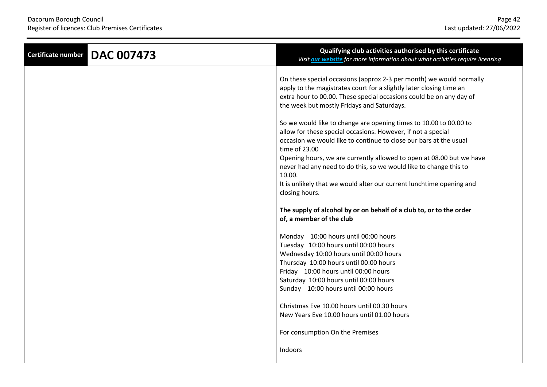| <b>DAC 007473</b><br><b>Certificate number</b> | Qualifying club activities authorised by this certificate<br>Visit our website for more information about what activities require licensing                                                                                                                                                     |
|------------------------------------------------|-------------------------------------------------------------------------------------------------------------------------------------------------------------------------------------------------------------------------------------------------------------------------------------------------|
|                                                | On these special occasions (approx 2-3 per month) we would normally<br>apply to the magistrates court for a slightly later closing time an<br>extra hour to 00.00. These special occasions could be on any day of<br>the week but mostly Fridays and Saturdays.                                 |
|                                                | So we would like to change are opening times to 10.00 to 00.00 to<br>allow for these special occasions. However, if not a special<br>occasion we would like to continue to close our bars at the usual<br>time of 23.00<br>Opening hours, we are currently allowed to open at 08.00 but we have |
|                                                | never had any need to do this, so we would like to change this to<br>10.00.<br>It is unlikely that we would alter our current lunchtime opening and<br>closing hours.                                                                                                                           |
|                                                | The supply of alcohol by or on behalf of a club to, or to the order<br>of, a member of the club                                                                                                                                                                                                 |
|                                                | Monday 10:00 hours until 00:00 hours<br>Tuesday 10:00 hours until 00:00 hours<br>Wednesday 10:00 hours until 00:00 hours<br>Thursday 10:00 hours until 00:00 hours<br>Friday 10:00 hours until 00:00 hours<br>Saturday 10:00 hours until 00:00 hours<br>Sunday 10:00 hours until 00:00 hours    |
|                                                | Christmas Eve 10.00 hours until 00.30 hours<br>New Years Eve 10.00 hours until 01.00 hours                                                                                                                                                                                                      |
|                                                | For consumption On the Premises<br>Indoors                                                                                                                                                                                                                                                      |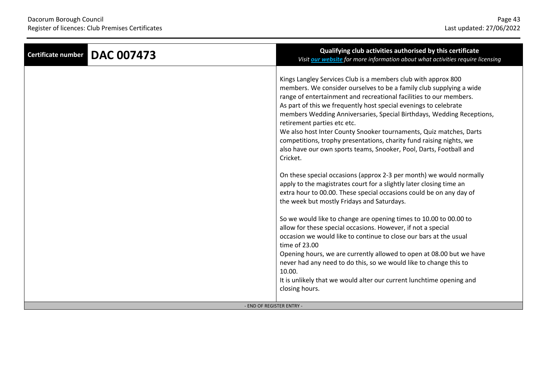| <b>DAC 007473</b><br><b>Certificate number</b> | Qualifying club activities authorised by this certificate<br>Visit our website for more information about what activities require licensing                                                                                                                                                                                                                                                                                                                                                                                                                                                                           |
|------------------------------------------------|-----------------------------------------------------------------------------------------------------------------------------------------------------------------------------------------------------------------------------------------------------------------------------------------------------------------------------------------------------------------------------------------------------------------------------------------------------------------------------------------------------------------------------------------------------------------------------------------------------------------------|
|                                                | Kings Langley Services Club is a members club with approx 800<br>members. We consider ourselves to be a family club supplying a wide<br>range of entertainment and recreational facilities to our members.<br>As part of this we frequently host special evenings to celebrate<br>members Wedding Anniversaries, Special Birthdays, Wedding Receptions,<br>retirement parties etc etc.<br>We also host Inter County Snooker tournaments, Quiz matches, Darts<br>competitions, trophy presentations, charity fund raising nights, we<br>also have our own sports teams, Snooker, Pool, Darts, Football and<br>Cricket. |
|                                                | On these special occasions (approx 2-3 per month) we would normally<br>apply to the magistrates court for a slightly later closing time an<br>extra hour to 00.00. These special occasions could be on any day of<br>the week but mostly Fridays and Saturdays.                                                                                                                                                                                                                                                                                                                                                       |
|                                                | So we would like to change are opening times to 10.00 to 00.00 to<br>allow for these special occasions. However, if not a special<br>occasion we would like to continue to close our bars at the usual<br>time of 23.00                                                                                                                                                                                                                                                                                                                                                                                               |
|                                                | Opening hours, we are currently allowed to open at 08.00 but we have<br>never had any need to do this, so we would like to change this to<br>10.00.<br>It is unlikely that we would alter our current lunchtime opening and<br>closing hours.                                                                                                                                                                                                                                                                                                                                                                         |
| - END OF REGISTER ENTRY -                      |                                                                                                                                                                                                                                                                                                                                                                                                                                                                                                                                                                                                                       |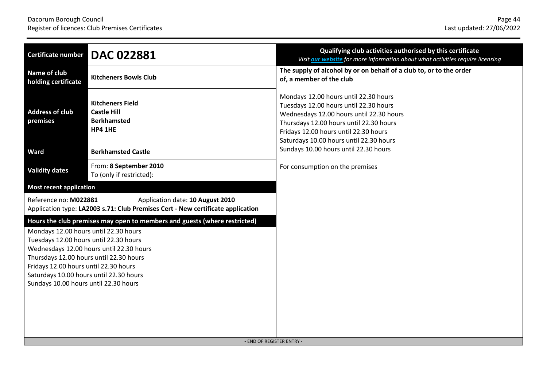| Certificate number                                                                                                                                                                                                                                                                                                                                                               | <b>DAC 022881</b>                                                                                                   | Qualifying club activities authorised by this certificate<br>Visit our website for more information about what activities require licensing                                                                                                                |
|----------------------------------------------------------------------------------------------------------------------------------------------------------------------------------------------------------------------------------------------------------------------------------------------------------------------------------------------------------------------------------|---------------------------------------------------------------------------------------------------------------------|------------------------------------------------------------------------------------------------------------------------------------------------------------------------------------------------------------------------------------------------------------|
| Name of club<br>holding certificate                                                                                                                                                                                                                                                                                                                                              | <b>Kitcheners Bowls Club</b>                                                                                        | The supply of alcohol by or on behalf of a club to, or to the order<br>of, a member of the club                                                                                                                                                            |
| <b>Address of club</b><br>premises                                                                                                                                                                                                                                                                                                                                               | <b>Kitcheners Field</b><br><b>Castle Hill</b><br><b>Berkhamsted</b><br><b>HP4 1HE</b>                               | Mondays 12.00 hours until 22.30 hours<br>Tuesdays 12.00 hours until 22.30 hours<br>Wednesdays 12.00 hours until 22.30 hours<br>Thursdays 12.00 hours until 22.30 hours<br>Fridays 12.00 hours until 22.30 hours<br>Saturdays 10.00 hours until 22.30 hours |
| Ward                                                                                                                                                                                                                                                                                                                                                                             | <b>Berkhamsted Castle</b>                                                                                           | Sundays 10.00 hours until 22.30 hours                                                                                                                                                                                                                      |
| <b>Validity dates</b>                                                                                                                                                                                                                                                                                                                                                            | From: 8 September 2010<br>To (only if restricted):                                                                  | For consumption on the premises                                                                                                                                                                                                                            |
| <b>Most recent application</b>                                                                                                                                                                                                                                                                                                                                                   |                                                                                                                     |                                                                                                                                                                                                                                                            |
| Reference no: M022881                                                                                                                                                                                                                                                                                                                                                            | Application date: 10 August 2010<br>Application type: LA2003 s.71: Club Premises Cert - New certificate application |                                                                                                                                                                                                                                                            |
| Hours the club premises may open to members and guests (where restricted)<br>Mondays 12.00 hours until 22.30 hours<br>Tuesdays 12.00 hours until 22.30 hours<br>Wednesdays 12.00 hours until 22.30 hours<br>Thursdays 12.00 hours until 22.30 hours<br>Fridays 12.00 hours until 22.30 hours<br>Saturdays 10.00 hours until 22.30 hours<br>Sundays 10.00 hours until 22.30 hours |                                                                                                                     | - END OF REGISTER ENTRY -                                                                                                                                                                                                                                  |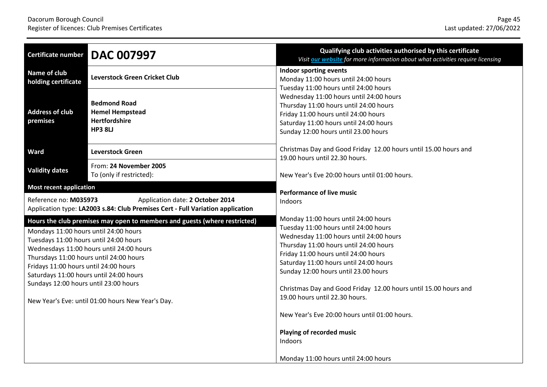| <b>Certificate number</b>                                                                                                                                                                                                                               | <b>DAC 007997</b>                                                                                                                                                          | Qualifying club activities authorised by this certificate<br>Visit our website for more information about what activities require licensing                                                                                                                                                                                                                                                                                                                                                |
|---------------------------------------------------------------------------------------------------------------------------------------------------------------------------------------------------------------------------------------------------------|----------------------------------------------------------------------------------------------------------------------------------------------------------------------------|--------------------------------------------------------------------------------------------------------------------------------------------------------------------------------------------------------------------------------------------------------------------------------------------------------------------------------------------------------------------------------------------------------------------------------------------------------------------------------------------|
| Name of club<br>holding certificate                                                                                                                                                                                                                     | <b>Leverstock Green Cricket Club</b>                                                                                                                                       | Indoor sporting events<br>Monday 11:00 hours until 24:00 hours<br>Tuesday 11:00 hours until 24:00 hours                                                                                                                                                                                                                                                                                                                                                                                    |
| <b>Address of club</b><br>premises                                                                                                                                                                                                                      | <b>Bedmond Road</b><br><b>Hemel Hempstead</b><br>Hertfordshire<br><b>HP3 8LJ</b>                                                                                           | Wednesday 11:00 hours until 24:00 hours<br>Thursday 11:00 hours until 24:00 hours<br>Friday 11:00 hours until 24:00 hours<br>Saturday 11:00 hours until 24:00 hours<br>Sunday 12:00 hours until 23.00 hours                                                                                                                                                                                                                                                                                |
| Ward                                                                                                                                                                                                                                                    | <b>Leverstock Green</b>                                                                                                                                                    | Christmas Day and Good Friday 12.00 hours until 15.00 hours and<br>19.00 hours until 22.30 hours.                                                                                                                                                                                                                                                                                                                                                                                          |
| <b>Validity dates</b>                                                                                                                                                                                                                                   | From: 24 November 2005<br>To (only if restricted):                                                                                                                         | New Year's Eve 20:00 hours until 01:00 hours.                                                                                                                                                                                                                                                                                                                                                                                                                                              |
| <b>Most recent application</b><br>Reference no: M035973                                                                                                                                                                                                 | Application date: 2 October 2014<br>Application type: LA2003 s.84: Club Premises Cert - Full Variation application                                                         | <b>Performance of live music</b><br>Indoors                                                                                                                                                                                                                                                                                                                                                                                                                                                |
| Mondays 11:00 hours until 24:00 hours<br>Tuesdays 11:00 hours until 24:00 hours<br>Thursdays 11:00 hours until 24:00 hours<br>Fridays 11:00 hours until 24:00 hours<br>Saturdays 11:00 hours until 24:00 hours<br>Sundays 12:00 hours until 23:00 hours | Hours the club premises may open to members and guests (where restricted)<br>Wednesdays 11:00 hours until 24:00 hours<br>New Year's Eve: until 01:00 hours New Year's Day. | Monday 11:00 hours until 24:00 hours<br>Tuesday 11:00 hours until 24:00 hours<br>Wednesday 11:00 hours until 24:00 hours<br>Thursday 11:00 hours until 24:00 hours<br>Friday 11:00 hours until 24:00 hours<br>Saturday 11:00 hours until 24:00 hours<br>Sunday 12:00 hours until 23.00 hours<br>Christmas Day and Good Friday 12.00 hours until 15.00 hours and<br>19.00 hours until 22.30 hours.<br>New Year's Eve 20:00 hours until 01:00 hours.<br>Playing of recorded music<br>Indoors |
|                                                                                                                                                                                                                                                         |                                                                                                                                                                            | Monday 11:00 hours until 24:00 hours                                                                                                                                                                                                                                                                                                                                                                                                                                                       |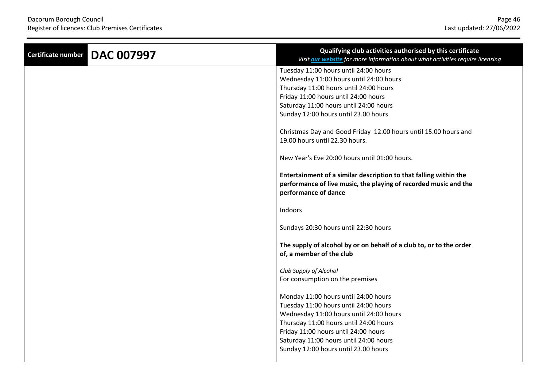| <b>Certificate number</b> | <b>DAC 007997</b> | Qualifying club activities authorised by this certificate<br>Visit our website for more information about what activities require licensing                   |
|---------------------------|-------------------|---------------------------------------------------------------------------------------------------------------------------------------------------------------|
|                           |                   | Tuesday 11:00 hours until 24:00 hours                                                                                                                         |
|                           |                   | Wednesday 11:00 hours until 24:00 hours                                                                                                                       |
|                           |                   | Thursday 11:00 hours until 24:00 hours                                                                                                                        |
|                           |                   | Friday 11:00 hours until 24:00 hours                                                                                                                          |
|                           |                   | Saturday 11:00 hours until 24:00 hours                                                                                                                        |
|                           |                   | Sunday 12:00 hours until 23.00 hours                                                                                                                          |
|                           |                   | Christmas Day and Good Friday 12.00 hours until 15.00 hours and                                                                                               |
|                           |                   | 19.00 hours until 22.30 hours.                                                                                                                                |
|                           |                   | New Year's Eve 20:00 hours until 01:00 hours.                                                                                                                 |
|                           |                   | Entertainment of a similar description to that falling within the<br>performance of live music, the playing of recorded music and the<br>performance of dance |
|                           |                   | Indoors                                                                                                                                                       |
|                           |                   | Sundays 20:30 hours until 22:30 hours                                                                                                                         |
|                           |                   | The supply of alcohol by or on behalf of a club to, or to the order<br>of, a member of the club                                                               |
|                           |                   | Club Supply of Alcohol                                                                                                                                        |
|                           |                   | For consumption on the premises                                                                                                                               |
|                           |                   | Monday 11:00 hours until 24:00 hours                                                                                                                          |
|                           |                   | Tuesday 11:00 hours until 24:00 hours                                                                                                                         |
|                           |                   | Wednesday 11:00 hours until 24:00 hours                                                                                                                       |
|                           |                   | Thursday 11:00 hours until 24:00 hours                                                                                                                        |
|                           |                   | Friday 11:00 hours until 24:00 hours                                                                                                                          |
|                           |                   | Saturday 11:00 hours until 24:00 hours                                                                                                                        |
|                           |                   | Sunday 12:00 hours until 23.00 hours                                                                                                                          |
|                           |                   |                                                                                                                                                               |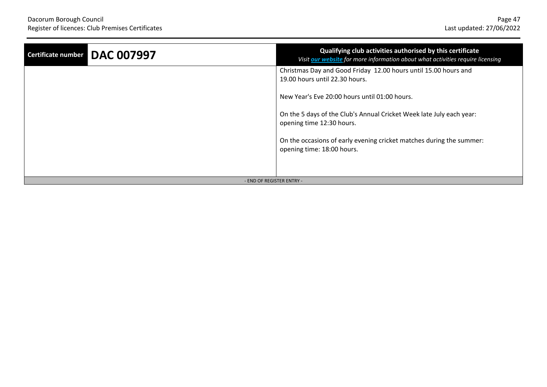| Certificate number DAC 007997 | Qualifying club activities authorised by this certificate<br>Visit our website for more information about what activities require licensing |
|-------------------------------|---------------------------------------------------------------------------------------------------------------------------------------------|
|                               | Christmas Day and Good Friday 12.00 hours until 15.00 hours and<br>19.00 hours until 22.30 hours.                                           |
|                               | New Year's Eve 20:00 hours until 01:00 hours.                                                                                               |
|                               | On the 5 days of the Club's Annual Cricket Week late July each year:<br>opening time 12:30 hours.                                           |
|                               | On the occasions of early evening cricket matches during the summer:<br>opening time: 18:00 hours.                                          |
|                               |                                                                                                                                             |
| - END OF REGISTER ENTRY -     |                                                                                                                                             |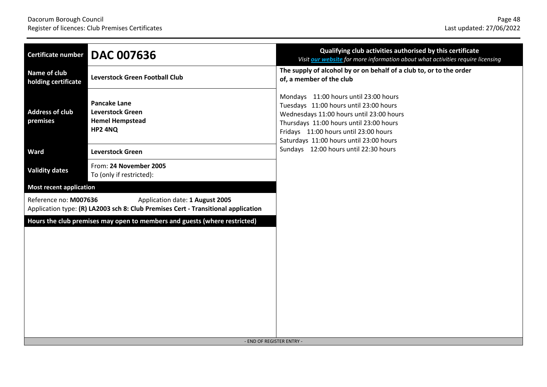| Certificate number                  | <b>DAC 007636</b>                                                                                                    | Qualifying club activities authorised by this certificate<br>Visit our website for more information about what activities require licensing                                                                                                                |
|-------------------------------------|----------------------------------------------------------------------------------------------------------------------|------------------------------------------------------------------------------------------------------------------------------------------------------------------------------------------------------------------------------------------------------------|
| Name of club<br>holding certificate | <b>Leverstock Green Football Club</b>                                                                                | The supply of alcohol by or on behalf of a club to, or to the order<br>of, a member of the club                                                                                                                                                            |
| <b>Address of club</b><br>premises  | <b>Pancake Lane</b><br><b>Leverstock Green</b><br><b>Hemel Hempstead</b><br>HP2 4NQ                                  | Mondays 11:00 hours until 23:00 hours<br>Tuesdays 11:00 hours until 23:00 hours<br>Wednesdays 11:00 hours until 23:00 hours<br>Thursdays 11:00 hours until 23:00 hours<br>Fridays 11:00 hours until 23:00 hours<br>Saturdays 11:00 hours until 23:00 hours |
| <b>Ward</b>                         | <b>Leverstock Green</b>                                                                                              | Sundays 12:00 hours until 22:30 hours                                                                                                                                                                                                                      |
| <b>Validity dates</b>               | From: 24 November 2005<br>To (only if restricted):                                                                   |                                                                                                                                                                                                                                                            |
| <b>Most recent application</b>      |                                                                                                                      |                                                                                                                                                                                                                                                            |
| Reference no: M007636               | Application date: 1 August 2005<br>Application type: (R) LA2003 sch 8: Club Premises Cert - Transitional application |                                                                                                                                                                                                                                                            |
|                                     | Hours the club premises may open to members and guests (where restricted)<br>- END OF REGISTER ENTRY -               |                                                                                                                                                                                                                                                            |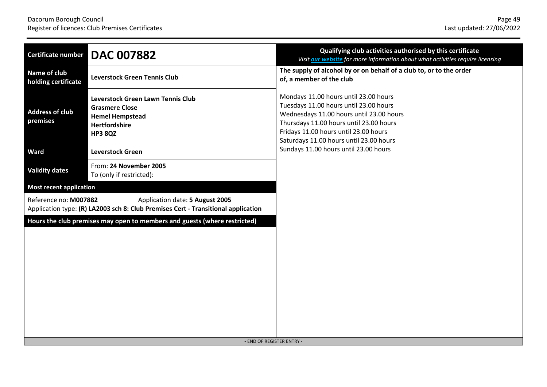| <b>Certificate number</b>                                                                                                                     | <b>DAC 007882</b>                                                                                                              | Qualifying club activities authorised by this certificate<br>Visit our website for more information about what activities require licensing                                                                                                                |
|-----------------------------------------------------------------------------------------------------------------------------------------------|--------------------------------------------------------------------------------------------------------------------------------|------------------------------------------------------------------------------------------------------------------------------------------------------------------------------------------------------------------------------------------------------------|
| Name of club<br>holding certificate                                                                                                           | <b>Leverstock Green Tennis Club</b>                                                                                            | The supply of alcohol by or on behalf of a club to, or to the order<br>of, a member of the club                                                                                                                                                            |
| <b>Address of club</b><br>premises                                                                                                            | <b>Leverstock Green Lawn Tennis Club</b><br><b>Grasmere Close</b><br><b>Hemel Hempstead</b><br>Hertfordshire<br><b>HP3 8QZ</b> | Mondays 11.00 hours until 23.00 hours<br>Tuesdays 11.00 hours until 23.00 hours<br>Wednesdays 11.00 hours until 23.00 hours<br>Thursdays 11.00 hours until 23.00 hours<br>Fridays 11.00 hours until 23.00 hours<br>Saturdays 11.00 hours until 23.00 hours |
| <b>Ward</b>                                                                                                                                   | <b>Leverstock Green</b>                                                                                                        | Sundays 11.00 hours until 23.00 hours                                                                                                                                                                                                                      |
| <b>Validity dates</b>                                                                                                                         | From: 24 November 2005<br>To (only if restricted):                                                                             |                                                                                                                                                                                                                                                            |
| <b>Most recent application</b>                                                                                                                |                                                                                                                                |                                                                                                                                                                                                                                                            |
| Reference no: M007882<br>Application date: 5 August 2005<br>Application type: (R) LA2003 sch 8: Club Premises Cert - Transitional application |                                                                                                                                |                                                                                                                                                                                                                                                            |
| Hours the club premises may open to members and guests (where restricted)<br>- END OF REGISTER ENTRY -                                        |                                                                                                                                |                                                                                                                                                                                                                                                            |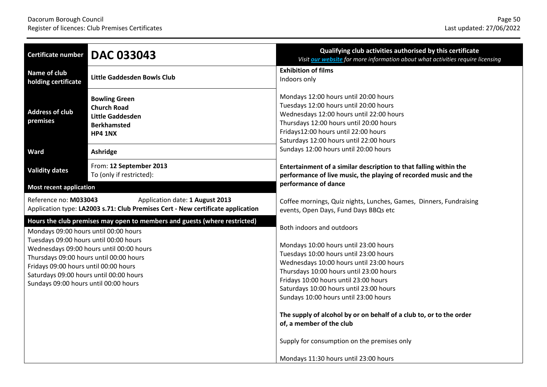| <b>Certificate number</b>                                                                                                                                                                                                                                  | <b>DAC 033043</b>                                                                                      | Qualifying club activities authorised by this certificate<br>Visit our website for more information about what activities require licensing                                                                                                                                                         |
|------------------------------------------------------------------------------------------------------------------------------------------------------------------------------------------------------------------------------------------------------------|--------------------------------------------------------------------------------------------------------|-----------------------------------------------------------------------------------------------------------------------------------------------------------------------------------------------------------------------------------------------------------------------------------------------------|
| Name of club<br>holding certificate                                                                                                                                                                                                                        | <b>Little Gaddesden Bowls Club</b>                                                                     | <b>Exhibition of films</b><br>Indoors only                                                                                                                                                                                                                                                          |
| <b>Address of club</b><br>premises                                                                                                                                                                                                                         | <b>Bowling Green</b><br><b>Church Road</b><br>Little Gaddesden<br><b>Berkhamsted</b><br><b>HP4 1NX</b> | Mondays 12:00 hours until 20:00 hours<br>Tuesdays 12:00 hours until 20:00 hours<br>Wednesdays 12:00 hours until 22:00 hours<br>Thursdays 12:00 hours until 20:00 hours<br>Fridays12:00 hours until 22:00 hours<br>Saturdays 12:00 hours until 22:00 hours                                           |
| <b>Ward</b>                                                                                                                                                                                                                                                | Ashridge                                                                                               | Sundays 12:00 hours until 20:00 hours                                                                                                                                                                                                                                                               |
| <b>Validity dates</b>                                                                                                                                                                                                                                      | From: 12 September 2013<br>To (only if restricted):                                                    | Entertainment of a similar description to that falling within the<br>performance of live music, the playing of recorded music and the                                                                                                                                                               |
| <b>Most recent application</b>                                                                                                                                                                                                                             |                                                                                                        | performance of dance                                                                                                                                                                                                                                                                                |
| Reference no: M033043<br>Application date: 1 August 2013<br>Application type: LA2003 s.71: Club Premises Cert - New certificate application                                                                                                                |                                                                                                        | Coffee mornings, Quiz nights, Lunches, Games, Dinners, Fundraising<br>events, Open Days, Fund Days BBQs etc                                                                                                                                                                                         |
| Hours the club premises may open to members and guests (where restricted)<br>Mondays 09:00 hours until 00:00 hours                                                                                                                                         |                                                                                                        | Both indoors and outdoors                                                                                                                                                                                                                                                                           |
| Tuesdays 09:00 hours until 00:00 hours<br>Wednesdays 09:00 hours until 00:00 hours<br>Thursdays 09:00 hours until 00:00 hours<br>Fridays 09:00 hours until 00:00 hours<br>Saturdays 09:00 hours until 00:00 hours<br>Sundays 09:00 hours until 00:00 hours |                                                                                                        | Mondays 10:00 hours until 23:00 hours<br>Tuesdays 10:00 hours until 23:00 hours<br>Wednesdays 10:00 hours until 23:00 hours<br>Thursdays 10:00 hours until 23:00 hours<br>Fridays 10:00 hours until 23:00 hours<br>Saturdays 10:00 hours until 23:00 hours<br>Sundays 10:00 hours until 23:00 hours |
|                                                                                                                                                                                                                                                            |                                                                                                        | The supply of alcohol by or on behalf of a club to, or to the order<br>of, a member of the club                                                                                                                                                                                                     |
|                                                                                                                                                                                                                                                            |                                                                                                        | Supply for consumption on the premises only                                                                                                                                                                                                                                                         |
|                                                                                                                                                                                                                                                            |                                                                                                        | Mondays 11:30 hours until 23:00 hours                                                                                                                                                                                                                                                               |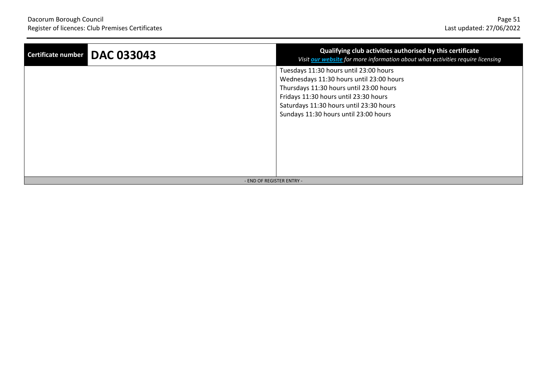| <b>DAC 033043</b><br>Certificate number | Qualifying club activities authorised by this certificate<br>Visit our website for more information about what activities require licensing                                                                                                                |
|-----------------------------------------|------------------------------------------------------------------------------------------------------------------------------------------------------------------------------------------------------------------------------------------------------------|
|                                         | Tuesdays 11:30 hours until 23:00 hours<br>Wednesdays 11:30 hours until 23:00 hours<br>Thursdays 11:30 hours until 23:00 hours<br>Fridays 11:30 hours until 23:30 hours<br>Saturdays 11:30 hours until 23:30 hours<br>Sundays 11:30 hours until 23:00 hours |
| - END OF REGISTER ENTRY -               |                                                                                                                                                                                                                                                            |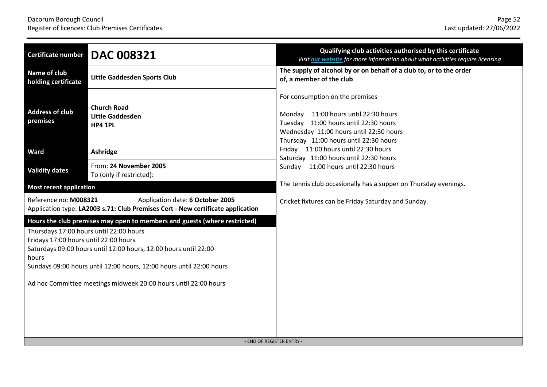| <b>Certificate number</b>                                                                                                                                                                                                                                                                                                                                                             | <b>DAC 008321</b>                                               | Qualifying club activities authorised by this certificate<br>Visit our website for more information about what activities require licensing                                                           |
|---------------------------------------------------------------------------------------------------------------------------------------------------------------------------------------------------------------------------------------------------------------------------------------------------------------------------------------------------------------------------------------|-----------------------------------------------------------------|-------------------------------------------------------------------------------------------------------------------------------------------------------------------------------------------------------|
| Name of club<br>holding certificate                                                                                                                                                                                                                                                                                                                                                   | Little Gaddesden Sports Club                                    | The supply of alcohol by or on behalf of a club to, or to the order<br>of, a member of the club                                                                                                       |
| <b>Address of club</b><br>premises                                                                                                                                                                                                                                                                                                                                                    | <b>Church Road</b><br><b>Little Gaddesden</b><br><b>HP4 1PL</b> | For consumption on the premises<br>Monday 11:00 hours until 22:30 hours<br>Tuesday 11:00 hours until 22:30 hours<br>Wednesday 11:00 hours until 22:30 hours<br>Thursday 11:00 hours until 22:30 hours |
| Ward                                                                                                                                                                                                                                                                                                                                                                                  | Ashridge                                                        | Friday 11:00 hours until 22:30 hours<br>Saturday 11:00 hours until 22:30 hours                                                                                                                        |
| <b>Validity dates</b>                                                                                                                                                                                                                                                                                                                                                                 | From: 24 November 2005<br>To (only if restricted):              | Sunday 11:00 hours until 22:30 hours                                                                                                                                                                  |
| <b>Most recent application</b>                                                                                                                                                                                                                                                                                                                                                        |                                                                 | The tennis club occasionally has a supper on Thursday evenings.                                                                                                                                       |
| Reference no: M008321<br>Application date: 6 October 2005<br>Application type: LA2003 s.71: Club Premises Cert - New certificate application                                                                                                                                                                                                                                          |                                                                 | Cricket fixtures can be Friday Saturday and Sunday.                                                                                                                                                   |
| Hours the club premises may open to members and guests (where restricted)<br>Thursdays 17:00 hours until 22:00 hours<br>Fridays 17:00 hours until 22:00 hours<br>Saturdays 09:00 hours until 12:00 hours, 12:00 hours until 22:00<br>hours<br>Sundays 09:00 hours until 12:00 hours, 12:00 hours until 22:00 hours<br>Ad hoc Committee meetings midweek 20:00 hours until 22:00 hours |                                                                 | - END OF REGISTER ENTRY -                                                                                                                                                                             |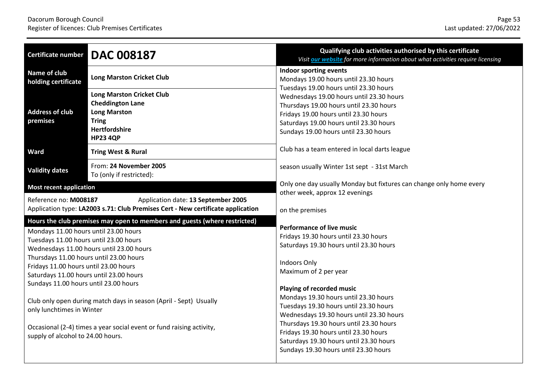| <b>Certificate number</b>                                                                                                                                                                                                                                                                                                                                                                                                                                                                                                                                                                       | <b>DAC 008187</b>                                                                                                                             | Qualifying club activities authorised by this certificate<br>Visit our website for more information about what activities require licensing                                                                                                                                                                                                                                                                                                                                                       |
|-------------------------------------------------------------------------------------------------------------------------------------------------------------------------------------------------------------------------------------------------------------------------------------------------------------------------------------------------------------------------------------------------------------------------------------------------------------------------------------------------------------------------------------------------------------------------------------------------|-----------------------------------------------------------------------------------------------------------------------------------------------|---------------------------------------------------------------------------------------------------------------------------------------------------------------------------------------------------------------------------------------------------------------------------------------------------------------------------------------------------------------------------------------------------------------------------------------------------------------------------------------------------|
| Name of club<br>holding certificate                                                                                                                                                                                                                                                                                                                                                                                                                                                                                                                                                             | <b>Long Marston Cricket Club</b>                                                                                                              | Indoor sporting events<br>Mondays 19.00 hours until 23.30 hours<br>Tuesdays 19.00 hours until 23.30 hours                                                                                                                                                                                                                                                                                                                                                                                         |
| <b>Address of club</b><br>premises                                                                                                                                                                                                                                                                                                                                                                                                                                                                                                                                                              | <b>Long Marston Cricket Club</b><br><b>Cheddington Lane</b><br><b>Long Marston</b><br><b>Tring</b><br><b>Hertfordshire</b><br><b>HP23 4QP</b> | Wednesdays 19.00 hours until 23.30 hours<br>Thursdays 19.00 hours until 23.30 hours<br>Fridays 19.00 hours until 23.30 hours<br>Saturdays 19.00 hours until 23.30 hours<br>Sundays 19.00 hours until 23.30 hours                                                                                                                                                                                                                                                                                  |
| Ward                                                                                                                                                                                                                                                                                                                                                                                                                                                                                                                                                                                            | <b>Tring West &amp; Rural</b>                                                                                                                 | Club has a team entered in local darts league                                                                                                                                                                                                                                                                                                                                                                                                                                                     |
| <b>Validity dates</b>                                                                                                                                                                                                                                                                                                                                                                                                                                                                                                                                                                           | From: 24 November 2005<br>To (only if restricted):                                                                                            | season usually Winter 1st sept - 31st March                                                                                                                                                                                                                                                                                                                                                                                                                                                       |
| <b>Most recent application</b><br>Reference no: M008187<br>Application date: 13 September 2005<br>Application type: LA2003 s.71: Club Premises Cert - New certificate application                                                                                                                                                                                                                                                                                                                                                                                                               |                                                                                                                                               | Only one day usually Monday but fixtures can change only home every<br>other week, approx 12 evenings<br>on the premises                                                                                                                                                                                                                                                                                                                                                                          |
| Hours the club premises may open to members and guests (where restricted)<br>Mondays 11.00 hours until 23.00 hours<br>Tuesdays 11.00 hours until 23.00 hours<br>Wednesdays 11.00 hours until 23.00 hours<br>Thursdays 11.00 hours until 23.00 hours<br>Fridays 11.00 hours until 23.00 hours<br>Saturdays 11.00 hours until 23.00 hours<br>Sundays 11.00 hours until 23.00 hours<br>Club only open during match days in season (April - Sept) Usually<br>only lunchtimes in Winter<br>Occasional (2-4) times a year social event or fund raising activity,<br>supply of alcohol to 24.00 hours. |                                                                                                                                               | <b>Performance of live music</b><br>Fridays 19.30 hours until 23.30 hours<br>Saturdays 19.30 hours until 23.30 hours<br>Indoors Only<br>Maximum of 2 per year<br>Playing of recorded music<br>Mondays 19.30 hours until 23.30 hours<br>Tuesdays 19.30 hours until 23.30 hours<br>Wednesdays 19.30 hours until 23.30 hours<br>Thursdays 19.30 hours until 23.30 hours<br>Fridays 19.30 hours until 23.30 hours<br>Saturdays 19.30 hours until 23.30 hours<br>Sundays 19.30 hours until 23.30 hours |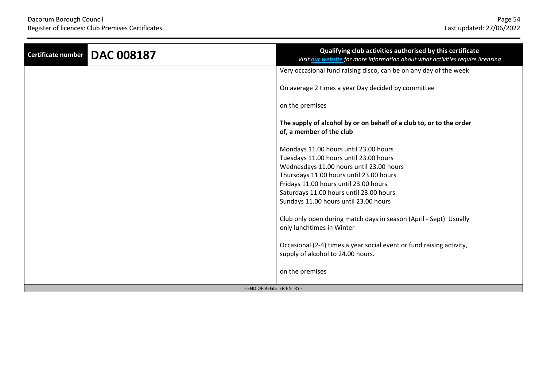| <b>DAC 008187</b><br>Certificate number | Qualifying club activities authorised by this certificate<br>Visit our website for more information about what activities require licensing |
|-----------------------------------------|---------------------------------------------------------------------------------------------------------------------------------------------|
|                                         | Very occasional fund raising disco, can be on any day of the week                                                                           |
|                                         | On average 2 times a year Day decided by committee                                                                                          |
|                                         | on the premises                                                                                                                             |
|                                         | The supply of alcohol by or on behalf of a club to, or to the order<br>of, a member of the club                                             |
|                                         | Mondays 11.00 hours until 23.00 hours                                                                                                       |
|                                         | Tuesdays 11.00 hours until 23.00 hours                                                                                                      |
|                                         | Wednesdays 11.00 hours until 23.00 hours                                                                                                    |
|                                         | Thursdays 11.00 hours until 23.00 hours                                                                                                     |
|                                         | Fridays 11.00 hours until 23.00 hours                                                                                                       |
|                                         | Saturdays 11.00 hours until 23.00 hours                                                                                                     |
|                                         | Sundays 11.00 hours until 23.00 hours                                                                                                       |
|                                         | Club only open during match days in season (April - Sept) Usually<br>only lunchtimes in Winter                                              |
|                                         | Occasional (2-4) times a year social event or fund raising activity,                                                                        |
|                                         | supply of alcohol to 24.00 hours.                                                                                                           |
|                                         | on the premises                                                                                                                             |
| - END OF REGISTER ENTRY -               |                                                                                                                                             |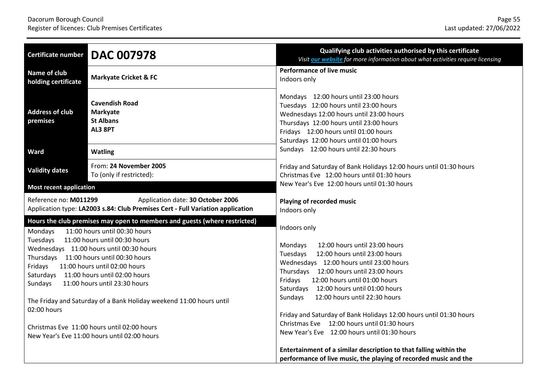| <b>Certificate number</b>                                                                                                                                                                                                                                                                                                                                                                                                                                | <b>DAC 007978</b>                                                       | Qualifying club activities authorised by this certificate<br>Visit our website for more information about what activities require licensing                                                                                                                                                                                                                                                                                                                                          |
|----------------------------------------------------------------------------------------------------------------------------------------------------------------------------------------------------------------------------------------------------------------------------------------------------------------------------------------------------------------------------------------------------------------------------------------------------------|-------------------------------------------------------------------------|--------------------------------------------------------------------------------------------------------------------------------------------------------------------------------------------------------------------------------------------------------------------------------------------------------------------------------------------------------------------------------------------------------------------------------------------------------------------------------------|
| Name of club<br>holding certificate                                                                                                                                                                                                                                                                                                                                                                                                                      | <b>Markyate Cricket &amp; FC</b>                                        | <b>Performance of live music</b><br>Indoors only                                                                                                                                                                                                                                                                                                                                                                                                                                     |
| <b>Address of club</b><br>premises                                                                                                                                                                                                                                                                                                                                                                                                                       | <b>Cavendish Road</b><br><b>Markyate</b><br><b>St Albans</b><br>AL3 8PT | Mondays 12:00 hours until 23:00 hours<br>Tuesdays 12:00 hours until 23:00 hours<br>Wednesdays 12:00 hours until 23:00 hours<br>Thursdays 12:00 hours until 23:00 hours<br>Fridays 12:00 hours until 01:00 hours<br>Saturdays 12:00 hours until 01:00 hours                                                                                                                                                                                                                           |
| Ward                                                                                                                                                                                                                                                                                                                                                                                                                                                     | <b>Watling</b>                                                          | Sundays 12:00 hours until 22:30 hours                                                                                                                                                                                                                                                                                                                                                                                                                                                |
| <b>Validity dates</b>                                                                                                                                                                                                                                                                                                                                                                                                                                    | From: 24 November 2005<br>To (only if restricted):                      | Friday and Saturday of Bank Holidays 12:00 hours until 01:30 hours<br>Christmas Eve 12:00 hours until 01:30 hours                                                                                                                                                                                                                                                                                                                                                                    |
| <b>Most recent application</b>                                                                                                                                                                                                                                                                                                                                                                                                                           |                                                                         | New Year's Eve 12:00 hours until 01:30 hours                                                                                                                                                                                                                                                                                                                                                                                                                                         |
| Reference no: M011299<br>Application date: 30 October 2006<br>Application type: LA2003 s.84: Club Premises Cert - Full Variation application                                                                                                                                                                                                                                                                                                             |                                                                         | Playing of recorded music<br>Indoors only                                                                                                                                                                                                                                                                                                                                                                                                                                            |
| Hours the club premises may open to members and guests (where restricted)<br>11:00 hours until 00:30 hours<br>Mondays                                                                                                                                                                                                                                                                                                                                    |                                                                         | Indoors only                                                                                                                                                                                                                                                                                                                                                                                                                                                                         |
| 11:00 hours until 00:30 hours<br>Tuesdays<br>Wednesdays 11:00 hours until 00:30 hours<br>Thursdays 11:00 hours until 00:30 hours<br>11:00 hours until 02:00 hours<br>Fridays<br>Saturdays 11:00 hours until 02:00 hours<br>Sundays<br>11:00 hours until 23:30 hours<br>The Friday and Saturday of a Bank Holiday weekend 11:00 hours until<br>02:00 hours<br>Christmas Eve 11:00 hours until 02:00 hours<br>New Year's Eve 11:00 hours until 02:00 hours |                                                                         | 12:00 hours until 23:00 hours<br>Mondays<br>Tuesdays<br>12:00 hours until 23:00 hours<br>Wednesdays 12:00 hours until 23:00 hours<br>Thursdays 12:00 hours until 23:00 hours<br>12:00 hours until 01:00 hours<br>Fridays<br>Saturdays 12:00 hours until 01:00 hours<br>12:00 hours until 22:30 hours<br>Sundays<br>Friday and Saturday of Bank Holidays 12:00 hours until 01:30 hours<br>Christmas Eve 12:00 hours until 01:30 hours<br>New Year's Eve 12:00 hours until 01:30 hours |
|                                                                                                                                                                                                                                                                                                                                                                                                                                                          |                                                                         | Entertainment of a similar description to that falling within the<br>performance of live music, the playing of recorded music and the                                                                                                                                                                                                                                                                                                                                                |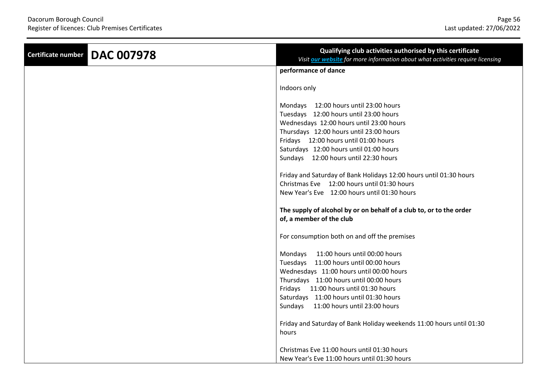| <b>DAC 007978</b><br><b>Certificate number</b> | Qualifying club activities authorised by this certificate<br>Visit our website for more information about what activities require licensing                                                                                                                                                         |
|------------------------------------------------|-----------------------------------------------------------------------------------------------------------------------------------------------------------------------------------------------------------------------------------------------------------------------------------------------------|
|                                                | performance of dance                                                                                                                                                                                                                                                                                |
|                                                | Indoors only                                                                                                                                                                                                                                                                                        |
|                                                | Mondays 12:00 hours until 23:00 hours<br>Tuesdays 12:00 hours until 23:00 hours<br>Wednesdays 12:00 hours until 23:00 hours<br>Thursdays 12:00 hours until 23:00 hours<br>Fridays 12:00 hours until 01:00 hours<br>Saturdays 12:00 hours until 01:00 hours                                          |
|                                                | Sundays 12:00 hours until 22:30 hours<br>Friday and Saturday of Bank Holidays 12:00 hours until 01:30 hours<br>Christmas Eve 12:00 hours until 01:30 hours<br>New Year's Eve 12:00 hours until 01:30 hours                                                                                          |
|                                                | The supply of alcohol by or on behalf of a club to, or to the order<br>of, a member of the club                                                                                                                                                                                                     |
|                                                | For consumption both on and off the premises                                                                                                                                                                                                                                                        |
|                                                | Mondays 11:00 hours until 00:00 hours<br>Tuesdays 11:00 hours until 00:00 hours<br>Wednesdays 11:00 hours until 00:00 hours<br>Thursdays 11:00 hours until 00:00 hours<br>Fridays 11:00 hours until 01:30 hours<br>Saturdays 11:00 hours until 01:30 hours<br>Sundays 11:00 hours until 23:00 hours |
|                                                | Friday and Saturday of Bank Holiday weekends 11:00 hours until 01:30<br>hours                                                                                                                                                                                                                       |
|                                                | Christmas Eve 11:00 hours until 01:30 hours<br>New Year's Eve 11:00 hours until 01:30 hours                                                                                                                                                                                                         |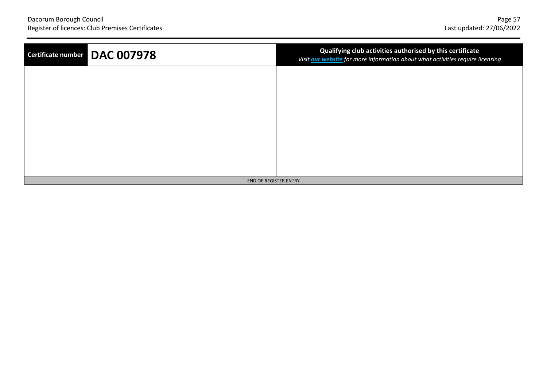| Certificate number DAC 007978 | Qualifying club activities authorised by this certificate<br>Visit <b>our website</b> for more information about what activities require licensing |
|-------------------------------|----------------------------------------------------------------------------------------------------------------------------------------------------|
|                               |                                                                                                                                                    |
|                               |                                                                                                                                                    |
|                               |                                                                                                                                                    |
|                               |                                                                                                                                                    |
|                               |                                                                                                                                                    |
| - END OF REGISTER ENTRY -     |                                                                                                                                                    |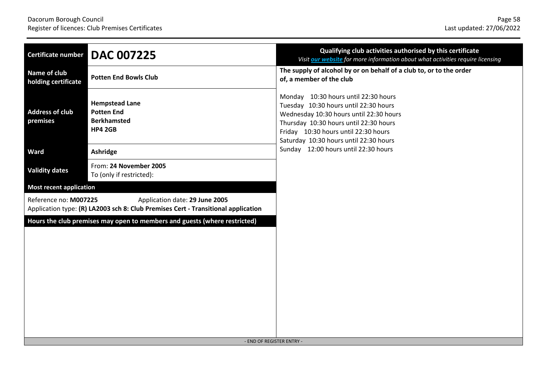| <b>DAC 007225</b><br>Certificate number                                                                                                      |  | Qualifying club activities authorised by this certificate<br>Visit our website for more information about what activities require licensing                                                                                                          |
|----------------------------------------------------------------------------------------------------------------------------------------------|--|------------------------------------------------------------------------------------------------------------------------------------------------------------------------------------------------------------------------------------------------------|
| <b>Name of club</b><br><b>Potten End Bowls Club</b><br>holding certificate                                                                   |  | The supply of alcohol by or on behalf of a club to, or to the order<br>of, a member of the club                                                                                                                                                      |
| <b>Hempstead Lane</b><br><b>Address of club</b><br><b>Potten End</b><br>premises<br><b>Berkhamsted</b><br><b>HP4 2GB</b>                     |  | Monday 10:30 hours until 22:30 hours<br>Tuesday 10:30 hours until 22:30 hours<br>Wednesday 10:30 hours until 22:30 hours<br>Thursday 10:30 hours until 22:30 hours<br>Friday 10:30 hours until 22:30 hours<br>Saturday 10:30 hours until 22:30 hours |
| Ward<br>Ashridge                                                                                                                             |  | Sunday 12:00 hours until 22:30 hours                                                                                                                                                                                                                 |
| From: 24 November 2005<br><b>Validity dates</b><br>To (only if restricted):                                                                  |  |                                                                                                                                                                                                                                                      |
| <b>Most recent application</b>                                                                                                               |  |                                                                                                                                                                                                                                                      |
| Reference no: M007225<br>Application date: 29 June 2005<br>Application type: (R) LA2003 sch 8: Club Premises Cert - Transitional application |  |                                                                                                                                                                                                                                                      |
| Hours the club premises may open to members and guests (where restricted)<br>- END OF REGISTER ENTRY -                                       |  |                                                                                                                                                                                                                                                      |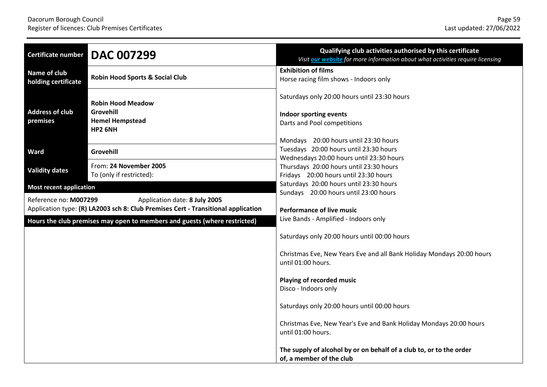| Certificate number                                                        | <b>DAC 007299</b>                                                                                                  | Qualifying club activities authorised by this certificate<br>Visit our website for more information about what activities require licensing    |
|---------------------------------------------------------------------------|--------------------------------------------------------------------------------------------------------------------|------------------------------------------------------------------------------------------------------------------------------------------------|
| Name of club<br>holding certificate                                       | <b>Robin Hood Sports &amp; Social Club</b>                                                                         | <b>Exhibition of films</b><br>Horse racing film shows - Indoors only                                                                           |
| <b>Address of club</b><br>premises                                        | <b>Robin Hood Meadow</b><br>Grovehill<br><b>Hemel Hempstead</b><br>HP2 6NH                                         | Saturdays only 20:00 hours until 23:30 hours<br>Indoor sporting events<br>Darts and Pool competitions<br>Mondays 20:00 hours until 23:30 hours |
| <b>Ward</b>                                                               | Grovehill                                                                                                          | Tuesdays 20:00 hours until 23:30 hours                                                                                                         |
| <b>Validity dates</b>                                                     | From: 24 November 2005<br>To (only if restricted):                                                                 | Wednesdays 20:00 hours until 23:30 hours<br>Thursdays 20:00 hours until 23:30 hours<br>Fridays 20:00 hours until 23:30 hours                   |
| <b>Most recent application</b>                                            |                                                                                                                    | Saturdays 20:00 hours until 23:30 hours<br>Sundays 20:00 hours until 23:00 hours                                                               |
| Reference no: M007299                                                     | Application date: 8 July 2005<br>Application type: (R) LA2003 sch 8: Club Premises Cert - Transitional application | <b>Performance of live music</b>                                                                                                               |
| Hours the club premises may open to members and guests (where restricted) |                                                                                                                    | Live Bands - Amplified - Indoors only                                                                                                          |
|                                                                           |                                                                                                                    | Saturdays only 20:00 hours until 00:00 hours                                                                                                   |
|                                                                           |                                                                                                                    | Christmas Eve, New Years Eve and all Bank Holiday Mondays 20:00 hours<br>until 01:00 hours.                                                    |
|                                                                           |                                                                                                                    | Playing of recorded music<br>Disco - Indoors only                                                                                              |
|                                                                           |                                                                                                                    | Saturdays only 20:00 hours until 00:00 hours                                                                                                   |
|                                                                           |                                                                                                                    | Christmas Eve, New Year's Eve and Bank Holiday Mondays 20:00 hours<br>until 01:00 hours.                                                       |
|                                                                           |                                                                                                                    | The supply of alcohol by or on behalf of a club to, or to the order<br>of, a member of the club                                                |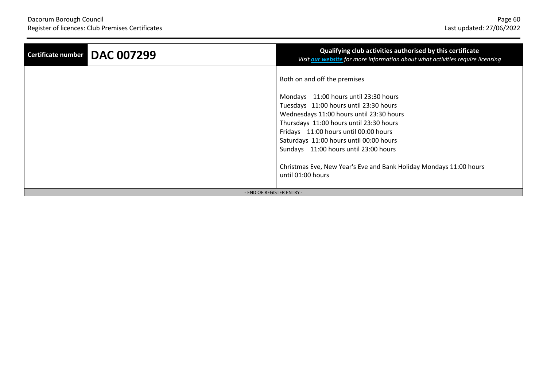| Certificate number DAC 007299 | Qualifying club activities authorised by this certificate<br>Visit our website for more information about what activities require licensing |
|-------------------------------|---------------------------------------------------------------------------------------------------------------------------------------------|
|                               | Both on and off the premises                                                                                                                |
|                               | Mondays 11:00 hours until 23:30 hours                                                                                                       |
|                               | Tuesdays 11:00 hours until 23:30 hours                                                                                                      |
|                               | Wednesdays 11:00 hours until 23:30 hours                                                                                                    |
|                               | Thursdays 11:00 hours until 23:30 hours                                                                                                     |
|                               | Fridays 11:00 hours until 00:00 hours                                                                                                       |
|                               | Saturdays 11:00 hours until 00:00 hours                                                                                                     |
|                               | Sundays 11:00 hours until 23:00 hours                                                                                                       |
|                               | Christmas Eve, New Year's Eve and Bank Holiday Mondays 11:00 hours<br>until 01:00 hours                                                     |
| - END OF REGISTER ENTRY -     |                                                                                                                                             |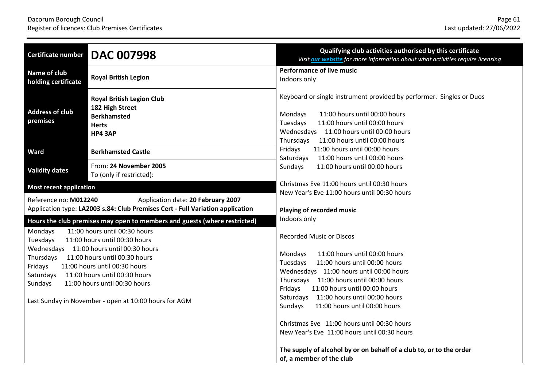| <b>Certificate number</b>                                                                                                                                                                                                                                                                                                                                                                                                                                   | <b>DAC 007998</b>                                                                                           | Qualifying club activities authorised by this certificate<br>Visit our website for more information about what activities require licensing                                                                                                                                                                                                                                                                                                                          |
|-------------------------------------------------------------------------------------------------------------------------------------------------------------------------------------------------------------------------------------------------------------------------------------------------------------------------------------------------------------------------------------------------------------------------------------------------------------|-------------------------------------------------------------------------------------------------------------|----------------------------------------------------------------------------------------------------------------------------------------------------------------------------------------------------------------------------------------------------------------------------------------------------------------------------------------------------------------------------------------------------------------------------------------------------------------------|
| Name of club<br>holding certificate                                                                                                                                                                                                                                                                                                                                                                                                                         | <b>Royal British Legion</b>                                                                                 | <b>Performance of live music</b><br>Indoors only                                                                                                                                                                                                                                                                                                                                                                                                                     |
| <b>Address of club</b><br>premises                                                                                                                                                                                                                                                                                                                                                                                                                          | <b>Royal British Legion Club</b><br>182 High Street<br><b>Berkhamsted</b><br><b>Herts</b><br><b>HP4 3AP</b> | Keyboard or single instrument provided by performer. Singles or Duos<br>11:00 hours until 00:00 hours<br>Mondays<br>Tuesdays<br>11:00 hours until 00:00 hours<br>Wednesdays 11:00 hours until 00:00 hours<br>Thursdays<br>11:00 hours until 00:00 hours                                                                                                                                                                                                              |
| <b>Ward</b>                                                                                                                                                                                                                                                                                                                                                                                                                                                 | <b>Berkhamsted Castle</b>                                                                                   | Fridays<br>11:00 hours until 00:00 hours<br>Saturdays<br>11:00 hours until 00:00 hours                                                                                                                                                                                                                                                                                                                                                                               |
| <b>Validity dates</b>                                                                                                                                                                                                                                                                                                                                                                                                                                       | From: 24 November 2005<br>To (only if restricted):                                                          | Sundays<br>11:00 hours until 00:00 hours                                                                                                                                                                                                                                                                                                                                                                                                                             |
| <b>Most recent application</b>                                                                                                                                                                                                                                                                                                                                                                                                                              |                                                                                                             | Christmas Eve 11:00 hours until 00:30 hours<br>New Year's Eve 11:00 hours until 00:30 hours                                                                                                                                                                                                                                                                                                                                                                          |
| Reference no: M012240<br>Application date: 20 February 2007<br>Application type: LA2003 s.84: Club Premises Cert - Full Variation application                                                                                                                                                                                                                                                                                                               |                                                                                                             | Playing of recorded music                                                                                                                                                                                                                                                                                                                                                                                                                                            |
| Hours the club premises may open to members and guests (where restricted)<br>11:00 hours until 00:30 hours<br>Mondays<br>11:00 hours until 00:30 hours<br>Tuesdays<br>Wednesdays 11:00 hours until 00:30 hours<br>Thursdays<br>11:00 hours until 00:30 hours<br>11:00 hours until 00:30 hours<br>Fridays<br>11:00 hours until 00:30 hours<br>Saturdays<br>Sundays<br>11:00 hours until 00:30 hours<br>Last Sunday in November - open at 10:00 hours for AGM |                                                                                                             | Indoors only<br><b>Recorded Music or Discos</b><br>Mondays<br>11:00 hours until 00:00 hours<br>11:00 hours until 00:00 hours<br>Tuesdays<br>Wednesdays 11:00 hours until 00:00 hours<br>Thursdays 11:00 hours until 00:00 hours<br>Fridays<br>11:00 hours until 00:00 hours<br>11:00 hours until 00:00 hours<br>Saturdays<br>Sundays<br>11:00 hours until 00:00 hours<br>Christmas Eve 11:00 hours until 00:30 hours<br>New Year's Eve 11:00 hours until 00:30 hours |
|                                                                                                                                                                                                                                                                                                                                                                                                                                                             |                                                                                                             | The supply of alcohol by or on behalf of a club to, or to the order<br>of, a member of the club                                                                                                                                                                                                                                                                                                                                                                      |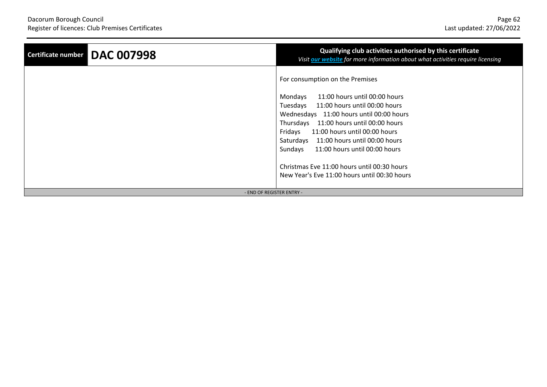| <b>DAC 007998</b><br>Certificate number | Qualifying club activities authorised by this certificate<br>Visit our website for more information about what activities require licensing |
|-----------------------------------------|---------------------------------------------------------------------------------------------------------------------------------------------|
|                                         | For consumption on the Premises                                                                                                             |
|                                         | 11:00 hours until 00:00 hours<br>Mondays                                                                                                    |
|                                         | Tuesdays<br>11:00 hours until 00:00 hours                                                                                                   |
|                                         | Wednesdays 11:00 hours until 00:00 hours                                                                                                    |
|                                         | Thursdays 11:00 hours until 00:00 hours                                                                                                     |
|                                         | Fridays<br>11:00 hours until 00:00 hours                                                                                                    |
|                                         | 11:00 hours until 00:00 hours<br>Saturdays                                                                                                  |
|                                         | Sundays<br>11:00 hours until 00:00 hours                                                                                                    |
|                                         | Christmas Eve 11:00 hours until 00:30 hours<br>New Year's Eve 11:00 hours until 00:30 hours                                                 |
| - END OF REGISTER ENTRY -               |                                                                                                                                             |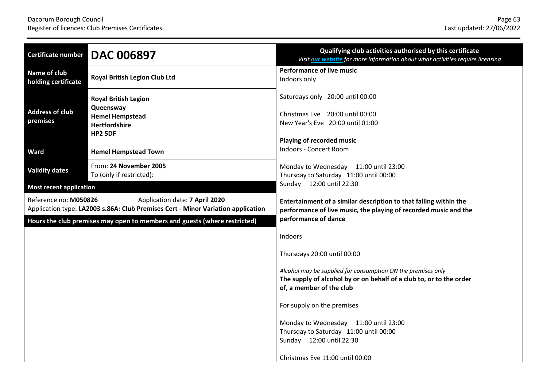| Certificate number                                                                                                                          | <b>DAC 006897</b>                                                                                            | Qualifying club activities authorised by this certificate<br>Visit our website for more information about what activities require licensing                     |
|---------------------------------------------------------------------------------------------------------------------------------------------|--------------------------------------------------------------------------------------------------------------|-----------------------------------------------------------------------------------------------------------------------------------------------------------------|
| <b>Name of club</b><br>holding certificate                                                                                                  | <b>Royal British Legion Club Ltd</b>                                                                         | <b>Performance of live music</b><br>Indoors only                                                                                                                |
| <b>Address of club</b><br>premises                                                                                                          | <b>Royal British Legion</b><br>Queensway<br><b>Hemel Hempstead</b><br><b>Hertfordshire</b><br><b>HP2 5DF</b> | Saturdays only 20:00 until 00:00<br>Christmas Eve 20:00 until 00:00<br>New Year's Eve 20:00 until 01:00<br>Playing of recorded music                            |
| Ward                                                                                                                                        | <b>Hemel Hempstead Town</b>                                                                                  | Indoors - Concert Room                                                                                                                                          |
| <b>Validity dates</b>                                                                                                                       | From: 24 November 2005<br>To (only if restricted):                                                           | Monday to Wednesday 11:00 until 23:00<br>Thursday to Saturday 11:00 until 00:00                                                                                 |
| <b>Most recent application</b>                                                                                                              |                                                                                                              | Sunday 12:00 until 22:30                                                                                                                                        |
| Reference no: M050826<br>Application date: 7 April 2020<br>Application type: LA2003 s.86A: Club Premises Cert - Minor Variation application |                                                                                                              | Entertainment of a similar description to that falling within the<br>performance of live music, the playing of recorded music and the                           |
|                                                                                                                                             | Hours the club premises may open to members and guests (where restricted)                                    | performance of dance                                                                                                                                            |
|                                                                                                                                             |                                                                                                              | Indoors                                                                                                                                                         |
|                                                                                                                                             |                                                                                                              | Thursdays 20:00 until 00:00                                                                                                                                     |
|                                                                                                                                             |                                                                                                              | Alcohol may be supplied for consumption ON the premises only<br>The supply of alcohol by or on behalf of a club to, or to the order<br>of, a member of the club |
|                                                                                                                                             |                                                                                                              | For supply on the premises                                                                                                                                      |
|                                                                                                                                             |                                                                                                              | Monday to Wednesday 11:00 until 23:00<br>Thursday to Saturday 11:00 until 00:00<br>Sunday 12:00 until 22:30                                                     |
|                                                                                                                                             |                                                                                                              | Christmas Eve 11:00 until 00:00                                                                                                                                 |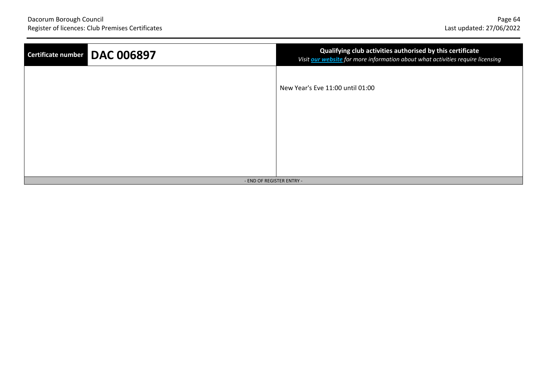| Certificate number DAC 006897 | Qualifying club activities authorised by this certificate<br>Visit our website for more information about what activities require licensing |
|-------------------------------|---------------------------------------------------------------------------------------------------------------------------------------------|
|                               | New Year's Eve 11:00 until 01:00                                                                                                            |
|                               |                                                                                                                                             |
|                               |                                                                                                                                             |
| - END OF REGISTER ENTRY -     |                                                                                                                                             |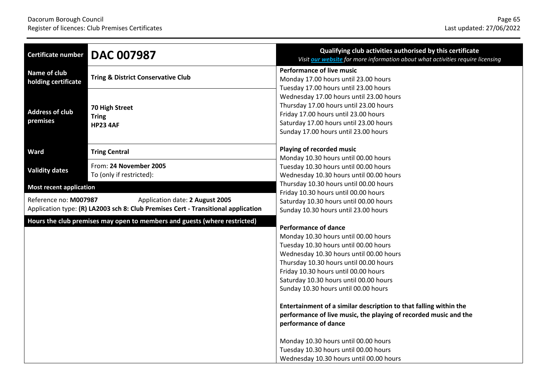| <b>Certificate number</b>                                                                                                                     | <b>DAC 007987</b>                                  | Qualifying club activities authorised by this certificate<br>Visit our website for more information about what activities require licensing                                                                                                                                                                                                                                                                                                                                                                                                                                                                              |
|-----------------------------------------------------------------------------------------------------------------------------------------------|----------------------------------------------------|--------------------------------------------------------------------------------------------------------------------------------------------------------------------------------------------------------------------------------------------------------------------------------------------------------------------------------------------------------------------------------------------------------------------------------------------------------------------------------------------------------------------------------------------------------------------------------------------------------------------------|
| Name of club<br>holding certificate                                                                                                           | <b>Tring &amp; District Conservative Club</b>      | <b>Performance of live music</b><br>Monday 17.00 hours until 23.00 hours<br>Tuesday 17.00 hours until 23.00 hours<br>Wednesday 17.00 hours until 23.00 hours                                                                                                                                                                                                                                                                                                                                                                                                                                                             |
| <b>Address of club</b><br>premises                                                                                                            | 70 High Street<br><b>Tring</b><br><b>HP23 4AF</b>  | Thursday 17.00 hours until 23.00 hours<br>Friday 17.00 hours until 23.00 hours<br>Saturday 17.00 hours until 23.00 hours<br>Sunday 17.00 hours until 23.00 hours                                                                                                                                                                                                                                                                                                                                                                                                                                                         |
| Ward                                                                                                                                          | <b>Tring Central</b>                               | Playing of recorded music                                                                                                                                                                                                                                                                                                                                                                                                                                                                                                                                                                                                |
| <b>Validity dates</b>                                                                                                                         | From: 24 November 2005<br>To (only if restricted): | Monday 10.30 hours until 00.00 hours<br>Tuesday 10.30 hours until 00.00 hours<br>Wednesday 10.30 hours until 00.00 hours                                                                                                                                                                                                                                                                                                                                                                                                                                                                                                 |
| <b>Most recent application</b>                                                                                                                |                                                    | Thursday 10.30 hours until 00.00 hours<br>Friday 10.30 hours until 00.00 hours                                                                                                                                                                                                                                                                                                                                                                                                                                                                                                                                           |
| Reference no: M007987<br>Application date: 2 August 2005<br>Application type: (R) LA2003 sch 8: Club Premises Cert - Transitional application |                                                    | Saturday 10.30 hours until 00.00 hours<br>Sunday 10.30 hours until 23.00 hours                                                                                                                                                                                                                                                                                                                                                                                                                                                                                                                                           |
| Hours the club premises may open to members and guests (where restricted)                                                                     |                                                    | <b>Performance of dance</b><br>Monday 10.30 hours until 00.00 hours<br>Tuesday 10.30 hours until 00.00 hours<br>Wednesday 10.30 hours until 00.00 hours<br>Thursday 10.30 hours until 00.00 hours<br>Friday 10.30 hours until 00.00 hours<br>Saturday 10.30 hours until 00.00 hours<br>Sunday 10.30 hours until 00.00 hours<br>Entertainment of a similar description to that falling within the<br>performance of live music, the playing of recorded music and the<br>performance of dance<br>Monday 10.30 hours until 00.00 hours<br>Tuesday 10.30 hours until 00.00 hours<br>Wednesday 10.30 hours until 00.00 hours |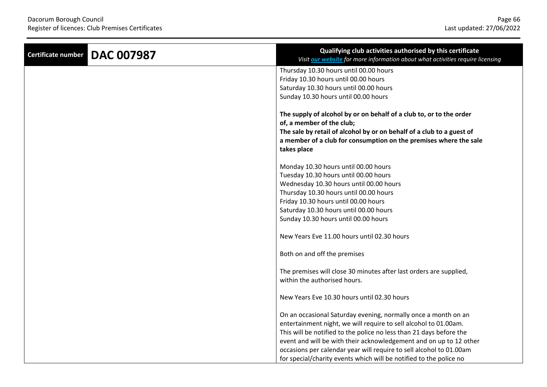| <b>DAC 007987</b><br><b>Certificate number</b> | Qualifying club activities authorised by this certificate<br>Visit our website for more information about what activities require licensing |
|------------------------------------------------|---------------------------------------------------------------------------------------------------------------------------------------------|
|                                                | Thursday 10.30 hours until 00.00 hours                                                                                                      |
|                                                | Friday 10.30 hours until 00.00 hours                                                                                                        |
|                                                | Saturday 10.30 hours until 00.00 hours                                                                                                      |
|                                                | Sunday 10.30 hours until 00.00 hours                                                                                                        |
|                                                | The supply of alcohol by or on behalf of a club to, or to the order<br>of, a member of the club;                                            |
|                                                | The sale by retail of alcohol by or on behalf of a club to a guest of                                                                       |
|                                                | a member of a club for consumption on the premises where the sale<br>takes place                                                            |
|                                                | Monday 10.30 hours until 00.00 hours                                                                                                        |
|                                                | Tuesday 10.30 hours until 00.00 hours                                                                                                       |
|                                                | Wednesday 10.30 hours until 00.00 hours                                                                                                     |
|                                                | Thursday 10.30 hours until 00.00 hours                                                                                                      |
|                                                | Friday 10.30 hours until 00.00 hours                                                                                                        |
|                                                | Saturday 10.30 hours until 00.00 hours                                                                                                      |
|                                                | Sunday 10.30 hours until 00.00 hours                                                                                                        |
|                                                | New Years Eve 11.00 hours until 02.30 hours                                                                                                 |
|                                                | Both on and off the premises                                                                                                                |
|                                                | The premises will close 30 minutes after last orders are supplied,<br>within the authorised hours.                                          |
|                                                |                                                                                                                                             |
|                                                | New Years Eve 10.30 hours until 02.30 hours                                                                                                 |
|                                                | On an occasional Saturday evening, normally once a month on an                                                                              |
|                                                | entertainment night, we will require to sell alcohol to 01.00am.                                                                            |
|                                                | This will be notified to the police no less than 21 days before the                                                                         |
|                                                | event and will be with their acknowledgement and on up to 12 other                                                                          |
|                                                | occasions per calendar year will require to sell alcohol to 01.00am                                                                         |
|                                                | for special/charity events which will be notified to the police no                                                                          |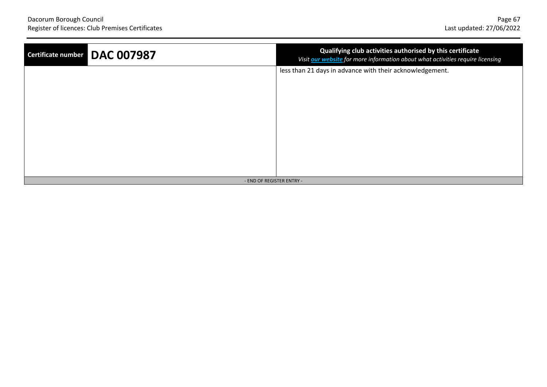| Certificate number DAC 007987 | Qualifying club activities authorised by this certificate<br>Visit our website for more information about what activities require licensing |
|-------------------------------|---------------------------------------------------------------------------------------------------------------------------------------------|
|                               | less than 21 days in advance with their acknowledgement.                                                                                    |
|                               |                                                                                                                                             |
|                               |                                                                                                                                             |
|                               |                                                                                                                                             |
|                               |                                                                                                                                             |
|                               |                                                                                                                                             |
|                               |                                                                                                                                             |
|                               |                                                                                                                                             |
| - END OF REGISTER ENTRY -     |                                                                                                                                             |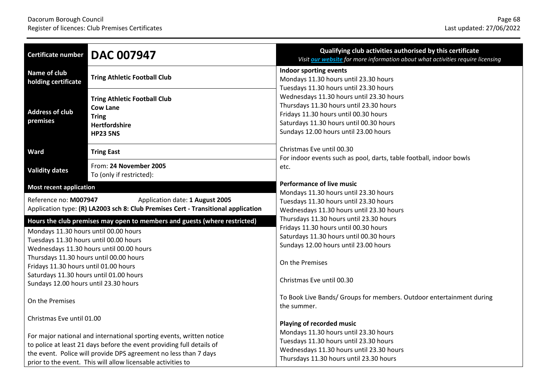| <b>Certificate number</b>                                                                                                                                                                                                                                                                                                                                                        | <b>DAC 007947</b>                                                                                                    | Qualifying club activities authorised by this certificate<br>Visit our website for more information about what activities require licensing                                                                                                                |
|----------------------------------------------------------------------------------------------------------------------------------------------------------------------------------------------------------------------------------------------------------------------------------------------------------------------------------------------------------------------------------|----------------------------------------------------------------------------------------------------------------------|------------------------------------------------------------------------------------------------------------------------------------------------------------------------------------------------------------------------------------------------------------|
| Name of club<br>holding certificate                                                                                                                                                                                                                                                                                                                                              | <b>Tring Athletic Football Club</b>                                                                                  | Indoor sporting events<br>Mondays 11.30 hours until 23.30 hours                                                                                                                                                                                            |
| <b>Address of club</b><br>premises                                                                                                                                                                                                                                                                                                                                               | <b>Tring Athletic Football Club</b><br><b>Cow Lane</b><br><b>Tring</b><br>Hertfordshire<br><b>HP23 5NS</b>           | Tuesdays 11.30 hours until 23.30 hours<br>Wednesdays 11.30 hours until 23.30 hours<br>Thursdays 11.30 hours until 23.30 hours<br>Fridays 11.30 hours until 00.30 hours<br>Saturdays 11.30 hours until 00.30 hours<br>Sundays 12.00 hours until 23.00 hours |
| Ward                                                                                                                                                                                                                                                                                                                                                                             | <b>Tring East</b>                                                                                                    | Christmas Eve until 00.30                                                                                                                                                                                                                                  |
| <b>Validity dates</b>                                                                                                                                                                                                                                                                                                                                                            | From: 24 November 2005<br>To (only if restricted):                                                                   | For indoor events such as pool, darts, table football, indoor bowls<br>etc.                                                                                                                                                                                |
| <b>Most recent application</b>                                                                                                                                                                                                                                                                                                                                                   |                                                                                                                      | <b>Performance of live music</b>                                                                                                                                                                                                                           |
| Reference no: M007947                                                                                                                                                                                                                                                                                                                                                            | Application date: 1 August 2005<br>Application type: (R) LA2003 sch 8: Club Premises Cert - Transitional application | Mondays 11.30 hours until 23.30 hours<br>Tuesdays 11.30 hours until 23.30 hours<br>Wednesdays 11.30 hours until 23.30 hours                                                                                                                                |
| Hours the club premises may open to members and guests (where restricted)<br>Mondays 11.30 hours until 00.00 hours<br>Tuesdays 11.30 hours until 00.00 hours<br>Wednesdays 11.30 hours until 00.00 hours<br>Thursdays 11.30 hours until 00.00 hours<br>Fridays 11.30 hours until 01.00 hours<br>Saturdays 11.30 hours until 01.00 hours<br>Sundays 12.00 hours until 23.30 hours |                                                                                                                      | Thursdays 11.30 hours until 23.30 hours<br>Fridays 11.30 hours until 00.30 hours<br>Saturdays 11.30 hours until 00.30 hours<br>Sundays 12.00 hours until 23.00 hours<br>On the Premises<br>Christmas Eve until 00.30                                       |
| On the Premises                                                                                                                                                                                                                                                                                                                                                                  |                                                                                                                      | To Book Live Bands/ Groups for members. Outdoor entertainment during<br>the summer.                                                                                                                                                                        |
| Christmas Eve until 01.00                                                                                                                                                                                                                                                                                                                                                        |                                                                                                                      | Playing of recorded music                                                                                                                                                                                                                                  |
| For major national and international sporting events, written notice<br>to police at least 21 days before the event providing full details of<br>the event. Police will provide DPS agreement no less than 7 days<br>prior to the event. This will allow licensable activities to                                                                                                |                                                                                                                      | Mondays 11.30 hours until 23.30 hours<br>Tuesdays 11.30 hours until 23.30 hours<br>Wednesdays 11.30 hours until 23.30 hours<br>Thursdays 11.30 hours until 23.30 hours                                                                                     |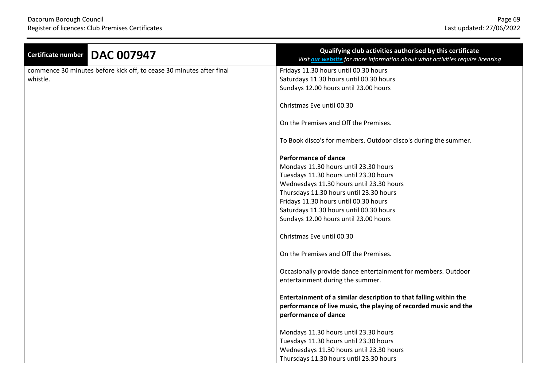| <b>DAC 007947</b><br><b>Certificate number</b>                       | Qualifying club activities authorised by this certificate<br>Visit our website for more information about what activities require licensing                   |
|----------------------------------------------------------------------|---------------------------------------------------------------------------------------------------------------------------------------------------------------|
| commence 30 minutes before kick off, to cease 30 minutes after final | Fridays 11.30 hours until 00.30 hours                                                                                                                         |
| whistle.                                                             | Saturdays 11.30 hours until 00.30 hours                                                                                                                       |
|                                                                      | Sundays 12.00 hours until 23.00 hours                                                                                                                         |
|                                                                      | Christmas Eve until 00.30                                                                                                                                     |
|                                                                      | On the Premises and Off the Premises.                                                                                                                         |
|                                                                      | To Book disco's for members. Outdoor disco's during the summer.                                                                                               |
|                                                                      | <b>Performance of dance</b>                                                                                                                                   |
|                                                                      | Mondays 11.30 hours until 23.30 hours                                                                                                                         |
|                                                                      | Tuesdays 11.30 hours until 23.30 hours                                                                                                                        |
|                                                                      | Wednesdays 11.30 hours until 23.30 hours                                                                                                                      |
|                                                                      | Thursdays 11.30 hours until 23.30 hours                                                                                                                       |
|                                                                      | Fridays 11.30 hours until 00.30 hours                                                                                                                         |
|                                                                      | Saturdays 11.30 hours until 00.30 hours                                                                                                                       |
|                                                                      | Sundays 12.00 hours until 23.00 hours                                                                                                                         |
|                                                                      | Christmas Eve until 00.30                                                                                                                                     |
|                                                                      | On the Premises and Off the Premises.                                                                                                                         |
|                                                                      | Occasionally provide dance entertainment for members. Outdoor<br>entertainment during the summer.                                                             |
|                                                                      | Entertainment of a similar description to that falling within the<br>performance of live music, the playing of recorded music and the<br>performance of dance |
|                                                                      |                                                                                                                                                               |
|                                                                      | Mondays 11.30 hours until 23.30 hours                                                                                                                         |
|                                                                      | Tuesdays 11.30 hours until 23.30 hours                                                                                                                        |
|                                                                      | Wednesdays 11.30 hours until 23.30 hours                                                                                                                      |
|                                                                      | Thursdays 11.30 hours until 23.30 hours                                                                                                                       |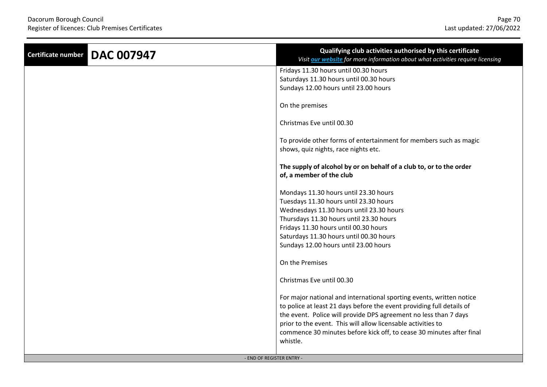| <b>DAC 007947</b><br><b>Certificate number</b> | Qualifying club activities authorised by this certificate<br>Visit our website for more information about what activities require licensing |
|------------------------------------------------|---------------------------------------------------------------------------------------------------------------------------------------------|
|                                                | Fridays 11.30 hours until 00.30 hours                                                                                                       |
|                                                | Saturdays 11.30 hours until 00.30 hours                                                                                                     |
|                                                | Sundays 12.00 hours until 23.00 hours                                                                                                       |
|                                                | On the premises                                                                                                                             |
|                                                | Christmas Eve until 00.30                                                                                                                   |
|                                                | To provide other forms of entertainment for members such as magic                                                                           |
|                                                | shows, quiz nights, race nights etc.                                                                                                        |
|                                                |                                                                                                                                             |
|                                                | The supply of alcohol by or on behalf of a club to, or to the order                                                                         |
|                                                | of, a member of the club                                                                                                                    |
|                                                | Mondays 11.30 hours until 23.30 hours                                                                                                       |
|                                                | Tuesdays 11.30 hours until 23.30 hours                                                                                                      |
|                                                | Wednesdays 11.30 hours until 23.30 hours                                                                                                    |
|                                                | Thursdays 11.30 hours until 23.30 hours                                                                                                     |
|                                                | Fridays 11.30 hours until 00.30 hours                                                                                                       |
|                                                | Saturdays 11.30 hours until 00.30 hours                                                                                                     |
|                                                | Sundays 12.00 hours until 23.00 hours                                                                                                       |
|                                                | On the Premises                                                                                                                             |
|                                                | Christmas Eve until 00.30                                                                                                                   |
|                                                | For major national and international sporting events, written notice                                                                        |
|                                                | to police at least 21 days before the event providing full details of                                                                       |
|                                                | the event. Police will provide DPS agreement no less than 7 days                                                                            |
|                                                | prior to the event. This will allow licensable activities to                                                                                |
|                                                | commence 30 minutes before kick off, to cease 30 minutes after final<br>whistle.                                                            |
|                                                |                                                                                                                                             |
| - END OF REGISTER ENTRY -                      |                                                                                                                                             |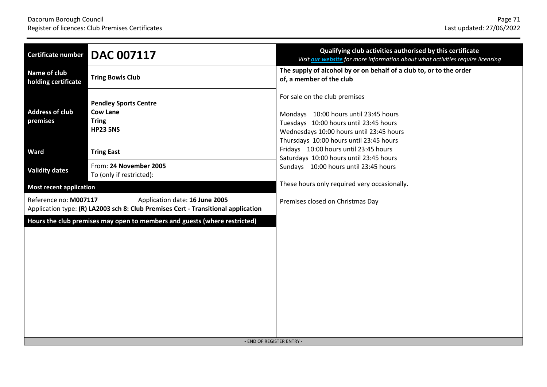| <b>Certificate number</b>                                                                                                                    | <b>DAC 007117</b>                                                                  | Qualifying club activities authorised by this certificate<br>Visit our website for more information about what activities require licensing                                                             |
|----------------------------------------------------------------------------------------------------------------------------------------------|------------------------------------------------------------------------------------|---------------------------------------------------------------------------------------------------------------------------------------------------------------------------------------------------------|
| Name of club<br>holding certificate                                                                                                          | <b>Tring Bowls Club</b>                                                            | The supply of alcohol by or on behalf of a club to, or to the order<br>of, a member of the club                                                                                                         |
| <b>Address of club</b><br>premises                                                                                                           | <b>Pendley Sports Centre</b><br><b>Cow Lane</b><br><b>Tring</b><br><b>HP23 5NS</b> | For sale on the club premises<br>Mondays 10:00 hours until 23:45 hours<br>Tuesdays 10:00 hours until 23:45 hours<br>Wednesdays 10:00 hours until 23:45 hours<br>Thursdays 10:00 hours until 23:45 hours |
| <b>Ward</b>                                                                                                                                  | <b>Tring East</b>                                                                  | Fridays 10:00 hours until 23:45 hours<br>Saturdays 10:00 hours until 23:45 hours                                                                                                                        |
| <b>Validity dates</b>                                                                                                                        | From: 24 November 2005<br>To (only if restricted):                                 | Sundays 10:00 hours until 23:45 hours                                                                                                                                                                   |
| <b>Most recent application</b>                                                                                                               |                                                                                    | These hours only required very occasionally.                                                                                                                                                            |
| Reference no: M007117<br>Application date: 16 June 2005<br>Application type: (R) LA2003 sch 8: Club Premises Cert - Transitional application |                                                                                    | Premises closed on Christmas Day                                                                                                                                                                        |
| Hours the club premises may open to members and guests (where restricted)                                                                    |                                                                                    | - END OF REGISTER ENTRY -                                                                                                                                                                               |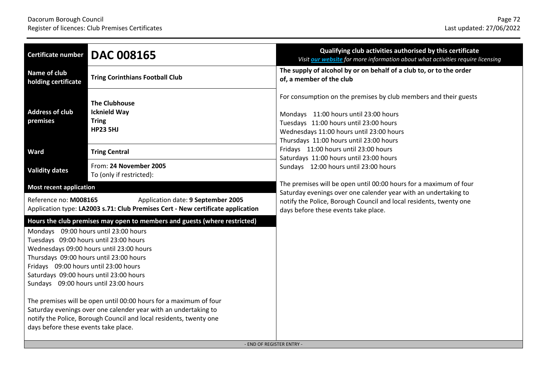| Certificate number                                                                                                                                                                                                                                                                                                                                                                                                                                                                                                                                                                                                                                                  | <b>DAC 008165</b>                                                              | Qualifying club activities authorised by this certificate<br>Visit our website for more information about what activities require licensing                                                                                                |
|---------------------------------------------------------------------------------------------------------------------------------------------------------------------------------------------------------------------------------------------------------------------------------------------------------------------------------------------------------------------------------------------------------------------------------------------------------------------------------------------------------------------------------------------------------------------------------------------------------------------------------------------------------------------|--------------------------------------------------------------------------------|--------------------------------------------------------------------------------------------------------------------------------------------------------------------------------------------------------------------------------------------|
| Name of club<br>holding certificate                                                                                                                                                                                                                                                                                                                                                                                                                                                                                                                                                                                                                                 | <b>Tring Corinthians Football Club</b>                                         | The supply of alcohol by or on behalf of a club to, or to the order<br>of, a member of the club                                                                                                                                            |
| <b>Address of club</b><br>premises                                                                                                                                                                                                                                                                                                                                                                                                                                                                                                                                                                                                                                  | <b>The Clubhouse</b><br><b>Icknield Way</b><br><b>Tring</b><br><b>HP23 5HJ</b> | For consumption on the premises by club members and their guests<br>Mondays 11:00 hours until 23:00 hours<br>Tuesdays 11:00 hours until 23:00 hours<br>Wednesdays 11:00 hours until 23:00 hours<br>Thursdays 11:00 hours until 23:00 hours |
| <b>Ward</b>                                                                                                                                                                                                                                                                                                                                                                                                                                                                                                                                                                                                                                                         | <b>Tring Central</b>                                                           | Fridays 11:00 hours until 23:00 hours<br>Saturdays 11:00 hours until 23:00 hours                                                                                                                                                           |
| <b>Validity dates</b>                                                                                                                                                                                                                                                                                                                                                                                                                                                                                                                                                                                                                                               | From: 24 November 2005<br>To (only if restricted):                             | Sundays 12:00 hours until 23:00 hours                                                                                                                                                                                                      |
| <b>Most recent application</b>                                                                                                                                                                                                                                                                                                                                                                                                                                                                                                                                                                                                                                      |                                                                                | The premises will be open until 00:00 hours for a maximum of four<br>Saturday evenings over one calender year with an undertaking to                                                                                                       |
| Application date: 9 September 2005<br>Reference no: M008165<br>Application type: LA2003 s.71: Club Premises Cert - New certificate application                                                                                                                                                                                                                                                                                                                                                                                                                                                                                                                      |                                                                                | notify the Police, Borough Council and local residents, twenty one<br>days before these events take place.                                                                                                                                 |
| Hours the club premises may open to members and guests (where restricted)<br>Mondays 09:00 hours until 23:00 hours<br>Tuesdays 09:00 hours until 23:00 hours<br>Wednesdays 09:00 hours until 23:00 hours<br>Thursdays 09:00 hours until 23:00 hours<br>Fridays 09:00 hours until 23:00 hours<br>Saturdays 09:00 hours until 23:00 hours<br>Sundays 09:00 hours until 23:00 hours<br>The premises will be open until 00:00 hours for a maximum of four<br>Saturday evenings over one calender year with an undertaking to<br>notify the Police, Borough Council and local residents, twenty one<br>days before these events take place.<br>- END OF REGISTER ENTRY - |                                                                                |                                                                                                                                                                                                                                            |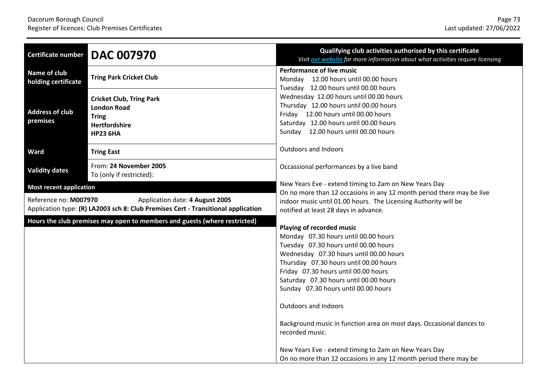| Qualifying club activities authorised by this certificate<br>Visit our website for more information about what activities require licensing                                                                                                                                                                                                                                                                                                                                                                                                                                      |
|----------------------------------------------------------------------------------------------------------------------------------------------------------------------------------------------------------------------------------------------------------------------------------------------------------------------------------------------------------------------------------------------------------------------------------------------------------------------------------------------------------------------------------------------------------------------------------|
| <b>Performance of live music</b><br>Monday 12.00 hours until 00.00 hours                                                                                                                                                                                                                                                                                                                                                                                                                                                                                                         |
| Tuesday 12.00 hours until 00.00 hours<br>Wednesday 12.00 hours until 00.00 hours<br>Thursday 12.00 hours until 00.00 hours<br>Friday 12.00 hours until 00.00 hours<br>Saturday 12.00 hours until 00.00 hours<br>Sunday 12.00 hours until 00.00 hours                                                                                                                                                                                                                                                                                                                             |
| <b>Outdoors and Indoors</b>                                                                                                                                                                                                                                                                                                                                                                                                                                                                                                                                                      |
| Occassional performances by a live band                                                                                                                                                                                                                                                                                                                                                                                                                                                                                                                                          |
| New Years Eve - extend timing to 2am on New Years Day                                                                                                                                                                                                                                                                                                                                                                                                                                                                                                                            |
| On no more than 12 occasions in any 12 month period there may be live<br>indoor music until 01.00 hours. The Licensing Authority will be<br>notified at least 28 days in advance.                                                                                                                                                                                                                                                                                                                                                                                                |
| Playing of recorded music<br>Monday 07.30 hours until 00.00 hours<br>Tuesday 07.30 hours until 00.00 hours<br>Wednesday 07.30 hours until 00.00 hours<br>Thursday 07.30 hours until 00.00 hours<br>Friday 07.30 hours until 00.00 hours<br>Saturday 07.30 hours until 00.00 hours<br>Sunday 07.30 hours until 00.00 hours<br><b>Outdoors and Indoors</b><br>Background music in function area on most days. Occasional dances to<br>recorded music.<br>New Years Eve - extend timing to 2am on New Years Day<br>On no more than 12 occasions in any 12 month period there may be |
|                                                                                                                                                                                                                                                                                                                                                                                                                                                                                                                                                                                  |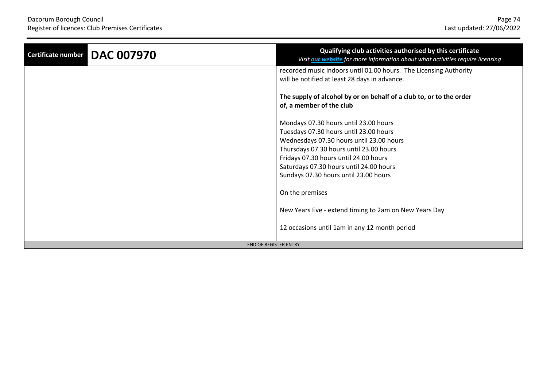| <b>DAC 007970</b><br>Certificate number | Qualifying club activities authorised by this certificate<br>Visit <b>our website</b> for more information about what activities require licensing                                                                                                                                                  |  |
|-----------------------------------------|-----------------------------------------------------------------------------------------------------------------------------------------------------------------------------------------------------------------------------------------------------------------------------------------------------|--|
|                                         | recorded music indoors until 01.00 hours. The Licensing Authority<br>will be notified at least 28 days in advance.                                                                                                                                                                                  |  |
|                                         | The supply of alcohol by or on behalf of a club to, or to the order<br>of, a member of the club                                                                                                                                                                                                     |  |
|                                         | Mondays 07.30 hours until 23.00 hours<br>Tuesdays 07.30 hours until 23.00 hours<br>Wednesdays 07.30 hours until 23.00 hours<br>Thursdays 07.30 hours until 23.00 hours<br>Fridays 07.30 hours until 24.00 hours<br>Saturdays 07.30 hours until 24.00 hours<br>Sundays 07.30 hours until 23.00 hours |  |
|                                         | On the premises                                                                                                                                                                                                                                                                                     |  |
|                                         | New Years Eve - extend timing to 2am on New Years Day                                                                                                                                                                                                                                               |  |
|                                         | 12 occasions until 1am in any 12 month period                                                                                                                                                                                                                                                       |  |
| - END OF REGISTER ENTRY -               |                                                                                                                                                                                                                                                                                                     |  |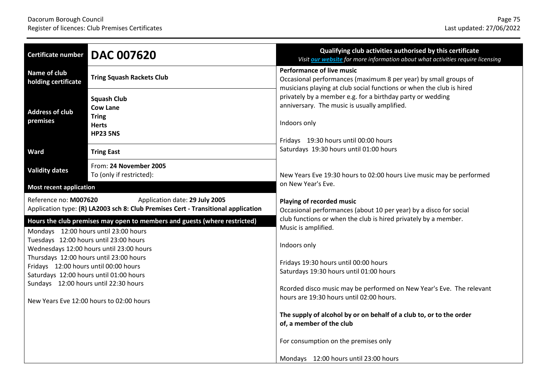| <b>Certificate number</b>             | <b>DAC 007620</b>                                                                                                                                                                                                                                             | Qualifying club activities authorised by this certificate<br>Visit our website for more information about what activities require licensing                                                                                                                                                                                                                                                              |
|---------------------------------------|---------------------------------------------------------------------------------------------------------------------------------------------------------------------------------------------------------------------------------------------------------------|----------------------------------------------------------------------------------------------------------------------------------------------------------------------------------------------------------------------------------------------------------------------------------------------------------------------------------------------------------------------------------------------------------|
| Name of club<br>holding certificate   | <b>Tring Squash Rackets Club</b>                                                                                                                                                                                                                              | <b>Performance of live music</b><br>Occasional performances (maximum 8 per year) by small groups of<br>musicians playing at club social functions or when the club is hired                                                                                                                                                                                                                              |
| <b>Address of club</b><br>premises    | <b>Squash Club</b><br><b>Cow Lane</b><br><b>Tring</b><br><b>Herts</b><br><b>HP23 5NS</b>                                                                                                                                                                      | privately by a member e.g. for a birthday party or wedding<br>anniversary. The music is usually amplified.<br>Indoors only<br>Fridays 19:30 hours until 00:00 hours                                                                                                                                                                                                                                      |
| <b>Ward</b>                           | <b>Tring East</b>                                                                                                                                                                                                                                             | Saturdays 19:30 hours until 01:00 hours                                                                                                                                                                                                                                                                                                                                                                  |
| <b>Validity dates</b>                 | From: 24 November 2005<br>To (only if restricted):                                                                                                                                                                                                            | New Years Eve 19:30 hours to 02:00 hours Live music may be performed                                                                                                                                                                                                                                                                                                                                     |
| <b>Most recent application</b>        |                                                                                                                                                                                                                                                               | on New Year's Eve.                                                                                                                                                                                                                                                                                                                                                                                       |
| Reference no: M007620                 | Application date: 29 July 2005<br>Application type: (R) LA2003 sch 8: Club Premises Cert - Transitional application<br>Hours the club premises may open to members and guests (where restricted)<br>Mondays 12:00 hours until 23:00 hours                     | Playing of recorded music<br>Occasional performances (about 10 per year) by a disco for social<br>club functions or when the club is hired privately by a member.<br>Music is amplified.                                                                                                                                                                                                                 |
| Fridays 12:00 hours until 00:00 hours | Tuesdays 12:00 hours until 23:00 hours<br>Wednesdays 12:00 hours until 23:00 hours<br>Thursdays 12:00 hours until 23:00 hours<br>Saturdays 12:00 hours until 01:00 hours<br>Sundays 12:00 hours until 22:30 hours<br>New Years Eve 12:00 hours to 02:00 hours | Indoors only<br>Fridays 19:30 hours until 00:00 hours<br>Saturdays 19:30 hours until 01:00 hours<br>Rcorded disco music may be performed on New Year's Eve. The relevant<br>hours are 19:30 hours until 02:00 hours.<br>The supply of alcohol by or on behalf of a club to, or to the order<br>of, a member of the club<br>For consumption on the premises only<br>Mondays 12:00 hours until 23:00 hours |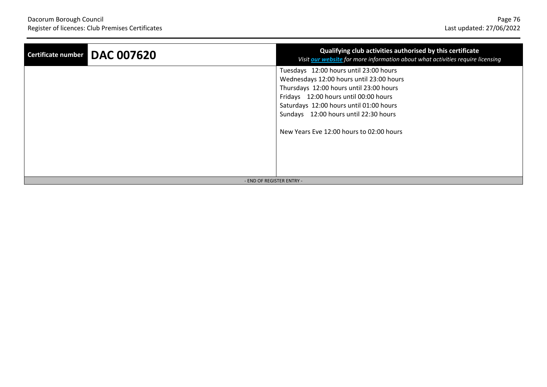| <b>DAC 007620</b><br>Certificate number | Qualifying club activities authorised by this certificate<br>Visit our website for more information about what activities require licensing                                                                                                                                                            |  |
|-----------------------------------------|--------------------------------------------------------------------------------------------------------------------------------------------------------------------------------------------------------------------------------------------------------------------------------------------------------|--|
|                                         | Tuesdays 12:00 hours until 23:00 hours<br>Wednesdays 12:00 hours until 23:00 hours<br>Thursdays 12:00 hours until 23:00 hours<br>Fridays 12:00 hours until 00:00 hours<br>Saturdays 12:00 hours until 01:00 hours<br>Sundays 12:00 hours until 22:30 hours<br>New Years Eve 12:00 hours to 02:00 hours |  |
| - END OF REGISTER ENTRY -               |                                                                                                                                                                                                                                                                                                        |  |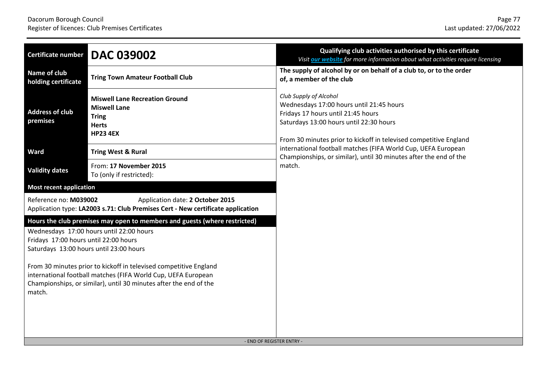| Certificate number                                                                         | <b>DAC 039002</b>                                                                                                                                                                                                                                                                                                                | Qualifying club activities authorised by this certificate<br>Visit our website for more information about what activities require licensing                                                                                                                                                                                                                              |  |
|--------------------------------------------------------------------------------------------|----------------------------------------------------------------------------------------------------------------------------------------------------------------------------------------------------------------------------------------------------------------------------------------------------------------------------------|--------------------------------------------------------------------------------------------------------------------------------------------------------------------------------------------------------------------------------------------------------------------------------------------------------------------------------------------------------------------------|--|
| Name of club<br>holding certificate                                                        | <b>Tring Town Amateur Football Club</b>                                                                                                                                                                                                                                                                                          | The supply of alcohol by or on behalf of a club to, or to the order<br>of, a member of the club                                                                                                                                                                                                                                                                          |  |
| <b>Address of club</b><br>premises                                                         | <b>Miswell Lane Recreation Ground</b><br><b>Miswell Lane</b><br><b>Tring</b><br><b>Herts</b><br><b>HP23 4EX</b>                                                                                                                                                                                                                  | Club Supply of Alcohol<br>Wednesdays 17:00 hours until 21:45 hours<br>Fridays 17 hours until 21:45 hours<br>Saturdays 13:00 hours until 22:30 hours<br>From 30 minutes prior to kickoff in televised competitive England<br>international football matches (FIFA World Cup, UEFA European<br>Championships, or similar), until 30 minutes after the end of the<br>match. |  |
| Ward                                                                                       | <b>Tring West &amp; Rural</b>                                                                                                                                                                                                                                                                                                    |                                                                                                                                                                                                                                                                                                                                                                          |  |
| <b>Validity dates</b>                                                                      | From: 17 November 2015<br>To (only if restricted):                                                                                                                                                                                                                                                                               |                                                                                                                                                                                                                                                                                                                                                                          |  |
| <b>Most recent application</b>                                                             |                                                                                                                                                                                                                                                                                                                                  |                                                                                                                                                                                                                                                                                                                                                                          |  |
| Reference no: M039002                                                                      | Application date: 2 October 2015<br>Application type: LA2003 s.71: Club Premises Cert - New certificate application                                                                                                                                                                                                              |                                                                                                                                                                                                                                                                                                                                                                          |  |
| Fridays 17:00 hours until 22:00 hours<br>Saturdays 13:00 hours until 23:00 hours<br>match. | Hours the club premises may open to members and guests (where restricted)<br>Wednesdays 17:00 hours until 22:00 hours<br>From 30 minutes prior to kickoff in televised competitive England<br>international football matches (FIFA World Cup, UEFA European<br>Championships, or similar), until 30 minutes after the end of the |                                                                                                                                                                                                                                                                                                                                                                          |  |
| - END OF REGISTER ENTRY -                                                                  |                                                                                                                                                                                                                                                                                                                                  |                                                                                                                                                                                                                                                                                                                                                                          |  |